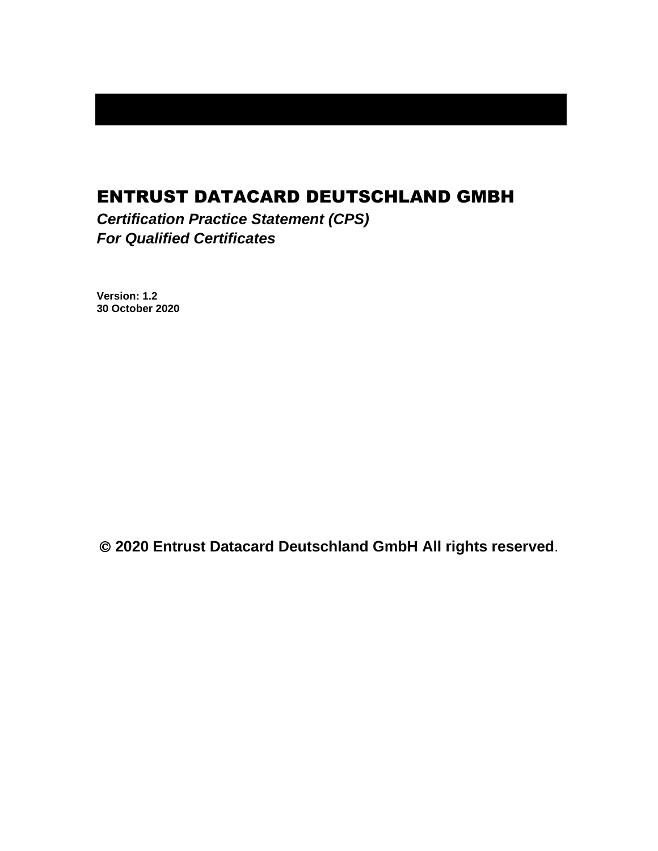# ENTRUST DATACARD DEUTSCHLAND GMBH

*Certification Practice Statement (CPS) For Qualified Certificates*

**Version: 1.2 30 October 2020**

© **2020 Entrust Datacard Deutschland GmbH All rights reserved**.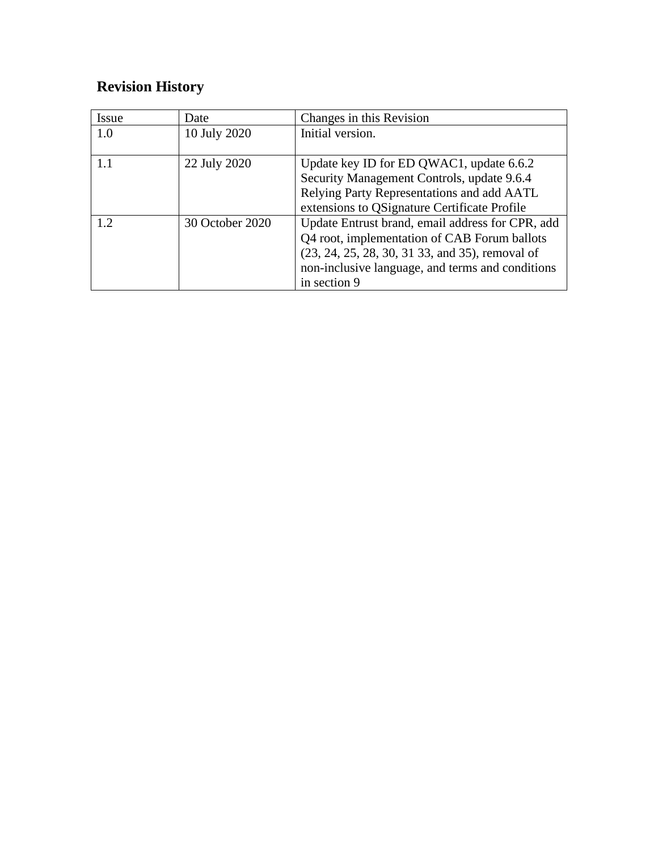# **Revision History**

| Issue | Date            | Changes in this Revision                                                                         |
|-------|-----------------|--------------------------------------------------------------------------------------------------|
| 1.0   | 10 July 2020    | Initial version.                                                                                 |
|       | 22 July 2020    | Update key ID for ED QWAC1, update 6.6.2                                                         |
|       |                 | Security Management Controls, update 9.6.4                                                       |
|       |                 | Relying Party Representations and add AATL                                                       |
|       |                 | extensions to QSignature Certificate Profile                                                     |
| 1.2   | 30 October 2020 | Update Entrust brand, email address for CPR, add<br>Q4 root, implementation of CAB Forum ballots |
|       |                 | $(23, 24, 25, 28, 30, 31, 33,$ and 35), removal of                                               |
|       |                 | non-inclusive language, and terms and conditions                                                 |
|       |                 | in section 9                                                                                     |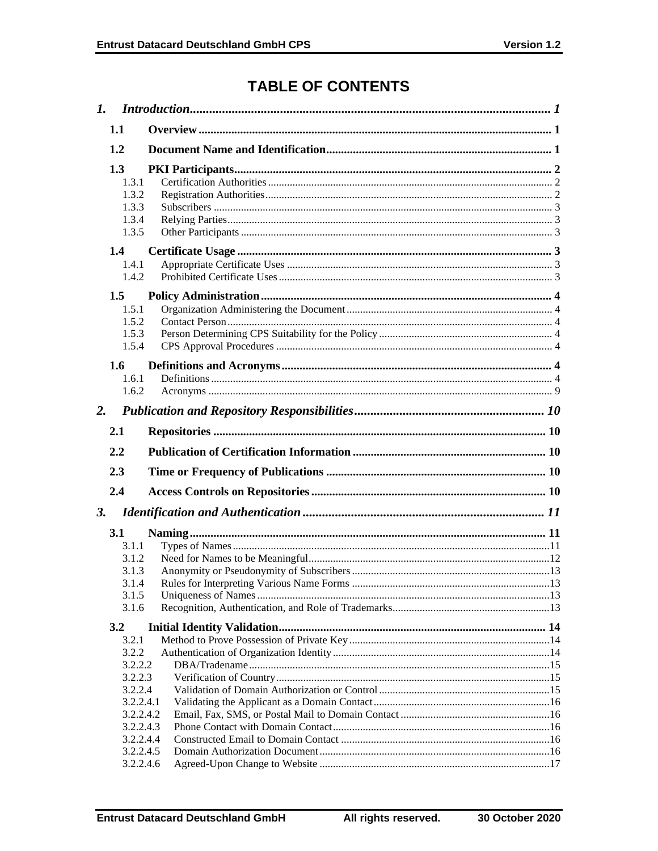# **TABLE OF CONTENTS**

| $\mathbf{I}$ . |                                                           |  |
|----------------|-----------------------------------------------------------|--|
|                | 1.1                                                       |  |
|                | 1.2                                                       |  |
|                | 1.3<br>1.3.1                                              |  |
|                | 1.3.2<br>1.3.3<br>1.3.4                                   |  |
|                | 1.3.5                                                     |  |
|                | 1.4<br>1.4.1                                              |  |
|                | 1.4.2                                                     |  |
|                | 1.5<br>1.5.1<br>1.5.2                                     |  |
|                | 1.5.3<br>1.5.4                                            |  |
|                | 1.6                                                       |  |
|                | 1.6.1<br>1.6.2                                            |  |
| 2.             |                                                           |  |
|                | 2.1                                                       |  |
|                | 2.2                                                       |  |
|                | 2.3                                                       |  |
|                | 2.4                                                       |  |
| 3.             |                                                           |  |
|                | 3.1<br>3.1.1<br>3.1.2<br>3.1.3<br>3.1.4<br>3.1.5<br>3.1.6 |  |
|                | 3.2                                                       |  |
|                | 3.2.1<br>3.2.2<br>3.2.2.2<br>3.2.2.3                      |  |
|                | 3.2.2.4<br>3.2.2.4.1<br>3.2.2.4.2                         |  |
|                | 3.2.2.4.3<br>3.2.2.4.4<br>3.2.2.4.5                       |  |
|                | 3.2.2.4.6                                                 |  |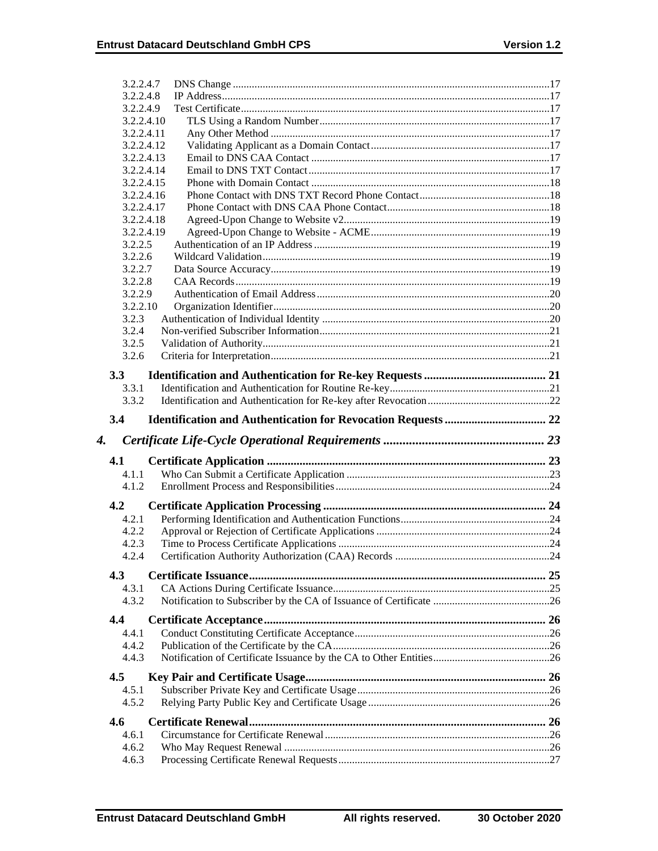|    | 3.2.2.4.7    |  |
|----|--------------|--|
|    | 3.2.2.4.8    |  |
|    | 3.2.2.4.9    |  |
|    | 3.2.2.4.10   |  |
|    | 3.2.2.4.11   |  |
|    | 3.2.2.4.12   |  |
|    | 3.2.2.4.13   |  |
|    | 3.2.2.4.14   |  |
|    | 3.2.2.4.15   |  |
|    | 3.2.2.4.16   |  |
|    | 3.2.2.4.17   |  |
|    | 3.2.2.4.18   |  |
|    | 3.2.2.4.19   |  |
|    | 3.2.2.5      |  |
|    | 3.2.2.6      |  |
|    | 3.2.2.7      |  |
|    | 3.2.2.8      |  |
|    | 3.2.2.9      |  |
|    | 3.2.2.10     |  |
|    | 3.2.3        |  |
|    | 3.2.4        |  |
|    | 3.2.5        |  |
|    | 3.2.6        |  |
|    | 3.3          |  |
|    | 3.3.1        |  |
|    | 3.3.2        |  |
|    |              |  |
|    | 3.4          |  |
|    |              |  |
| 4. |              |  |
|    | 4.1          |  |
|    | 4.1.1        |  |
|    | 4.1.2        |  |
|    |              |  |
|    | 4.2          |  |
|    | 4.2.1        |  |
|    | 4.2.2        |  |
|    | 4.2.3        |  |
|    | 4.2.4        |  |
|    | 4.3          |  |
|    | 4.3.1        |  |
|    | 4.3.2        |  |
|    |              |  |
|    | 4.4          |  |
|    | 4.4.1        |  |
|    | 4.4.2        |  |
|    | 4.4.3        |  |
|    | 4.5          |  |
|    | 4.5.1        |  |
|    | 4.5.2        |  |
|    |              |  |
|    | 4.6<br>4.6.1 |  |
|    | 4.6.2        |  |
|    | 4.6.3        |  |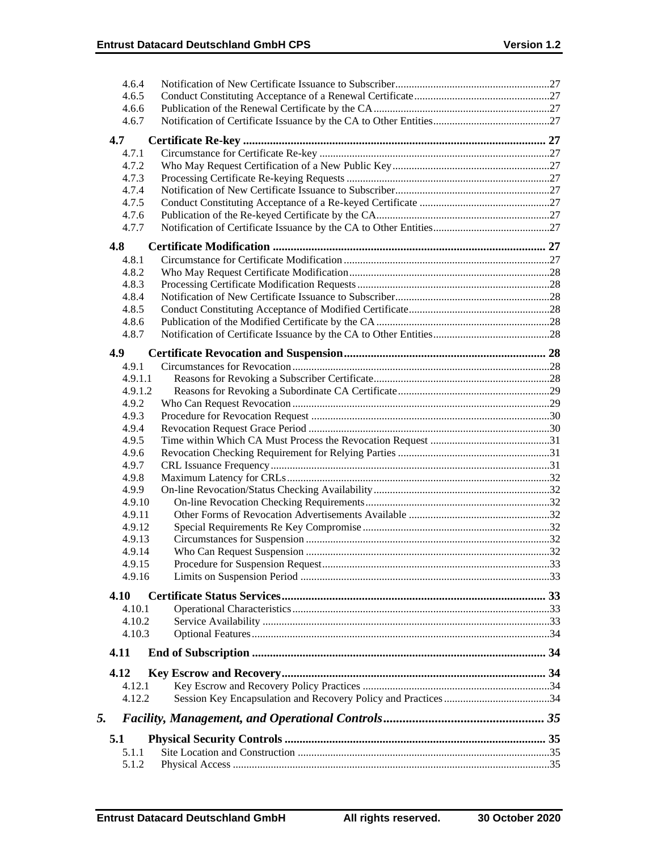|    | 4.6.4            |  |
|----|------------------|--|
|    | 4.6.5            |  |
|    | 4.6.6            |  |
|    | 4.6.7            |  |
|    | 4.7              |  |
|    |                  |  |
|    | 4.7.1            |  |
|    | 4.7.2            |  |
|    | 4.7.3            |  |
|    | 4.7.4            |  |
|    | 4.7.5            |  |
|    | 4.7.6            |  |
|    | 4.7.7            |  |
|    | 4.8              |  |
|    | 4.8.1            |  |
|    | 4.8.2            |  |
|    | 4.8.3            |  |
|    | 4.8.4            |  |
|    | 4.8.5            |  |
|    | 4.8.6            |  |
|    | 4.8.7            |  |
|    |                  |  |
|    | 4.9              |  |
|    | 4.9.1            |  |
|    | 4.9.1.1          |  |
|    | 4.9.1.2          |  |
|    | 4.9.2            |  |
|    | 4.9.3            |  |
|    | 4.9.4            |  |
|    | 4.9.5            |  |
|    | 4.9.6            |  |
|    | 4.9.7            |  |
|    | 4.9.8            |  |
|    | 4.9.9            |  |
|    | 4.9.10           |  |
|    | 4.9.11           |  |
|    | 4.9.12           |  |
|    | 4.9.13           |  |
|    | 4.9.14<br>4.9.15 |  |
|    |                  |  |
|    | 4.9.16           |  |
|    | 4.10             |  |
|    | 4.10.1           |  |
|    | 4.10.2           |  |
|    | 4.10.3           |  |
|    | 4.11             |  |
|    | 4.12             |  |
|    | 4.12.1           |  |
|    | 4.12.2           |  |
|    |                  |  |
| 5. |                  |  |
|    | 5.1              |  |
|    | 5.1.1            |  |
|    | 5.1.2            |  |
|    |                  |  |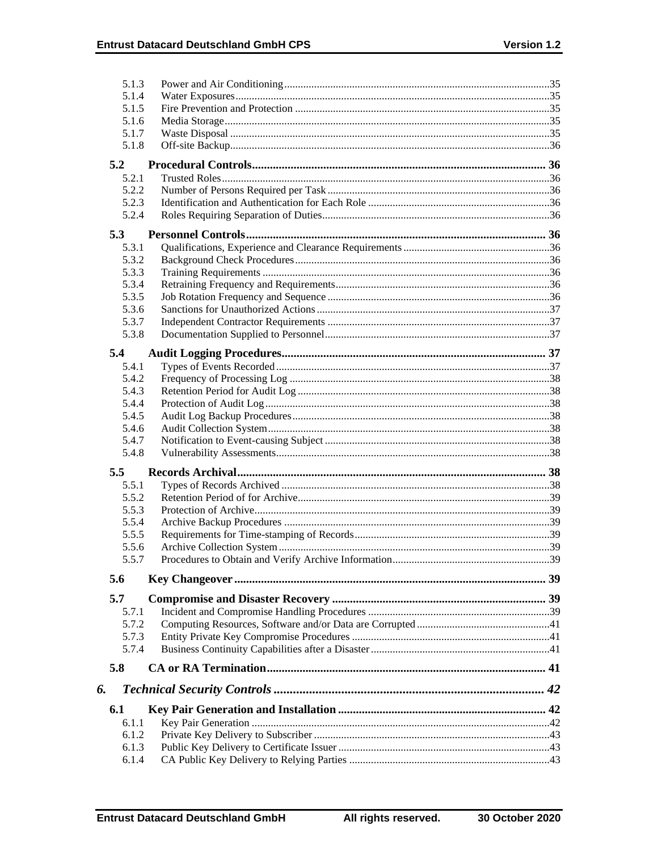| 5.1.3          |  |
|----------------|--|
| 5.1.4          |  |
| 5.1.5          |  |
| 5.1.6          |  |
| 5.1.7          |  |
| 5.1.8          |  |
| 5.2            |  |
| 5.2.1          |  |
| 5.2.2          |  |
| 5.2.3          |  |
| 5.2.4          |  |
| 5.3            |  |
| 5.3.1          |  |
| 5.3.2          |  |
| 5.3.3          |  |
| 5.3.4          |  |
| 5.3.5          |  |
| 5.3.6          |  |
| 5.3.7          |  |
| 5.3.8          |  |
| 5.4            |  |
|                |  |
| 5.4.1<br>5.4.2 |  |
| 5.4.3          |  |
| 5.4.4          |  |
| 5.4.5          |  |
| 5.4.6          |  |
| 5.4.7          |  |
| 5.4.8          |  |
|                |  |
| 5.5            |  |
| 5.5.1          |  |
| 5.5.2          |  |
| 5.5.3          |  |
| 5.5.4<br>5.5.5 |  |
|                |  |
| 5.5.6<br>5.5.7 |  |
|                |  |
| 5.6            |  |
| 5.7            |  |
| 5.7.1          |  |
| 5.7.2          |  |
| 5.7.3          |  |
| 5.7.4          |  |
| 5.8            |  |
| 6.             |  |
| 6.1            |  |
| 6.1.1          |  |
| 6.1.2          |  |
| 6.1.3          |  |
| 6.1.4          |  |
|                |  |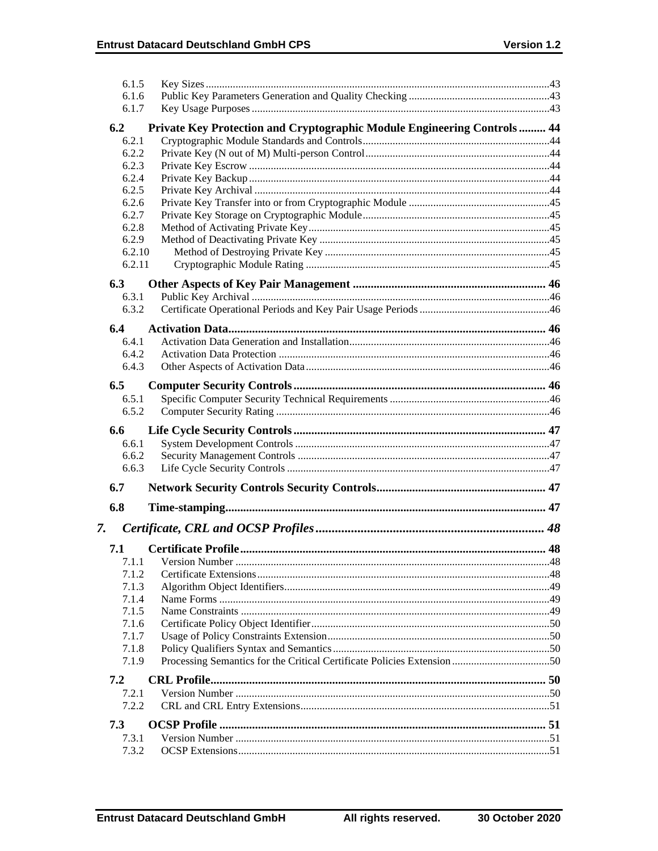|    | 6.1.5          |                                                                          |  |
|----|----------------|--------------------------------------------------------------------------|--|
|    | 6.1.6          |                                                                          |  |
|    | 6.1.7          |                                                                          |  |
|    |                |                                                                          |  |
|    | 6.2            | Private Key Protection and Cryptographic Module Engineering Controls  44 |  |
|    | 6.2.1          |                                                                          |  |
|    | 6.2.2          |                                                                          |  |
|    | 6.2.3          |                                                                          |  |
|    | 6.2.4          |                                                                          |  |
|    | 6.2.5          |                                                                          |  |
|    | 6.2.6          |                                                                          |  |
|    | 6.2.7          |                                                                          |  |
|    | 6.2.8          |                                                                          |  |
|    | 6.2.9          |                                                                          |  |
|    | 6.2.10         |                                                                          |  |
|    | 6.2.11         |                                                                          |  |
|    | 6.3            |                                                                          |  |
|    |                |                                                                          |  |
|    | 6.3.1<br>6.3.2 |                                                                          |  |
|    |                |                                                                          |  |
|    | 6.4            |                                                                          |  |
|    | 6.4.1          |                                                                          |  |
|    | 6.4.2          |                                                                          |  |
|    | 6.4.3          |                                                                          |  |
|    |                |                                                                          |  |
|    | 6.5            |                                                                          |  |
|    | 6.5.1          |                                                                          |  |
|    | 6.5.2          |                                                                          |  |
|    |                |                                                                          |  |
|    |                |                                                                          |  |
|    | 6.6            |                                                                          |  |
|    | 6.6.1          |                                                                          |  |
|    | 6.6.2          |                                                                          |  |
|    | 6.6.3          |                                                                          |  |
|    | 6.7            |                                                                          |  |
|    |                |                                                                          |  |
|    | 6.8            |                                                                          |  |
| 7. |                |                                                                          |  |
|    |                |                                                                          |  |
|    | 7.1            |                                                                          |  |
|    | 7.1.1          |                                                                          |  |
|    | 7.1.2          |                                                                          |  |
|    | 7.1.3          |                                                                          |  |
|    | 7.1.4          |                                                                          |  |
|    | 7.1.5          |                                                                          |  |
|    | 7.1.6          |                                                                          |  |
|    | 7.1.7          |                                                                          |  |
|    | 7.1.8          |                                                                          |  |
|    | 7.1.9          |                                                                          |  |
|    |                |                                                                          |  |
|    | 7.2            |                                                                          |  |
|    | 7.2.1          |                                                                          |  |
|    | 7.2.2          |                                                                          |  |
|    | 7.3            |                                                                          |  |
|    | 7.3.1          |                                                                          |  |
|    | 7.3.2          |                                                                          |  |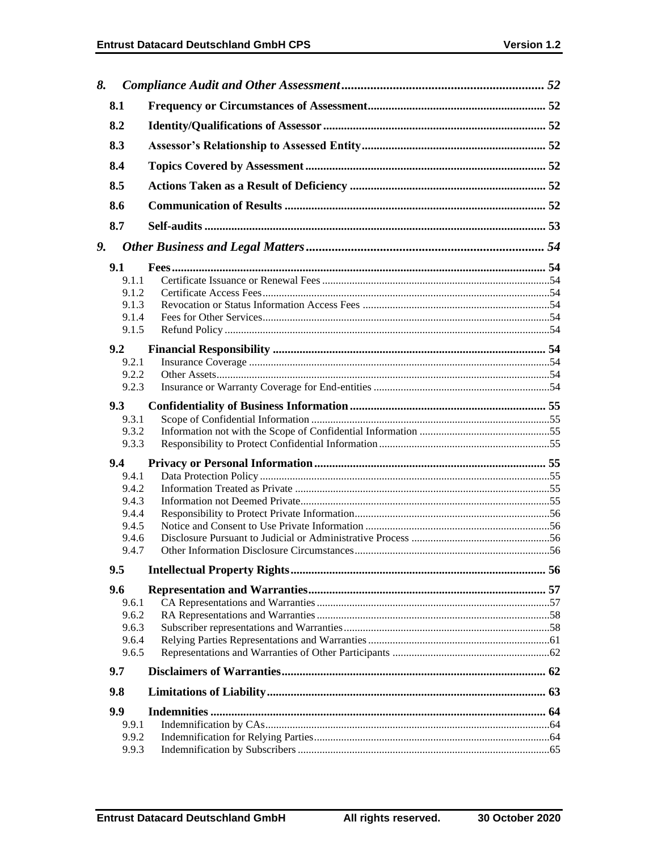| 8. |                |  |
|----|----------------|--|
|    | 8.1            |  |
|    | 8.2            |  |
|    | 8.3            |  |
|    | 8.4            |  |
|    | 8.5            |  |
|    | 8.6            |  |
|    | 8.7            |  |
| 9. |                |  |
|    | 9.1            |  |
|    | 9.1.1          |  |
|    | 9.1.2          |  |
|    | 9.1.3          |  |
|    | 9.1.4          |  |
|    | 9.1.5          |  |
|    |                |  |
|    | 9.2<br>9.2.1   |  |
|    | 9.2.2          |  |
|    | 9.2.3          |  |
|    |                |  |
|    | 9.3            |  |
|    | 9.3.1<br>9.3.2 |  |
|    | 9.3.3          |  |
|    |                |  |
|    | 9.4            |  |
|    | 9.4.1          |  |
|    | 9.4.2          |  |
|    | 9.4.3          |  |
|    | 9.4.4<br>9.4.5 |  |
|    | 9.4.6          |  |
|    | 9.4.7          |  |
|    |                |  |
|    | 9.5            |  |
|    | 9.6            |  |
|    | 9.6.1          |  |
|    | 9.6.2          |  |
|    | 9.6.3          |  |
|    | 9.6.4<br>9.6.5 |  |
|    |                |  |
|    | 9.7            |  |
|    | 9.8            |  |
|    | 9.9            |  |
|    | 9.9.1          |  |
|    | 9.9.2          |  |
|    | 9.9.3          |  |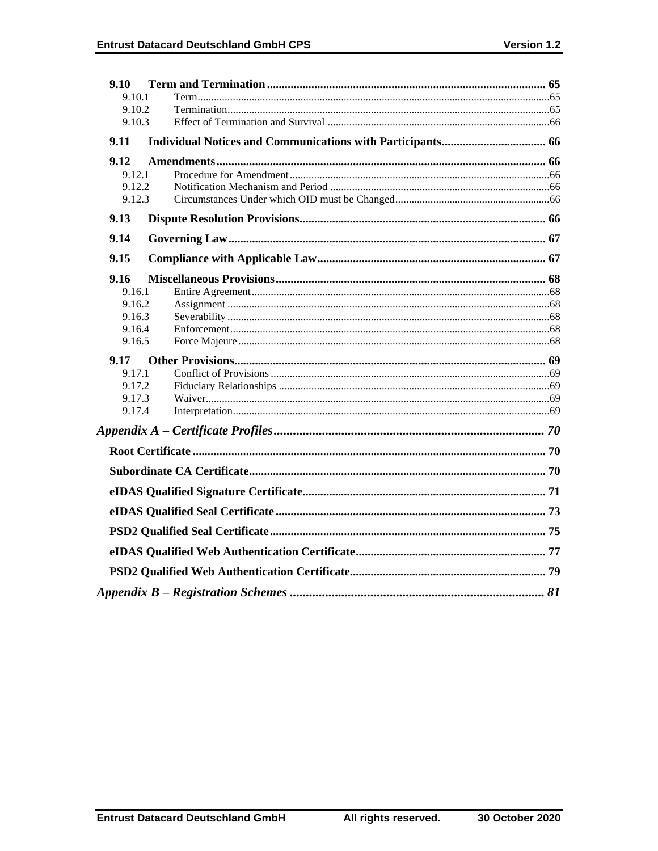| 9.10             |  |
|------------------|--|
| 9.10.1           |  |
| 9.10.2           |  |
| 9.10.3           |  |
| 9.11             |  |
| 9.12             |  |
| 9.12.1           |  |
| 9.12.2           |  |
| 9.12.3           |  |
| 9.13             |  |
| 9.14             |  |
| 9.15             |  |
| 9.16             |  |
| 9.16.1           |  |
| 9.16.2           |  |
| 9.16.3           |  |
| 9.16.4<br>9.16.5 |  |
|                  |  |
| 9.17             |  |
| 9.17.1           |  |
| 9.17.2<br>9.17.3 |  |
| 9.17.4           |  |
|                  |  |
|                  |  |
|                  |  |
|                  |  |
|                  |  |
|                  |  |
|                  |  |
|                  |  |
|                  |  |
|                  |  |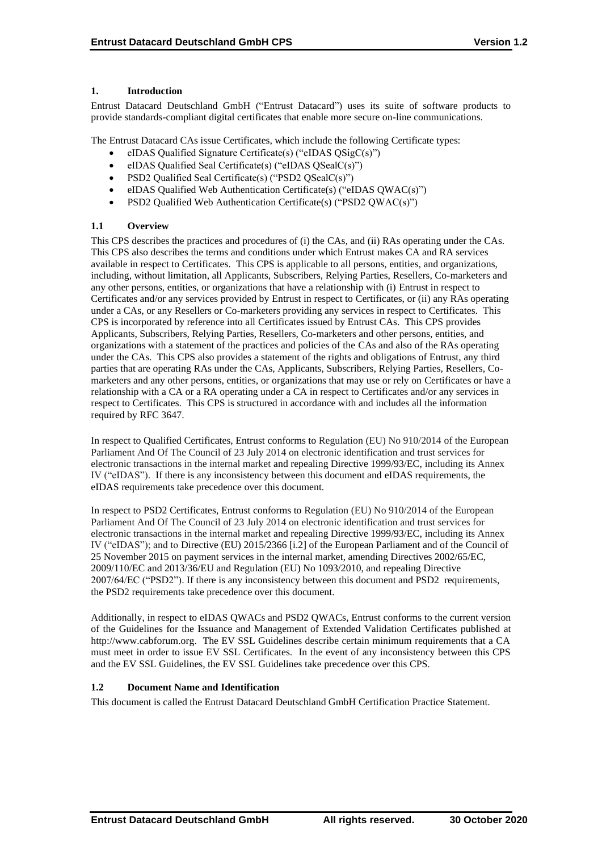## **1. Introduction**

Entrust Datacard Deutschland GmbH ("Entrust Datacard") uses its suite of software products to provide standards-compliant digital certificates that enable more secure on-line communications.

The Entrust Datacard CAs issue Certificates, which include the following Certificate types:

- eIDAS Qualified Signature Certificate(s) ("eIDAS QSigC(s)")
- eIDAS Qualified Seal Certificate(s) ("eIDAS QSealC(s)")
- PSD2 Qualified Seal Certificate(s) ("PSD2 QSealC(s)")
- eIDAS Qualified Web Authentication Certificate(s) ("eIDAS QWAC(s)")
- PSD2 Qualified Web Authentication Certificate(s) ("PSD2 QWAC(s)")

## **1.1 Overview**

This CPS describes the practices and procedures of (i) the CAs, and (ii) RAs operating under the CAs. This CPS also describes the terms and conditions under which Entrust makes CA and RA services available in respect to Certificates. This CPS is applicable to all persons, entities, and organizations, including, without limitation, all Applicants, Subscribers, Relying Parties, Resellers, Co-marketers and any other persons, entities, or organizations that have a relationship with (i) Entrust in respect to Certificates and/or any services provided by Entrust in respect to Certificates, or (ii) any RAs operating under a CAs, or any Resellers or Co-marketers providing any services in respect to Certificates. This CPS is incorporated by reference into all Certificates issued by Entrust CAs. This CPS provides Applicants, Subscribers, Relying Parties, Resellers, Co-marketers and other persons, entities, and organizations with a statement of the practices and policies of the CAs and also of the RAs operating under the CAs. This CPS also provides a statement of the rights and obligations of Entrust, any third parties that are operating RAs under the CAs, Applicants, Subscribers, Relying Parties, Resellers, Comarketers and any other persons, entities, or organizations that may use or rely on Certificates or have a relationship with a CA or a RA operating under a CA in respect to Certificates and/or any services in respect to Certificates. This CPS is structured in accordance with and includes all the information required by RFC 3647.

In respect to Qualified Certificates, Entrust conforms to Regulation (EU) No 910/2014 of the European Parliament And Of The Council of 23 July 2014 on electronic identification and trust services for electronic transactions in the internal market and repealing Directive 1999/93/EC, including its Annex IV ("eIDAS"). If there is any inconsistency between this document and eIDAS requirements, the eIDAS requirements take precedence over this document.

In respect to PSD2 Certificates, Entrust conforms to Regulation (EU) No 910/2014 of the European Parliament And Of The Council of 23 July 2014 on electronic identification and trust services for electronic transactions in the internal market and repealing Directive 1999/93/EC, including its Annex IV ("eIDAS"); and to Directive (EU) 2015/2366 [i.2] of the European Parliament and of the Council of 25 November 2015 on payment services in the internal market, amending Directives 2002/65/EC, 2009/110/EC and 2013/36/EU and Regulation (EU) No 1093/2010, and repealing Directive 2007/64/EC ("PSD2"). If there is any inconsistency between this document and PSD2 requirements, the PSD2 requirements take precedence over this document.

Additionally, in respect to eIDAS QWACs and PSD2 QWACs, Entrust conforms to the current version of the Guidelines for the Issuance and Management of Extended Validation Certificates published at http://www.cabforum.org. The EV SSL Guidelines describe certain minimum requirements that a CA must meet in order to issue EV SSL Certificates. In the event of any inconsistency between this CPS and the EV SSL Guidelines, the EV SSL Guidelines take precedence over this CPS.

## **1.2 Document Name and Identification**

This document is called the Entrust Datacard Deutschland GmbH Certification Practice Statement.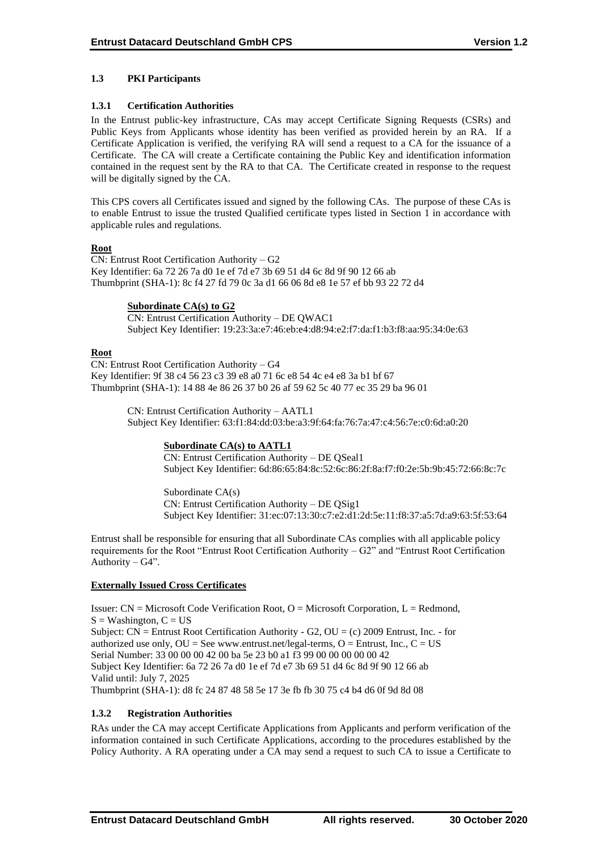## **1.3 PKI Participants**

## **1.3.1 Certification Authorities**

In the Entrust public-key infrastructure, CAs may accept Certificate Signing Requests (CSRs) and Public Keys from Applicants whose identity has been verified as provided herein by an RA. If a Certificate Application is verified, the verifying RA will send a request to a CA for the issuance of a Certificate. The CA will create a Certificate containing the Public Key and identification information contained in the request sent by the RA to that CA. The Certificate created in response to the request will be digitally signed by the CA.

This CPS covers all Certificates issued and signed by the following CAs. The purpose of these CAs is to enable Entrust to issue the trusted Qualified certificate types listed in Section 1 in accordance with applicable rules and regulations.

## **Root**

CN: Entrust Root Certification Authority – G2 Key Identifier: 6a 72 26 7a d0 1e ef 7d e7 3b 69 51 d4 6c 8d 9f 90 12 66 ab Thumbprint (SHA-1): 8c f4 27 fd 79 0c 3a d1 66 06 8d e8 1e 57 ef bb 93 22 72 d4

## **Subordinate CA(s) to G2**

CN: Entrust Certification Authority – DE QWAC1 Subject Key Identifier: 19:23:3a:e7:46:eb:e4:d8:94:e2:f7:da:f1:b3:f8:aa:95:34:0e:63

## **Root**

CN: Entrust Root Certification Authority – G4 Key Identifier: 9f 38 c4 56 23 c3 39 e8 a0 71 6c e8 54 4c e4 e8 3a b1 bf 67 Thumbprint (SHA-1): 14 88 4e 86 26 37 b0 26 af 59 62 5c 40 77 ec 35 29 ba 96 01

> CN: Entrust Certification Authority – AATL1 Subject Key Identifier: 63:f1:84:dd:03:be:a3:9f:64:fa:76:7a:47:c4:56:7e:c0:6d:a0:20

## **Subordinate CA(s) to AATL1**

CN: Entrust Certification Authority – DE QSeal1 Subject Key Identifier: 6d:86:65:84:8c:52:6c:86:2f:8a:f7:f0:2e:5b:9b:45:72:66:8c:7c

Subordinate CA(s) CN: Entrust Certification Authority – DE QSig1 Subject Key Identifier: 31:ec:07:13:30:c7:e2:d1:2d:5e:11:f8:37:a5:7d:a9:63:5f:53:64

Entrust shall be responsible for ensuring that all Subordinate CAs complies with all applicable policy requirements for the Root "Entrust Root Certification Authority – G2" and "Entrust Root Certification Authority – G4".

#### **Externally Issued Cross Certificates**

Issuer: CN = Microsoft Code Verification Root, O = Microsoft Corporation, L = Redmond,  $S =$  Washington,  $C = US$ Subject: CN = Entrust Root Certification Authority - G2, OU = (c) 2009 Entrust, Inc. - for authorized use only,  $OU = See$  www.entrust.net/legal-terms,  $O =$  Entrust, Inc.,  $C = US$ Serial Number: 33 00 00 00 42 00 ba 5e 23 b0 a1 f3 99 00 00 00 00 00 42 Subject Key Identifier: 6a 72 26 7a d0 1e ef 7d e7 3b 69 51 d4 6c 8d 9f 90 12 66 ab Valid until: July 7, 2025 Thumbprint (SHA-1): d8 fc 24 87 48 58 5e 17 3e fb fb 30 75 c4 b4 d6 0f 9d 8d 08

#### **1.3.2 Registration Authorities**

RAs under the CA may accept Certificate Applications from Applicants and perform verification of the information contained in such Certificate Applications, according to the procedures established by the Policy Authority. A RA operating under a CA may send a request to such CA to issue a Certificate to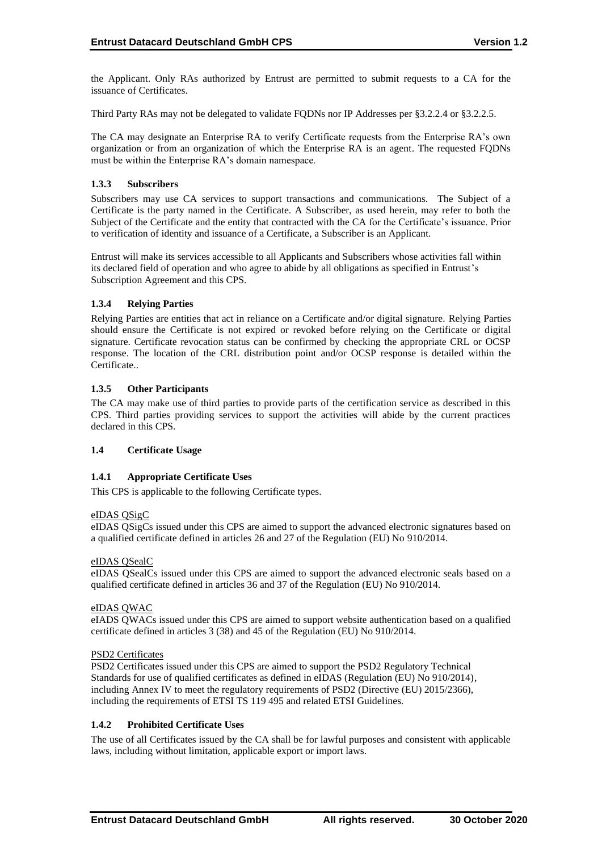the Applicant. Only RAs authorized by Entrust are permitted to submit requests to a CA for the issuance of Certificates.

Third Party RAs may not be delegated to validate FQDNs nor IP Addresses per §3.2.2.4 or §3.2.2.5.

The CA may designate an Enterprise RA to verify Certificate requests from the Enterprise RA's own organization or from an organization of which the Enterprise RA is an agent. The requested FQDNs must be within the Enterprise RA's domain namespace.

#### **1.3.3 Subscribers**

Subscribers may use CA services to support transactions and communications. The Subject of a Certificate is the party named in the Certificate. A Subscriber, as used herein, may refer to both the Subject of the Certificate and the entity that contracted with the CA for the Certificate's issuance. Prior to verification of identity and issuance of a Certificate, a Subscriber is an Applicant.

Entrust will make its services accessible to all Applicants and Subscribers whose activities fall within its declared field of operation and who agree to abide by all obligations as specified in Entrust's Subscription Agreement and this CPS.

## **1.3.4 Relying Parties**

Relying Parties are entities that act in reliance on a Certificate and/or digital signature. Relying Parties should ensure the Certificate is not expired or revoked before relying on the Certificate or digital signature. Certificate revocation status can be confirmed by checking the appropriate CRL or OCSP response. The location of the CRL distribution point and/or OCSP response is detailed within the Certificate..

## **1.3.5 Other Participants**

The CA may make use of third parties to provide parts of the certification service as described in this CPS. Third parties providing services to support the activities will abide by the current practices declared in this CPS.

## **1.4 Certificate Usage**

#### **1.4.1 Appropriate Certificate Uses**

This CPS is applicable to the following Certificate types.

#### eIDAS QSigC

eIDAS QSigCs issued under this CPS are aimed to support the advanced electronic signatures based on a qualified certificate defined in articles 26 and 27 of the Regulation (EU) No 910/2014.

#### eIDAS QSealC

eIDAS QSealCs issued under this CPS are aimed to support the advanced electronic seals based on a qualified certificate defined in articles 36 and 37 of the Regulation (EU) No 910/2014.

#### eIDAS QWAC

eIADS QWACs issued under this CPS are aimed to support website authentication based on a qualified certificate defined in articles 3 (38) and 45 of the Regulation (EU) No 910/2014.

#### PSD2 Certificates

PSD2 Certificates issued under this CPS are aimed to support the PSD2 Regulatory Technical Standards for use of qualified certificates as defined in eIDAS (Regulation (EU) No 910/2014), including Annex IV to meet the regulatory requirements of PSD2 (Directive (EU) 2015/2366), including the requirements of ETSI TS 119 495 and related ETSI Guidelines.

#### **1.4.2 Prohibited Certificate Uses**

The use of all Certificates issued by the CA shall be for lawful purposes and consistent with applicable laws, including without limitation, applicable export or import laws.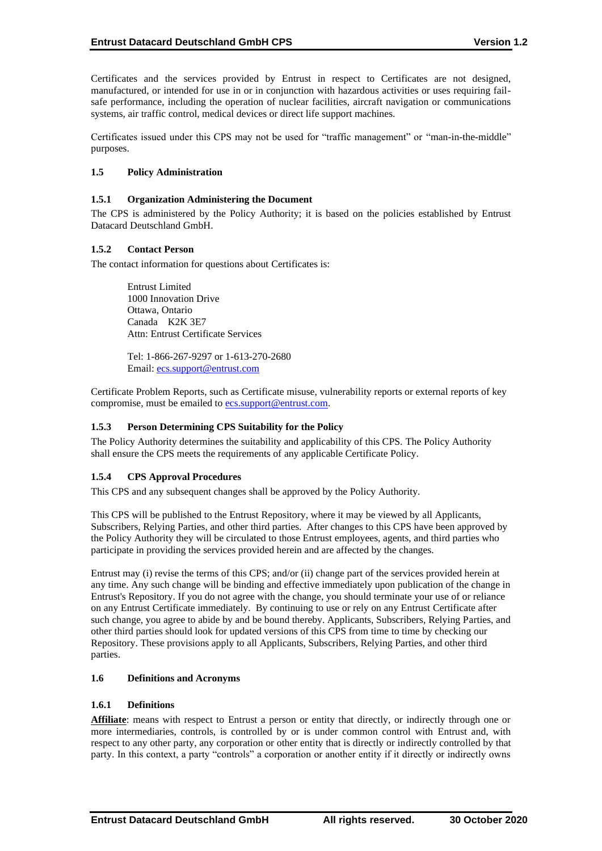Certificates and the services provided by Entrust in respect to Certificates are not designed, manufactured, or intended for use in or in conjunction with hazardous activities or uses requiring failsafe performance, including the operation of nuclear facilities, aircraft navigation or communications systems, air traffic control, medical devices or direct life support machines.

Certificates issued under this CPS may not be used for "traffic management" or "man-in-the-middle" purposes.

#### **1.5 Policy Administration**

#### **1.5.1 Organization Administering the Document**

The CPS is administered by the Policy Authority; it is based on the policies established by Entrust Datacard Deutschland GmbH.

## **1.5.2 Contact Person**

The contact information for questions about Certificates is:

Entrust Limited 1000 Innovation Drive Ottawa, Ontario Canada K2K 3E7 Attn: Entrust Certificate Services

Tel: 1-866-267-9297 or 1-613-270-2680 Email: [ecs.support@entrust.com](mailto:ecs.support@entrustdatacard.com)

Certificate Problem Reports, such as Certificate misuse, vulnerability reports or external reports of key compromise, must be emailed to **ecs.support@entrust.com**.

## **1.5.3 Person Determining CPS Suitability for the Policy**

The Policy Authority determines the suitability and applicability of this CPS. The Policy Authority shall ensure the CPS meets the requirements of any applicable Certificate Policy.

#### **1.5.4 CPS Approval Procedures**

This CPS and any subsequent changes shall be approved by the Policy Authority.

This CPS will be published to the Entrust Repository, where it may be viewed by all Applicants, Subscribers, Relying Parties, and other third parties. After changes to this CPS have been approved by the Policy Authority they will be circulated to those Entrust employees, agents, and third parties who participate in providing the services provided herein and are affected by the changes.

Entrust may (i) revise the terms of this CPS; and/or (ii) change part of the services provided herein at any time. Any such change will be binding and effective immediately upon publication of the change in Entrust's Repository. If you do not agree with the change, you should terminate your use of or reliance on any Entrust Certificate immediately. By continuing to use or rely on any Entrust Certificate after such change, you agree to abide by and be bound thereby. Applicants, Subscribers, Relying Parties, and other third parties should look for updated versions of this CPS from time to time by checking our Repository. These provisions apply to all Applicants, Subscribers, Relying Parties, and other third parties.

#### **1.6 Definitions and Acronyms**

#### **1.6.1 Definitions**

Affiliate: means with respect to Entrust a person or entity that directly, or indirectly through one or more intermediaries, controls, is controlled by or is under common control with Entrust and, with respect to any other party, any corporation or other entity that is directly or indirectly controlled by that party. In this context, a party "controls" a corporation or another entity if it directly or indirectly owns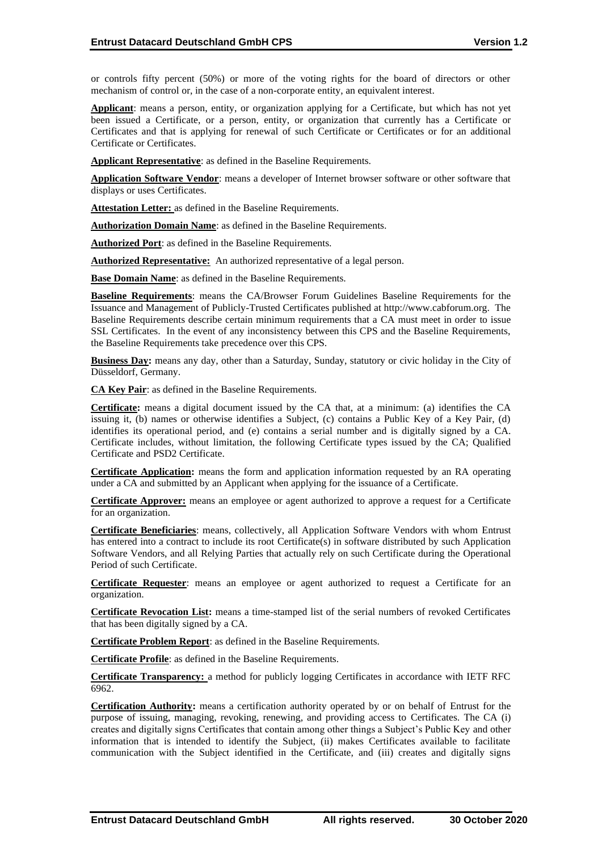or controls fifty percent (50%) or more of the voting rights for the board of directors or other mechanism of control or, in the case of a non-corporate entity, an equivalent interest.

**Applicant**: means a person, entity, or organization applying for a Certificate, but which has not yet been issued a Certificate, or a person, entity, or organization that currently has a Certificate or Certificates and that is applying for renewal of such Certificate or Certificates or for an additional Certificate or Certificates.

**Applicant Representative**: as defined in the Baseline Requirements.

**Application Software Vendor**: means a developer of Internet browser software or other software that displays or uses Certificates.

**Attestation Letter:** as defined in the Baseline Requirements.

**Authorization Domain Name**: as defined in the Baseline Requirements.

**Authorized Port**: as defined in the Baseline Requirements.

**Authorized Representative:** An authorized representative of a legal person.

**Base Domain Name**: as defined in the Baseline Requirements.

**Baseline Requirements**: means the CA/Browser Forum Guidelines Baseline Requirements for the Issuance and Management of Publicly-Trusted Certificates published at http://www.cabforum.org. The Baseline Requirements describe certain minimum requirements that a CA must meet in order to issue SSL Certificates. In the event of any inconsistency between this CPS and the Baseline Requirements, the Baseline Requirements take precedence over this CPS.

**Business Day:** means any day, other than a Saturday, Sunday, statutory or civic holiday in the City of Düsseldorf, Germany.

**CA Key Pair**: as defined in the Baseline Requirements.

**Certificate:** means a digital document issued by the CA that, at a minimum: (a) identifies the CA issuing it, (b) names or otherwise identifies a Subject, (c) contains a Public Key of a Key Pair, (d) identifies its operational period, and (e) contains a serial number and is digitally signed by a CA. Certificate includes, without limitation, the following Certificate types issued by the CA; Qualified Certificate and PSD2 Certificate.

**Certificate Application:** means the form and application information requested by an RA operating under a CA and submitted by an Applicant when applying for the issuance of a Certificate.

**Certificate Approver:** means an employee or agent authorized to approve a request for a Certificate for an organization.

**Certificate Beneficiaries**: means, collectively, all Application Software Vendors with whom Entrust has entered into a contract to include its root Certificate(s) in software distributed by such Application Software Vendors, and all Relying Parties that actually rely on such Certificate during the Operational Period of such Certificate.

**Certificate Requester**: means an employee or agent authorized to request a Certificate for an organization.

**Certificate Revocation List:** means a time-stamped list of the serial numbers of revoked Certificates that has been digitally signed by a CA.

**Certificate Problem Report**: as defined in the Baseline Requirements.

**Certificate Profile**: as defined in the Baseline Requirements.

**Certificate Transparency:** a method for publicly logging Certificates in accordance with IETF RFC 6962.

**Certification Authority:** means a certification authority operated by or on behalf of Entrust for the purpose of issuing, managing, revoking, renewing, and providing access to Certificates. The CA (i) creates and digitally signs Certificates that contain among other things a Subject's Public Key and other information that is intended to identify the Subject, (ii) makes Certificates available to facilitate communication with the Subject identified in the Certificate, and (iii) creates and digitally signs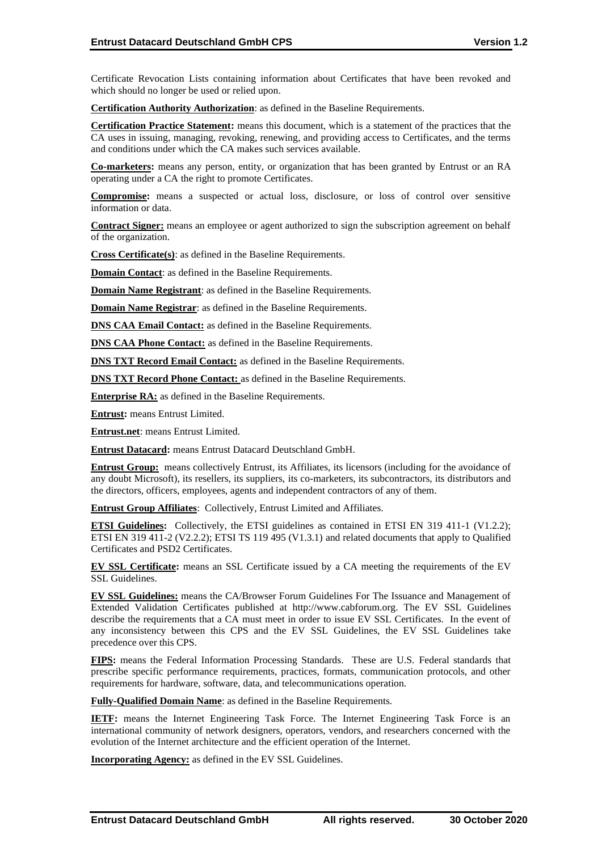Certificate Revocation Lists containing information about Certificates that have been revoked and which should no longer be used or relied upon.

**Certification Authority Authorization**: as defined in the Baseline Requirements.

**Certification Practice Statement:** means this document, which is a statement of the practices that the CA uses in issuing, managing, revoking, renewing, and providing access to Certificates, and the terms and conditions under which the CA makes such services available.

**Co-marketers:** means any person, entity, or organization that has been granted by Entrust or an RA operating under a CA the right to promote Certificates.

**Compromise:** means a suspected or actual loss, disclosure, or loss of control over sensitive information or data.

**Contract Signer:** means an employee or agent authorized to sign the subscription agreement on behalf of the organization.

**Cross Certificate(s)**: as defined in the Baseline Requirements.

**Domain Contact**: as defined in the Baseline Requirements.

**Domain Name Registrant**: as defined in the Baseline Requirements.

**Domain Name Registrar**: as defined in the Baseline Requirements.

**DNS CAA Email Contact:** as defined in the Baseline Requirements.

**DNS CAA Phone Contact:** as defined in the Baseline Requirements.

**DNS TXT Record Email Contact:** as defined in the Baseline Requirements.

**DNS TXT Record Phone Contact:** as defined in the Baseline Requirements.

**Enterprise RA:** as defined in the Baseline Requirements.

**Entrust:** means Entrust Limited.

**Entrust.net**: means Entrust Limited.

**Entrust Datacard:** means Entrust Datacard Deutschland GmbH.

**Entrust Group:** means collectively Entrust, its Affiliates, its licensors (including for the avoidance of any doubt Microsoft), its resellers, its suppliers, its co-marketers, its subcontractors, its distributors and the directors, officers, employees, agents and independent contractors of any of them.

**Entrust Group Affiliates**: Collectively, Entrust Limited and Affiliates.

**ETSI Guidelines:** Collectively, the ETSI guidelines as contained in ETSI EN 319 411-1 (V1.2.2); ETSI EN 319 411-2 (V2.2.2); ETSI TS 119 495 (V1.3.1) and related documents that apply to Qualified Certificates and PSD2 Certificates.

**EV SSL Certificate:** means an SSL Certificate issued by a CA meeting the requirements of the EV SSL Guidelines.

**EV SSL Guidelines:** means the CA/Browser Forum Guidelines For The Issuance and Management of Extended Validation Certificates published at http://www.cabforum.org. The EV SSL Guidelines describe the requirements that a CA must meet in order to issue EV SSL Certificates. In the event of any inconsistency between this CPS and the EV SSL Guidelines, the EV SSL Guidelines take precedence over this CPS.

**FIPS:** means the Federal Information Processing Standards. These are U.S. Federal standards that prescribe specific performance requirements, practices, formats, communication protocols, and other requirements for hardware, software, data, and telecommunications operation.

**Fully-Qualified Domain Name**: as defined in the Baseline Requirements.

**IETF:** means the Internet Engineering Task Force. The Internet Engineering Task Force is an international community of network designers, operators, vendors, and researchers concerned with the evolution of the Internet architecture and the efficient operation of the Internet.

**Incorporating Agency:** as defined in the EV SSL Guidelines.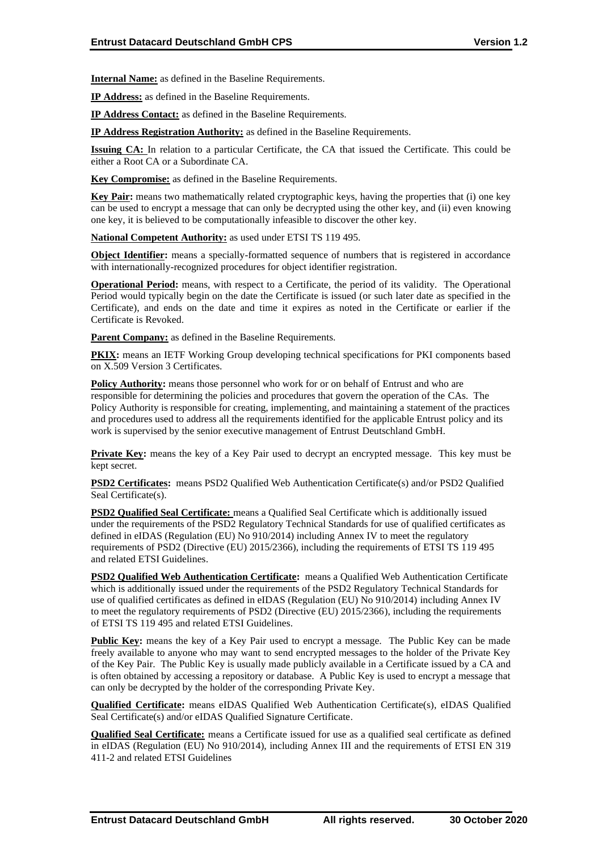**Internal Name:** as defined in the Baseline Requirements.

**IP Address:** as defined in the Baseline Requirements.

**IP Address Contact:** as defined in the Baseline Requirements.

**IP Address Registration Authority:** as defined in the Baseline Requirements.

**Issuing CA:** In relation to a particular Certificate, the CA that issued the Certificate. This could be either a Root CA or a Subordinate CA.

**Key Compromise:** as defined in the Baseline Requirements.

**Key Pair:** means two mathematically related cryptographic keys, having the properties that (i) one key can be used to encrypt a message that can only be decrypted using the other key, and (ii) even knowing one key, it is believed to be computationally infeasible to discover the other key.

**National Competent Authority:** as used under ETSI TS 119 495.

**Object Identifier:** means a specially-formatted sequence of numbers that is registered in accordance with internationally-recognized procedures for object identifier registration.

**Operational Period:** means, with respect to a Certificate, the period of its validity. The Operational Period would typically begin on the date the Certificate is issued (or such later date as specified in the Certificate), and ends on the date and time it expires as noted in the Certificate or earlier if the Certificate is Revoked.

**Parent Company:** as defined in the Baseline Requirements.

**PKIX:** means an IETF Working Group developing technical specifications for PKI components based on X.509 Version 3 Certificates.

**Policy Authority:** means those personnel who work for or on behalf of Entrust and who are responsible for determining the policies and procedures that govern the operation of the CAs. The Policy Authority is responsible for creating, implementing, and maintaining a statement of the practices and procedures used to address all the requirements identified for the applicable Entrust policy and its work is supervised by the senior executive management of Entrust Deutschland GmbH.

**Private Key:** means the key of a Key Pair used to decrypt an encrypted message. This key must be kept secret.

**PSD2 Certificates:** means PSD2 Qualified Web Authentication Certificate(s) and/or PSD2 Qualified Seal Certificate(s).

**PSD2 Qualified Seal Certificate:** means a Qualified Seal Certificate which is additionally issued under the requirements of the PSD2 Regulatory Technical Standards for use of qualified certificates as defined in eIDAS (Regulation (EU) No 910/2014) including Annex IV to meet the regulatory requirements of PSD2 (Directive (EU) 2015/2366), including the requirements of ETSI TS 119 495 and related ETSI Guidelines.

**PSD2 Qualified Web Authentication Certificate:** means a Qualified Web Authentication Certificate which is additionally issued under the requirements of the PSD2 Regulatory Technical Standards for use of qualified certificates as defined in eIDAS (Regulation (EU) No 910/2014) including Annex IV to meet the regulatory requirements of PSD2 (Directive (EU) 2015/2366), including the requirements of ETSI TS 119 495 and related ETSI Guidelines.

**Public Key:** means the key of a Key Pair used to encrypt a message. The Public Key can be made freely available to anyone who may want to send encrypted messages to the holder of the Private Key of the Key Pair. The Public Key is usually made publicly available in a Certificate issued by a CA and is often obtained by accessing a repository or database. A Public Key is used to encrypt a message that can only be decrypted by the holder of the corresponding Private Key.

**Qualified Certificate:** means eIDAS Qualified Web Authentication Certificate(s), eIDAS Qualified Seal Certificate(s) and/or eIDAS Qualified Signature Certificate.

**Qualified Seal Certificate:** means a Certificate issued for use as a qualified seal certificate as defined in eIDAS (Regulation (EU) No 910/2014), including Annex III and the requirements of ETSI EN 319 411-2 and related ETSI Guidelines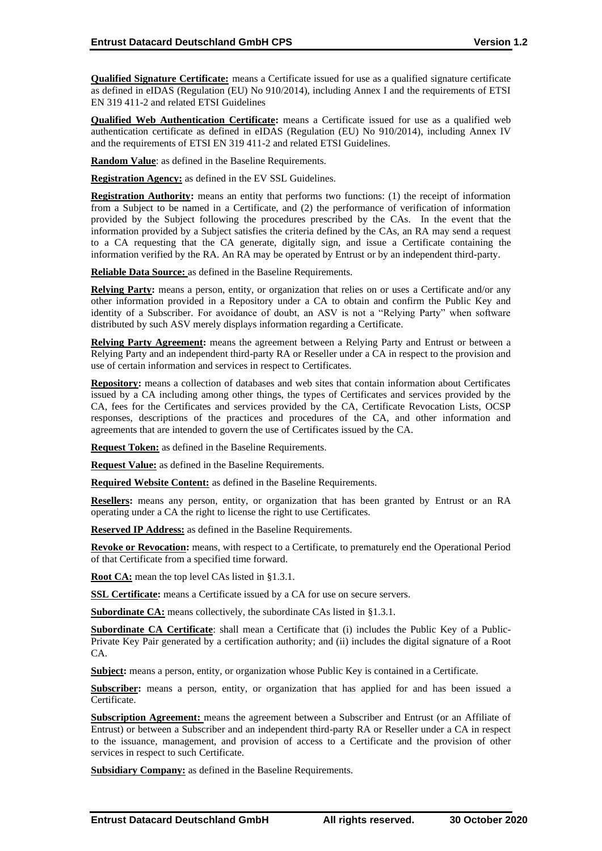**Qualified Signature Certificate:** means a Certificate issued for use as a qualified signature certificate as defined in eIDAS (Regulation (EU) No 910/2014), including Annex I and the requirements of ETSI EN 319 411-2 and related ETSI Guidelines

**Qualified Web Authentication Certificate:** means a Certificate issued for use as a qualified web authentication certificate as defined in eIDAS (Regulation (EU) No 910/2014), including Annex IV and the requirements of ETSI EN 319 411-2 and related ETSI Guidelines.

**Random Value**: as defined in the Baseline Requirements.

**Registration Agency:** as defined in the EV SSL Guidelines.

**Registration Authority:** means an entity that performs two functions: (1) the receipt of information from a Subject to be named in a Certificate, and (2) the performance of verification of information provided by the Subject following the procedures prescribed by the CAs. In the event that the information provided by a Subject satisfies the criteria defined by the CAs, an RA may send a request to a CA requesting that the CA generate, digitally sign, and issue a Certificate containing the information verified by the RA. An RA may be operated by Entrust or by an independent third-party.

**Reliable Data Source:** as defined in the Baseline Requirements.

**Relying Party:** means a person, entity, or organization that relies on or uses a Certificate and/or any other information provided in a Repository under a CA to obtain and confirm the Public Key and identity of a Subscriber. For avoidance of doubt, an ASV is not a "Relying Party" when software distributed by such ASV merely displays information regarding a Certificate.

**Relying Party Agreement:** means the agreement between a Relying Party and Entrust or between a Relying Party and an independent third-party RA or Reseller under a CA in respect to the provision and use of certain information and services in respect to Certificates.

**Repository:** means a collection of databases and web sites that contain information about Certificates issued by a CA including among other things, the types of Certificates and services provided by the CA, fees for the Certificates and services provided by the CA, Certificate Revocation Lists, OCSP responses, descriptions of the practices and procedures of the CA, and other information and agreements that are intended to govern the use of Certificates issued by the CA.

**Request Token:** as defined in the Baseline Requirements.

**Request Value:** as defined in the Baseline Requirements.

**Required Website Content:** as defined in the Baseline Requirements.

**Resellers:** means any person, entity, or organization that has been granted by Entrust or an RA operating under a CA the right to license the right to use Certificates.

**Reserved IP Address:** as defined in the Baseline Requirements.

**Revoke or Revocation:** means, with respect to a Certificate, to prematurely end the Operational Period of that Certificate from a specified time forward.

**Root CA:** mean the top level CAs listed in §1.3.1.

**SSL Certificate:** means a Certificate issued by a CA for use on secure servers.

**Subordinate CA:** means collectively, the subordinate CAs listed in §1.3.1.

**Subordinate CA Certificate**: shall mean a Certificate that (i) includes the Public Key of a Public-Private Key Pair generated by a certification authority; and (ii) includes the digital signature of a Root CA.

**Subject:** means a person, entity, or organization whose Public Key is contained in a Certificate.

**Subscriber:** means a person, entity, or organization that has applied for and has been issued a Certificate.

**Subscription Agreement:** means the agreement between a Subscriber and Entrust (or an Affiliate of Entrust) or between a Subscriber and an independent third-party RA or Reseller under a CA in respect to the issuance, management, and provision of access to a Certificate and the provision of other services in respect to such Certificate.

**Subsidiary Company:** as defined in the Baseline Requirements.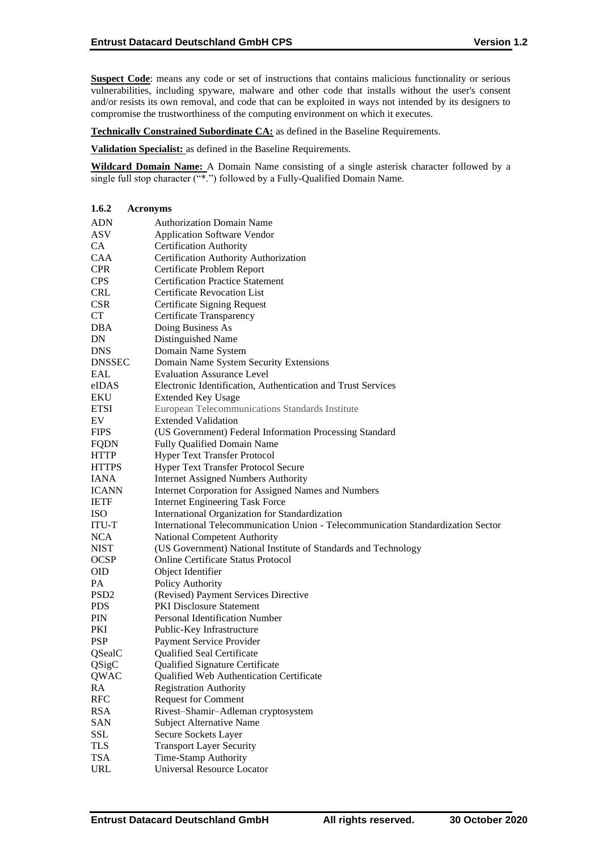**Suspect Code**: means any code or set of instructions that contains malicious functionality or serious vulnerabilities, including spyware, malware and other code that installs without the user's consent and/or resists its own removal, and code that can be exploited in ways not intended by its designers to compromise the trustworthiness of the computing environment on which it executes.

**Technically Constrained Subordinate CA:** as defined in the Baseline Requirements.

**Validation Specialist:** as defined in the Baseline Requirements.

**Wildcard Domain Name:** A Domain Name consisting of a single asterisk character followed by a single full stop character ("\*.") followed by a Fully-Qualified Domain Name.

| 1.6.2      | <b>Acronyms</b>                                                                  |
|------------|----------------------------------------------------------------------------------|
| ADN        | <b>Authorization Domain Name</b>                                                 |
| ASV        | <b>Application Software Vendor</b>                                               |
| CA         | <b>Certification Authority</b>                                                   |
| CAA        | Certification Authority Authorization                                            |
| CPR        | Certificate Problem Report                                                       |
| <b>CPS</b> | <b>Certification Practice Statement</b>                                          |
| CRL        | <b>Certificate Revocation List</b>                                               |
| <b>CSR</b> | Certificate Signing Request                                                      |
| <b>CT</b>  | Certificate Transparency                                                         |
| DBA        | Doing Business As                                                                |
| DN         | Distinguished Name                                                               |
| DNS        | Domain Name System                                                               |
| DNSSEC     | Domain Name System Security Extensions                                           |
| EAL        | <b>Evaluation Assurance Level</b>                                                |
| eIDAS      | Electronic Identification, Authentication and Trust Services                     |
| EKU        | <b>Extended Key Usage</b>                                                        |
| ETSI       | European Telecommunications Standards Institute                                  |
| EV         | <b>Extended Validation</b>                                                       |
| FIPS       | (US Government) Federal Information Processing Standard                          |
| FQDN       | Fully Qualified Domain Name                                                      |
| HTTP       | <b>Hyper Text Transfer Protocol</b>                                              |
| HTTPS      | <b>Hyper Text Transfer Protocol Secure</b>                                       |
| IANA       | <b>Internet Assigned Numbers Authority</b>                                       |
| ICANN      | <b>Internet Corporation for Assigned Names and Numbers</b>                       |
| IETF       | <b>Internet Engineering Task Force</b>                                           |
| ISO        | International Organization for Standardization                                   |
| ITU-T      | International Telecommunication Union - Telecommunication Standardization Sector |
| <b>NCA</b> | National Competent Authority                                                     |
| NIST       | (US Government) National Institute of Standards and Technology                   |
| OCSP       | Online Certificate Status Protocol                                               |
| OID        | Object Identifier                                                                |
| PA         | Policy Authority                                                                 |
| PSD2       | (Revised) Payment Services Directive                                             |
| PDS        | <b>PKI Disclosure Statement</b>                                                  |
| PIN        | Personal Identification Number                                                   |
| PKI        | Public-Key Infrastructure                                                        |
| PSP        | Payment Service Provider                                                         |
| QSealC     | Qualified Seal Certificate                                                       |
| QSigC      | Qualified Signature Certificate                                                  |
| QWAC       | Qualified Web Authentication Certificate                                         |
| RA         | <b>Registration Authority</b>                                                    |
| RFC        | <b>Request for Comment</b>                                                       |
| RSA        | Rivest-Shamir-Adleman cryptosystem                                               |
| SAN        | <b>Subject Alternative Name</b>                                                  |
| SSL        | Secure Sockets Layer                                                             |
| TLS        | <b>Transport Layer Security</b>                                                  |
| TSA        | Time-Stamp Authority                                                             |
| URL        | Universal Resource Locator                                                       |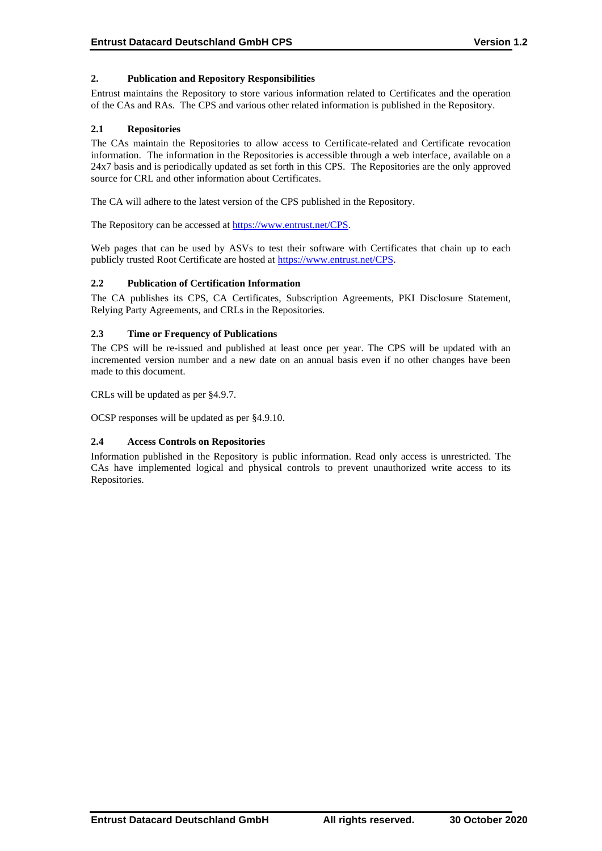## **2. Publication and Repository Responsibilities**

Entrust maintains the Repository to store various information related to Certificates and the operation of the CAs and RAs. The CPS and various other related information is published in the Repository.

#### **2.1 Repositories**

The CAs maintain the Repositories to allow access to Certificate-related and Certificate revocation information. The information in the Repositories is accessible through a web interface, available on a 24x7 basis and is periodically updated as set forth in this CPS. The Repositories are the only approved source for CRL and other information about Certificates.

The CA will adhere to the latest version of the CPS published in the Repository.

The Repository can be accessed at [https://www.entrust.net/CPS.](https://www.entrust.net/CPS)

Web pages that can be used by ASVs to test their software with Certificates that chain up to each publicly trusted Root Certificate are hosted a[t https://www.entrust.net/CPS.](https://www.entrust.net/CPS)

## **2.2 Publication of Certification Information**

The CA publishes its CPS, CA Certificates, Subscription Agreements, PKI Disclosure Statement, Relying Party Agreements, and CRLs in the Repositories.

## **2.3 Time or Frequency of Publications**

The CPS will be re-issued and published at least once per year. The CPS will be updated with an incremented version number and a new date on an annual basis even if no other changes have been made to this document.

CRLs will be updated as per §4.9.7.

OCSP responses will be updated as per §4.9.10.

#### **2.4 Access Controls on Repositories**

Information published in the Repository is public information. Read only access is unrestricted. The CAs have implemented logical and physical controls to prevent unauthorized write access to its Repositories.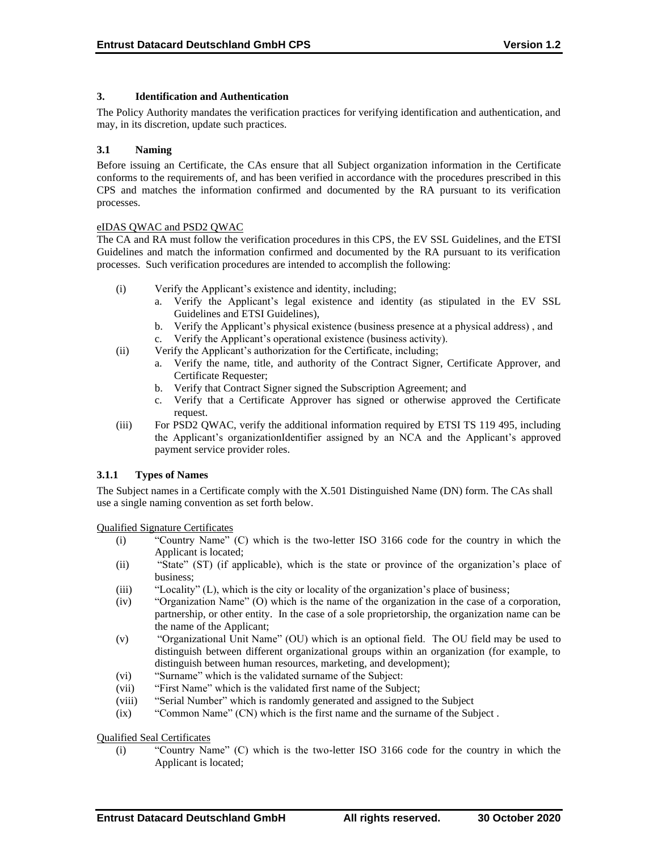## **3. Identification and Authentication**

The Policy Authority mandates the verification practices for verifying identification and authentication, and may, in its discretion, update such practices.

#### **3.1 Naming**

Before issuing an Certificate, the CAs ensure that all Subject organization information in the Certificate conforms to the requirements of, and has been verified in accordance with the procedures prescribed in this CPS and matches the information confirmed and documented by the RA pursuant to its verification processes.

## eIDAS QWAC and PSD2 QWAC

The CA and RA must follow the verification procedures in this CPS, the EV SSL Guidelines, and the ETSI Guidelines and match the information confirmed and documented by the RA pursuant to its verification processes. Such verification procedures are intended to accomplish the following:

- (i) Verify the Applicant's existence and identity, including;
	- a. Verify the Applicant's legal existence and identity (as stipulated in the EV SSL Guidelines and ETSI Guidelines),
	- b. Verify the Applicant's physical existence (business presence at a physical address) , and c. Verify the Applicant's operational existence (business activity).
- (ii) Verify the Applicant's authorization for the Certificate, including;
	- a. Verify the name, title, and authority of the Contract Signer, Certificate Approver, and Certificate Requester;
	- b. Verify that Contract Signer signed the Subscription Agreement; and
	- c. Verify that a Certificate Approver has signed or otherwise approved the Certificate request.
- (iii) For PSD2 QWAC, verify the additional information required by ETSI TS 119 495, including the Applicant's organizationIdentifier assigned by an NCA and the Applicant's approved payment service provider roles.

## **3.1.1 Types of Names**

The Subject names in a Certificate comply with the X.501 Distinguished Name (DN) form. The CAs shall use a single naming convention as set forth below.

Qualified Signature Certificates

- (i) "Country Name" (C) which is the two-letter ISO 3166 code for the country in which the Applicant is located;
- (ii) "State" (ST) (if applicable), which is the state or province of the organization's place of business;
- (iii) "Locality" (L), which is the city or locality of the organization's place of business;
- (iv) "Organization Name" (O) which is the name of the organization in the case of a corporation, partnership, or other entity. In the case of a sole proprietorship, the organization name can be the name of the Applicant;
- (v) "Organizational Unit Name" (OU) which is an optional field. The OU field may be used to distinguish between different organizational groups within an organization (for example, to distinguish between human resources, marketing, and development);
- (vi) "Surname" which is the validated surname of the Subject:
- (vii) "First Name" which is the validated first name of the Subject;
- (viii) "Serial Number" which is randomly generated and assigned to the Subject
- (ix) "Common Name" (CN) which is the first name and the surname of the Subject .

Qualified Seal Certificates

(i) "Country Name" (C) which is the two-letter ISO 3166 code for the country in which the Applicant is located;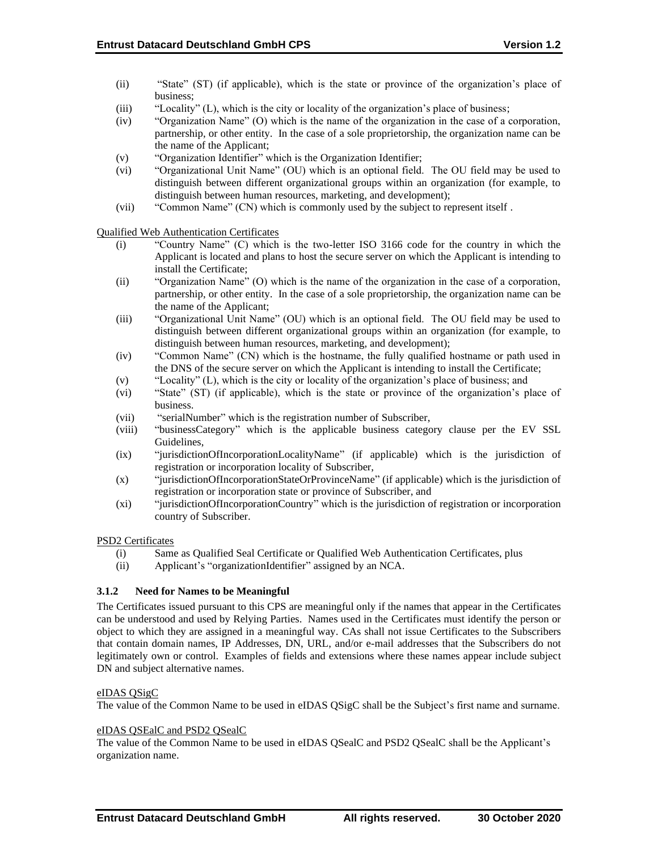- (ii) "State" (ST) (if applicable), which is the state or province of the organization's place of business;
- (iii) "Locality" (L), which is the city or locality of the organization's place of business;
- (iv) "Organization Name" (O) which is the name of the organization in the case of a corporation, partnership, or other entity. In the case of a sole proprietorship, the organization name can be the name of the Applicant;
- (v) "Organization Identifier" which is the Organization Identifier;
- (vi) "Organizational Unit Name" (OU) which is an optional field. The OU field may be used to distinguish between different organizational groups within an organization (for example, to distinguish between human resources, marketing, and development);
- (vii) "Common Name" (CN) which is commonly used by the subject to represent itself .

Qualified Web Authentication Certificates

- (i) "Country Name" (C) which is the two-letter ISO 3166 code for the country in which the Applicant is located and plans to host the secure server on which the Applicant is intending to install the Certificate;
- (ii) "Organization Name" (O) which is the name of the organization in the case of a corporation, partnership, or other entity. In the case of a sole proprietorship, the organization name can be the name of the Applicant;
- (iii) "Organizational Unit Name" (OU) which is an optional field. The OU field may be used to distinguish between different organizational groups within an organization (for example, to distinguish between human resources, marketing, and development);
- (iv) "Common Name" (CN) which is the hostname, the fully qualified hostname or path used in the DNS of the secure server on which the Applicant is intending to install the Certificate;
- (v) "Locality" (L), which is the city or locality of the organization's place of business; and
- (vi) "State" (ST) (if applicable), which is the state or province of the organization's place of business.
- (vii) "serialNumber" which is the registration number of Subscriber,
- (viii) "businessCategory" which is the applicable business category clause per the EV SSL Guidelines,
- (ix) "jurisdictionOfIncorporationLocalityName" (if applicable) which is the jurisdiction of registration or incorporation locality of Subscriber,
- (x) "jurisdictionOfIncorporationStateOrProvinceName" (if applicable) which is the jurisdiction of registration or incorporation state or province of Subscriber, and
- (xi) "jurisdictionOfIncorporationCountry" which is the jurisdiction of registration or incorporation country of Subscriber.

#### PSD2 Certificates

- (i) Same as Qualified Seal Certificate or Qualified Web Authentication Certificates, plus
- (ii) Applicant's "organizationIdentifier" assigned by an NCA.

## **3.1.2 Need for Names to be Meaningful**

The Certificates issued pursuant to this CPS are meaningful only if the names that appear in the Certificates can be understood and used by Relying Parties. Names used in the Certificates must identify the person or object to which they are assigned in a meaningful way. CAs shall not issue Certificates to the Subscribers that contain domain names, IP Addresses, DN, URL, and/or e-mail addresses that the Subscribers do not legitimately own or control. Examples of fields and extensions where these names appear include subject DN and subject alternative names.

## eIDAS QSigC

The value of the Common Name to be used in eIDAS QSigC shall be the Subject's first name and surname.

#### eIDAS QSEalC and PSD2 QSealC

The value of the Common Name to be used in eIDAS QSealC and PSD2 QSealC shall be the Applicant's organization name.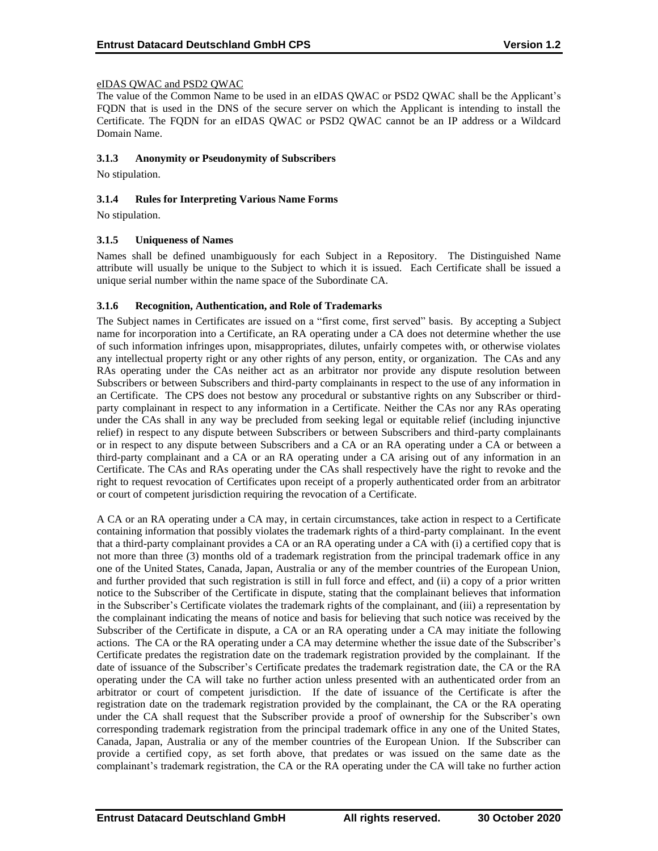## eIDAS QWAC and PSD2 QWAC

The value of the Common Name to be used in an eIDAS QWAC or PSD2 QWAC shall be the Applicant's FQDN that is used in the DNS of the secure server on which the Applicant is intending to install the Certificate. The FQDN for an eIDAS QWAC or PSD2 QWAC cannot be an IP address or a Wildcard Domain Name.

#### **3.1.3 Anonymity or Pseudonymity of Subscribers**

No stipulation.

## **3.1.4 Rules for Interpreting Various Name Forms**

No stipulation.

## **3.1.5 Uniqueness of Names**

Names shall be defined unambiguously for each Subject in a Repository. The Distinguished Name attribute will usually be unique to the Subject to which it is issued. Each Certificate shall be issued a unique serial number within the name space of the Subordinate CA.

## **3.1.6 Recognition, Authentication, and Role of Trademarks**

The Subject names in Certificates are issued on a "first come, first served" basis. By accepting a Subject name for incorporation into a Certificate, an RA operating under a CA does not determine whether the use of such information infringes upon, misappropriates, dilutes, unfairly competes with, or otherwise violates any intellectual property right or any other rights of any person, entity, or organization. The CAs and any RAs operating under the CAs neither act as an arbitrator nor provide any dispute resolution between Subscribers or between Subscribers and third-party complainants in respect to the use of any information in an Certificate. The CPS does not bestow any procedural or substantive rights on any Subscriber or thirdparty complainant in respect to any information in a Certificate. Neither the CAs nor any RAs operating under the CAs shall in any way be precluded from seeking legal or equitable relief (including injunctive relief) in respect to any dispute between Subscribers or between Subscribers and third-party complainants or in respect to any dispute between Subscribers and a CA or an RA operating under a CA or between a third-party complainant and a CA or an RA operating under a CA arising out of any information in an Certificate. The CAs and RAs operating under the CAs shall respectively have the right to revoke and the right to request revocation of Certificates upon receipt of a properly authenticated order from an arbitrator or court of competent jurisdiction requiring the revocation of a Certificate.

A CA or an RA operating under a CA may, in certain circumstances, take action in respect to a Certificate containing information that possibly violates the trademark rights of a third-party complainant. In the event that a third-party complainant provides a CA or an RA operating under a CA with (i) a certified copy that is not more than three (3) months old of a trademark registration from the principal trademark office in any one of the United States, Canada, Japan, Australia or any of the member countries of the European Union, and further provided that such registration is still in full force and effect, and (ii) a copy of a prior written notice to the Subscriber of the Certificate in dispute, stating that the complainant believes that information in the Subscriber's Certificate violates the trademark rights of the complainant, and (iii) a representation by the complainant indicating the means of notice and basis for believing that such notice was received by the Subscriber of the Certificate in dispute, a CA or an RA operating under a CA may initiate the following actions. The CA or the RA operating under a CA may determine whether the issue date of the Subscriber's Certificate predates the registration date on the trademark registration provided by the complainant. If the date of issuance of the Subscriber's Certificate predates the trademark registration date, the CA or the RA operating under the CA will take no further action unless presented with an authenticated order from an arbitrator or court of competent jurisdiction. If the date of issuance of the Certificate is after the registration date on the trademark registration provided by the complainant, the CA or the RA operating under the CA shall request that the Subscriber provide a proof of ownership for the Subscriber's own corresponding trademark registration from the principal trademark office in any one of the United States, Canada, Japan, Australia or any of the member countries of the European Union. If the Subscriber can provide a certified copy, as set forth above, that predates or was issued on the same date as the complainant's trademark registration, the CA or the RA operating under the CA will take no further action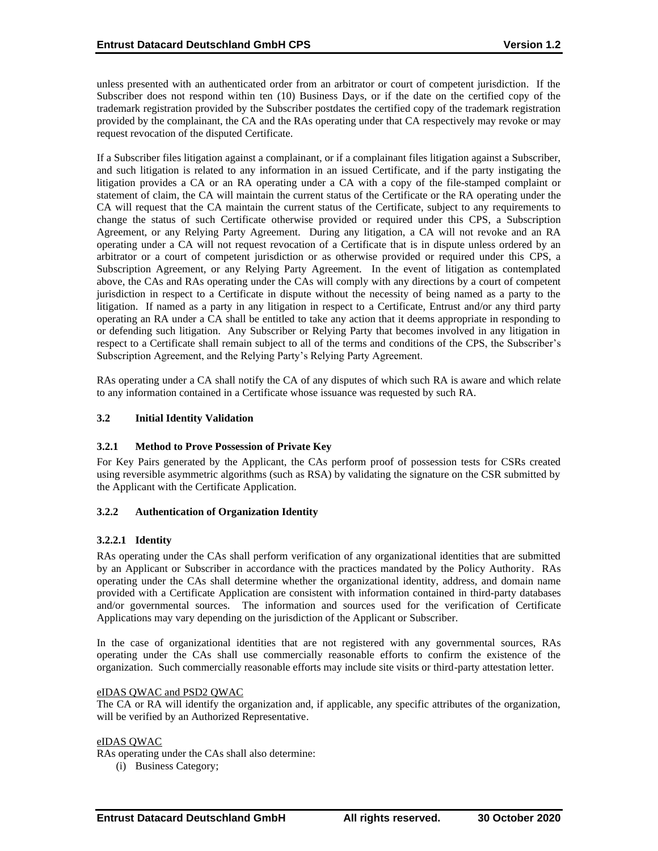unless presented with an authenticated order from an arbitrator or court of competent jurisdiction. If the Subscriber does not respond within ten (10) Business Days, or if the date on the certified copy of the trademark registration provided by the Subscriber postdates the certified copy of the trademark registration provided by the complainant, the CA and the RAs operating under that CA respectively may revoke or may request revocation of the disputed Certificate.

If a Subscriber files litigation against a complainant, or if a complainant files litigation against a Subscriber, and such litigation is related to any information in an issued Certificate, and if the party instigating the litigation provides a CA or an RA operating under a CA with a copy of the file-stamped complaint or statement of claim, the CA will maintain the current status of the Certificate or the RA operating under the CA will request that the CA maintain the current status of the Certificate, subject to any requirements to change the status of such Certificate otherwise provided or required under this CPS, a Subscription Agreement, or any Relying Party Agreement. During any litigation, a CA will not revoke and an RA operating under a CA will not request revocation of a Certificate that is in dispute unless ordered by an arbitrator or a court of competent jurisdiction or as otherwise provided or required under this CPS, a Subscription Agreement, or any Relying Party Agreement. In the event of litigation as contemplated above, the CAs and RAs operating under the CAs will comply with any directions by a court of competent jurisdiction in respect to a Certificate in dispute without the necessity of being named as a party to the litigation. If named as a party in any litigation in respect to a Certificate, Entrust and/or any third party operating an RA under a CA shall be entitled to take any action that it deems appropriate in responding to or defending such litigation. Any Subscriber or Relying Party that becomes involved in any litigation in respect to a Certificate shall remain subject to all of the terms and conditions of the CPS, the Subscriber's Subscription Agreement, and the Relying Party's Relying Party Agreement.

RAs operating under a CA shall notify the CA of any disputes of which such RA is aware and which relate to any information contained in a Certificate whose issuance was requested by such RA.

## **3.2 Initial Identity Validation**

## **3.2.1 Method to Prove Possession of Private Key**

For Key Pairs generated by the Applicant, the CAs perform proof of possession tests for CSRs created using reversible asymmetric algorithms (such as RSA) by validating the signature on the CSR submitted by the Applicant with the Certificate Application.

#### **3.2.2 Authentication of Organization Identity**

## **3.2.2.1 Identity**

RAs operating under the CAs shall perform verification of any organizational identities that are submitted by an Applicant or Subscriber in accordance with the practices mandated by the Policy Authority. RAs operating under the CAs shall determine whether the organizational identity, address, and domain name provided with a Certificate Application are consistent with information contained in third-party databases and/or governmental sources. The information and sources used for the verification of Certificate Applications may vary depending on the jurisdiction of the Applicant or Subscriber.

In the case of organizational identities that are not registered with any governmental sources, RAs operating under the CAs shall use commercially reasonable efforts to confirm the existence of the organization. Such commercially reasonable efforts may include site visits or third-party attestation letter.

#### eIDAS QWAC and PSD2 QWAC

The CA or RA will identify the organization and, if applicable, any specific attributes of the organization, will be verified by an Authorized Representative.

#### eIDAS QWAC

RAs operating under the CAs shall also determine:

(i) Business Category;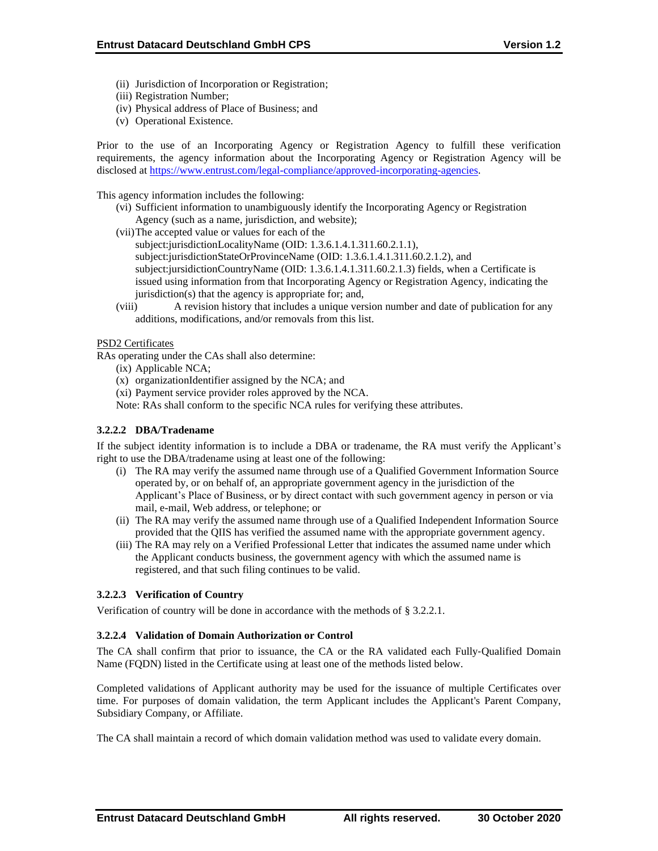- (ii) Jurisdiction of Incorporation or Registration;
- (iii) Registration Number;
- (iv) Physical address of Place of Business; and
- (v) Operational Existence.

Prior to the use of an Incorporating Agency or Registration Agency to fulfill these verification requirements, the agency information about the Incorporating Agency or Registration Agency will be disclosed at [https://www.entrust.com/legal-compliance/approved-incorporating-agencies.](https://www.entrust.com/legal-compliance/approved-incorporating-agencies)

This agency information includes the following:

- (vi) Sufficient information to unambiguously identify the Incorporating Agency or Registration Agency (such as a name, jurisdiction, and website);
- (vii)The accepted value or values for each of the
	- subject:jurisdictionLocalityName (OID: 1.3.6.1.4.1.311.60.2.1.1), subject:jurisdictionStateOrProvinceName (OID: 1.3.6.1.4.1.311.60.2.1.2), and subject:jursidictionCountryName (OID: 1.3.6.1.4.1.311.60.2.1.3) fields, when a Certificate is issued using information from that Incorporating Agency or Registration Agency, indicating the jurisdiction(s) that the agency is appropriate for; and,
- (viii) A revision history that includes a unique version number and date of publication for any additions, modifications, and/or removals from this list.

## PSD2 Certificates

RAs operating under the CAs shall also determine:

- (ix) Applicable NCA;
- (x) organizationIdentifier assigned by the NCA; and
- (xi) Payment service provider roles approved by the NCA.
- Note: RAs shall conform to the specific NCA rules for verifying these attributes.

## **3.2.2.2 DBA/Tradename**

If the subject identity information is to include a DBA or tradename, the RA must verify the Applicant's right to use the DBA/tradename using at least one of the following:

- (i) The RA may verify the assumed name through use of a Qualified Government Information Source operated by, or on behalf of, an appropriate government agency in the jurisdiction of the Applicant's Place of Business, or by direct contact with such government agency in person or via mail, e-mail, Web address, or telephone; or
- (ii) The RA may verify the assumed name through use of a Qualified Independent Information Source provided that the QIIS has verified the assumed name with the appropriate government agency.
- (iii) The RA may rely on a Verified Professional Letter that indicates the assumed name under which the Applicant conducts business, the government agency with which the assumed name is registered, and that such filing continues to be valid.

## **3.2.2.3 Verification of Country**

Verification of country will be done in accordance with the methods of § 3.2.2.1.

#### **3.2.2.4 Validation of Domain Authorization or Control**

The CA shall confirm that prior to issuance, the CA or the RA validated each Fully‐Qualified Domain Name (FQDN) listed in the Certificate using at least one of the methods listed below.

Completed validations of Applicant authority may be used for the issuance of multiple Certificates over time. For purposes of domain validation, the term Applicant includes the Applicant's Parent Company, Subsidiary Company, or Affiliate.

The CA shall maintain a record of which domain validation method was used to validate every domain.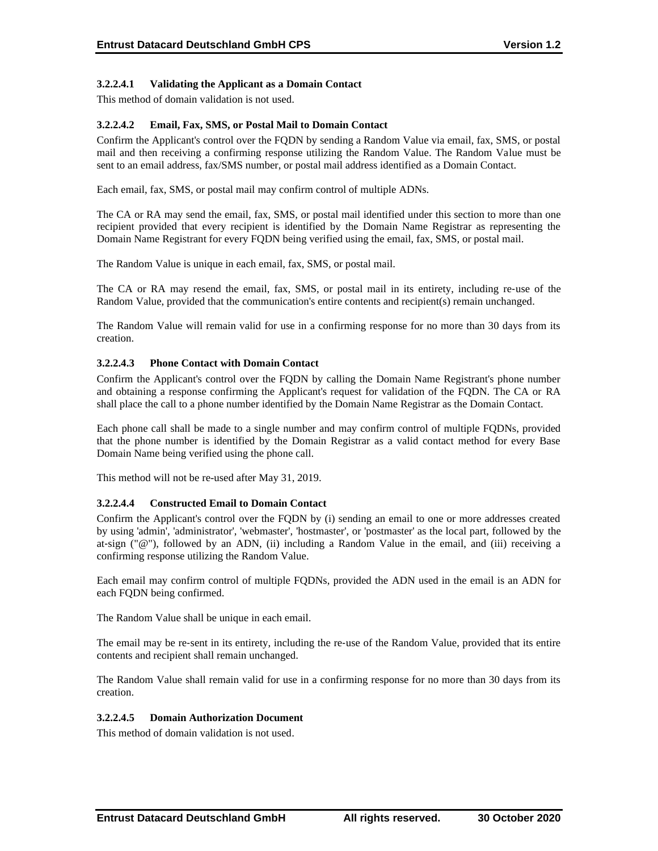## **3.2.2.4.1 Validating the Applicant as a Domain Contact**

This method of domain validation is not used.

## **3.2.2.4.2 Email, Fax, SMS, or Postal Mail to Domain Contact**

Confirm the Applicant's control over the FQDN by sending a Random Value via email, fax, SMS, or postal mail and then receiving a confirming response utilizing the Random Value. The Random Value must be sent to an email address, fax/SMS number, or postal mail address identified as a Domain Contact.

Each email, fax, SMS, or postal mail may confirm control of multiple ADNs.

The CA or RA may send the email, fax, SMS, or postal mail identified under this section to more than one recipient provided that every recipient is identified by the Domain Name Registrar as representing the Domain Name Registrant for every FQDN being verified using the email, fax, SMS, or postal mail.

The Random Value is unique in each email, fax, SMS, or postal mail.

The CA or RA may resend the email, fax, SMS, or postal mail in its entirety, including re‐use of the Random Value, provided that the communication's entire contents and recipient(s) remain unchanged.

The Random Value will remain valid for use in a confirming response for no more than 30 days from its creation.

## **3.2.2.4.3 Phone Contact with Domain Contact**

Confirm the Applicant's control over the FQDN by calling the Domain Name Registrant's phone number and obtaining a response confirming the Applicant's request for validation of the FQDN. The CA or RA shall place the call to a phone number identified by the Domain Name Registrar as the Domain Contact.

Each phone call shall be made to a single number and may confirm control of multiple FQDNs, provided that the phone number is identified by the Domain Registrar as a valid contact method for every Base Domain Name being verified using the phone call.

This method will not be re-used after May 31, 2019.

#### **3.2.2.4.4 Constructed Email to Domain Contact**

Confirm the Applicant's control over the FQDN by (i) sending an email to one or more addresses created by using 'admin', 'administrator', 'webmaster', 'hostmaster', or 'postmaster' as the local part, followed by the at-sign (" $@$ "), followed by an ADN, (ii) including a Random Value in the email, and (iii) receiving a confirming response utilizing the Random Value.

Each email may confirm control of multiple FQDNs, provided the ADN used in the email is an ADN for each FQDN being confirmed.

The Random Value shall be unique in each email.

The email may be re-sent in its entirety, including the re-use of the Random Value, provided that its entire contents and recipient shall remain unchanged.

The Random Value shall remain valid for use in a confirming response for no more than 30 days from its creation.

#### **3.2.2.4.5 Domain Authorization Document**

This method of domain validation is not used.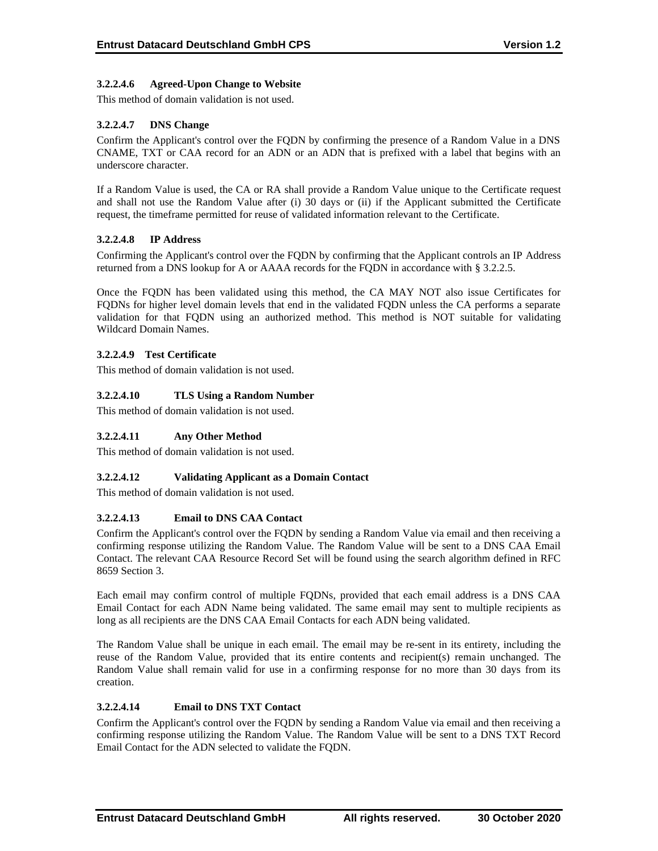## **3.2.2.4.6 Agreed-Upon Change to Website**

This method of domain validation is not used.

## **3.2.2.4.7 DNS Change**

Confirm the Applicant's control over the FQDN by confirming the presence of a Random Value in a DNS CNAME, TXT or CAA record for an ADN or an ADN that is prefixed with a label that begins with an underscore character.

If a Random Value is used, the CA or RA shall provide a Random Value unique to the Certificate request and shall not use the Random Value after (i) 30 days or (ii) if the Applicant submitted the Certificate request, the timeframe permitted for reuse of validated information relevant to the Certificate.

## **3.2.2.4.8 IP Address**

Confirming the Applicant's control over the FQDN by confirming that the Applicant controls an IP Address returned from a DNS lookup for A or AAAA records for the FQDN in accordance with § 3.2.2.5.

Once the FQDN has been validated using this method, the CA MAY NOT also issue Certificates for FQDNs for higher level domain levels that end in the validated FQDN unless the CA performs a separate validation for that FQDN using an authorized method. This method is NOT suitable for validating Wildcard Domain Names.

## **3.2.2.4.9 Test Certificate**

This method of domain validation is not used.

## **3.2.2.4.10 TLS Using a Random Number**

This method of domain validation is not used.

#### **3.2.2.4.11 Any Other Method**

This method of domain validation is not used.

#### **3.2.2.4.12 Validating Applicant as a Domain Contact**

This method of domain validation is not used.

#### **3.2.2.4.13 Email to DNS CAA Contact**

Confirm the Applicant's control over the FQDN by sending a Random Value via email and then receiving a confirming response utilizing the Random Value. The Random Value will be sent to a DNS CAA Email Contact. The relevant CAA Resource Record Set will be found using the search algorithm defined in RFC 8659 Section 3.

Each email may confirm control of multiple FQDNs, provided that each email address is a DNS CAA Email Contact for each ADN Name being validated. The same email may sent to multiple recipients as long as all recipients are the DNS CAA Email Contacts for each ADN being validated.

The Random Value shall be unique in each email. The email may be re-sent in its entirety, including the reuse of the Random Value, provided that its entire contents and recipient(s) remain unchanged. The Random Value shall remain valid for use in a confirming response for no more than 30 days from its creation.

## **3.2.2.4.14 Email to DNS TXT Contact**

Confirm the Applicant's control over the FQDN by sending a Random Value via email and then receiving a confirming response utilizing the Random Value. The Random Value will be sent to a DNS TXT Record Email Contact for the ADN selected to validate the FQDN.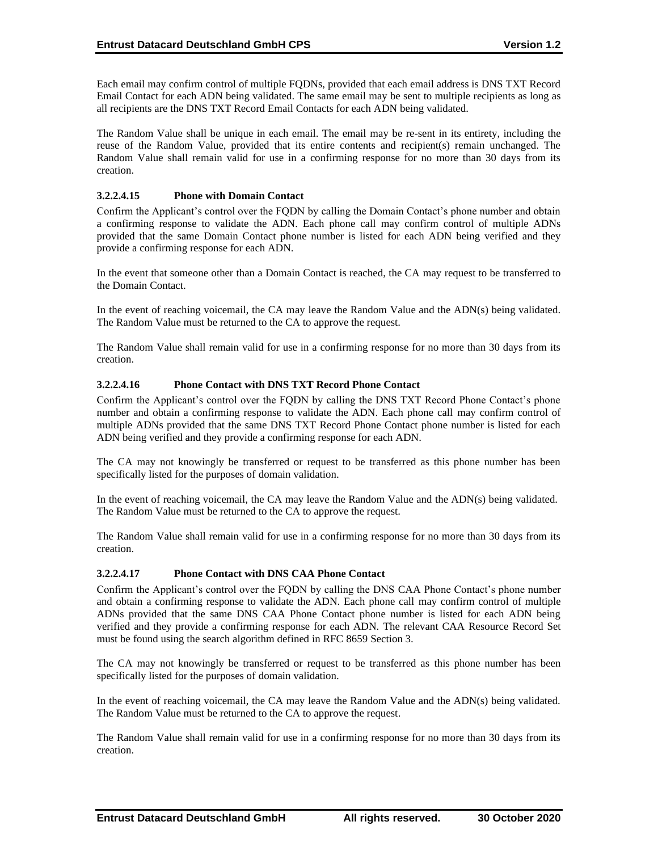Each email may confirm control of multiple FQDNs, provided that each email address is DNS TXT Record Email Contact for each ADN being validated. The same email may be sent to multiple recipients as long as all recipients are the DNS TXT Record Email Contacts for each ADN being validated.

The Random Value shall be unique in each email. The email may be re-sent in its entirety, including the reuse of the Random Value, provided that its entire contents and recipient(s) remain unchanged. The Random Value shall remain valid for use in a confirming response for no more than 30 days from its creation.

## **3.2.2.4.15 Phone with Domain Contact**

Confirm the Applicant's control over the FQDN by calling the Domain Contact's phone number and obtain a confirming response to validate the ADN. Each phone call may confirm control of multiple ADNs provided that the same Domain Contact phone number is listed for each ADN being verified and they provide a confirming response for each ADN.

In the event that someone other than a Domain Contact is reached, the CA may request to be transferred to the Domain Contact.

In the event of reaching voicemail, the CA may leave the Random Value and the ADN(s) being validated. The Random Value must be returned to the CA to approve the request.

The Random Value shall remain valid for use in a confirming response for no more than 30 days from its creation.

#### **3.2.2.4.16 Phone Contact with DNS TXT Record Phone Contact**

Confirm the Applicant's control over the FQDN by calling the DNS TXT Record Phone Contact's phone number and obtain a confirming response to validate the ADN. Each phone call may confirm control of multiple ADNs provided that the same DNS TXT Record Phone Contact phone number is listed for each ADN being verified and they provide a confirming response for each ADN.

The CA may not knowingly be transferred or request to be transferred as this phone number has been specifically listed for the purposes of domain validation.

In the event of reaching voicemail, the CA may leave the Random Value and the ADN(s) being validated. The Random Value must be returned to the CA to approve the request.

The Random Value shall remain valid for use in a confirming response for no more than 30 days from its creation.

#### **3.2.2.4.17 Phone Contact with DNS CAA Phone Contact**

Confirm the Applicant's control over the FQDN by calling the DNS CAA Phone Contact's phone number and obtain a confirming response to validate the ADN. Each phone call may confirm control of multiple ADNs provided that the same DNS CAA Phone Contact phone number is listed for each ADN being verified and they provide a confirming response for each ADN. The relevant CAA Resource Record Set must be found using the search algorithm defined in RFC 8659 Section 3.

The CA may not knowingly be transferred or request to be transferred as this phone number has been specifically listed for the purposes of domain validation.

In the event of reaching voicemail, the CA may leave the Random Value and the ADN(s) being validated. The Random Value must be returned to the CA to approve the request.

The Random Value shall remain valid for use in a confirming response for no more than 30 days from its creation.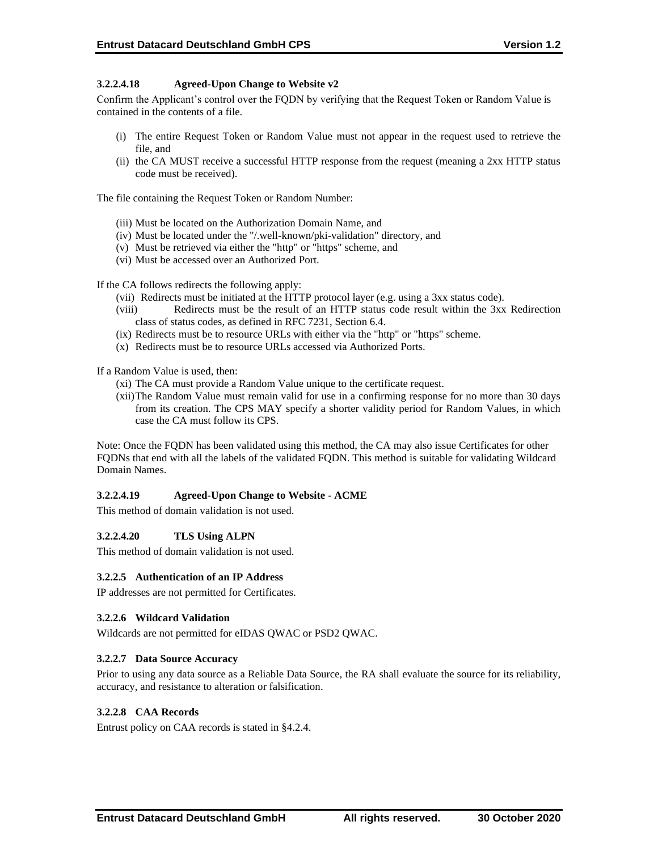## **3.2.2.4.18 Agreed-Upon Change to Website v2**

Confirm the Applicant's control over the FQDN by verifying that the Request Token or Random Value is contained in the contents of a file.

- (i) The entire Request Token or Random Value must not appear in the request used to retrieve the file, and
- (ii) the CA MUST receive a successful HTTP response from the request (meaning a 2xx HTTP status code must be received).

The file containing the Request Token or Random Number:

- (iii) Must be located on the Authorization Domain Name, and
- (iv) Must be located under the "/.well-known/pki-validation" directory, and
- (v) Must be retrieved via either the "http" or "https" scheme, and
- (vi) Must be accessed over an Authorized Port.

If the CA follows redirects the following apply:

- (vii) Redirects must be initiated at the HTTP protocol layer (e.g. using a 3xx status code).
- (viii) Redirects must be the result of an HTTP status code result within the 3xx Redirection class of status codes, as defined in RFC 7231, Section 6.4.
- (ix) Redirects must be to resource URLs with either via the "http" or "https" scheme.
- (x) Redirects must be to resource URLs accessed via Authorized Ports.

If a Random Value is used, then:

- (xi) The CA must provide a Random Value unique to the certificate request.
- (xii)The Random Value must remain valid for use in a confirming response for no more than 30 days from its creation. The CPS MAY specify a shorter validity period for Random Values, in which case the CA must follow its CPS.

Note: Once the FQDN has been validated using this method, the CA may also issue Certificates for other FQDNs that end with all the labels of the validated FQDN. This method is suitable for validating Wildcard Domain Names.

## **3.2.2.4.19 Agreed-Upon Change to Website - ACME**

This method of domain validation is not used.

#### **3.2.2.4.20 TLS Using ALPN**

This method of domain validation is not used.

#### **3.2.2.5 Authentication of an IP Address**

IP addresses are not permitted for Certificates.

## **3.2.2.6 Wildcard Validation**

Wildcards are not permitted for eIDAS QWAC or PSD2 QWAC.

#### **3.2.2.7 Data Source Accuracy**

Prior to using any data source as a Reliable Data Source, the RA shall evaluate the source for its reliability, accuracy, and resistance to alteration or falsification.

#### **3.2.2.8 CAA Records**

Entrust policy on CAA records is stated in §4.2.4.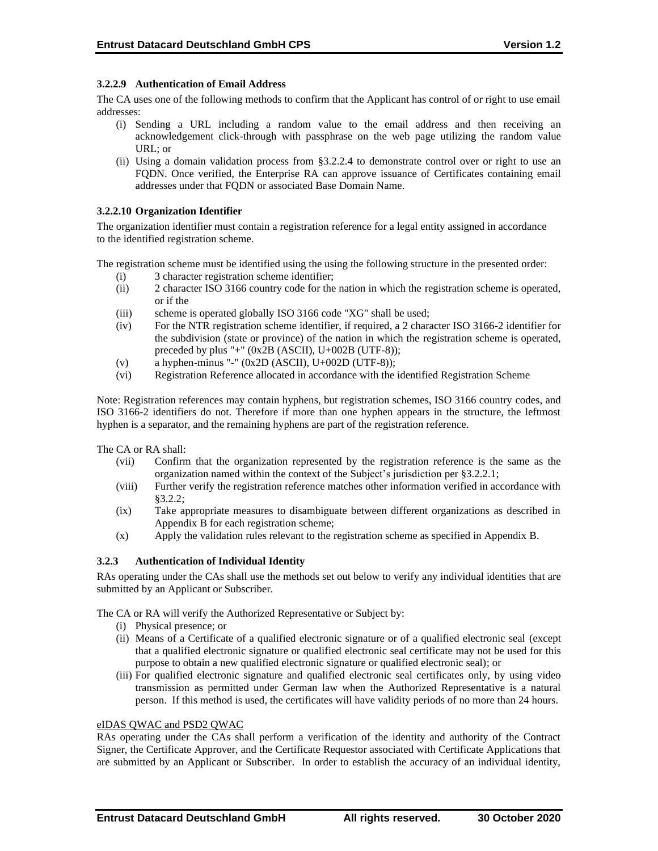## **3.2.2.9 Authentication of Email Address**

The CA uses one of the following methods to confirm that the Applicant has control of or right to use email addresses:

- (i) Sending a URL including a random value to the email address and then receiving an acknowledgement click-through with passphrase on the web page utilizing the random value URL; or
- (ii) Using a domain validation process from §3.2.2.4 to demonstrate control over or right to use an FQDN. Once verified, the Enterprise RA can approve issuance of Certificates containing email addresses under that FQDN or associated Base Domain Name.

#### **3.2.2.10 Organization Identifier**

The organization identifier must contain a registration reference for a legal entity assigned in accordance to the identified registration scheme.

The registration scheme must be identified using the using the following structure in the presented order:

- (i) 3 character registration scheme identifier;
- (ii) 2 character ISO 3166 country code for the nation in which the registration scheme is operated, or if the
- (iii) scheme is operated globally ISO 3166 code "XG" shall be used;
- (iv) For the NTR registration scheme identifier, if required, a 2 character ISO 3166-2 identifier for the subdivision (state or province) of the nation in which the registration scheme is operated, preceded by plus "+" (0x2B (ASCII), U+002B (UTF-8));
- (v) a hyphen-minus "-"  $(0x2D (ASCII), U+002D (UTF-8));$
- (vi) Registration Reference allocated in accordance with the identified Registration Scheme

Note: Registration references may contain hyphens, but registration schemes, ISO 3166 country codes, and ISO 3166-2 identifiers do not. Therefore if more than one hyphen appears in the structure, the leftmost hyphen is a separator, and the remaining hyphens are part of the registration reference.

The CA or RA shall:

- (vii) Confirm that the organization represented by the registration reference is the same as the organization named within the context of the Subject's jurisdiction per §3.2.2.1;
- (viii) Further verify the registration reference matches other information verified in accordance with §3.2.2;
- (ix) Take appropriate measures to disambiguate between different organizations as described in Appendix B for each registration scheme;
- (x) Apply the validation rules relevant to the registration scheme as specified in Appendix B.

#### **3.2.3 Authentication of Individual Identity**

RAs operating under the CAs shall use the methods set out below to verify any individual identities that are submitted by an Applicant or Subscriber.

The CA or RA will verify the Authorized Representative or Subject by:

- (i) Physical presence; or
- (ii) Means of a Certificate of a qualified electronic signature or of a qualified electronic seal (except that a qualified electronic signature or qualified electronic seal certificate may not be used for this purpose to obtain a new qualified electronic signature or qualified electronic seal); or
- (iii) For qualified electronic signature and qualified electronic seal certificates only, by using video transmission as permitted under German law when the Authorized Representative is a natural person. If this method is used, the certificates will have validity periods of no more than 24 hours.

#### eIDAS QWAC and PSD2 QWAC

RAs operating under the CAs shall perform a verification of the identity and authority of the Contract Signer, the Certificate Approver, and the Certificate Requestor associated with Certificate Applications that are submitted by an Applicant or Subscriber. In order to establish the accuracy of an individual identity,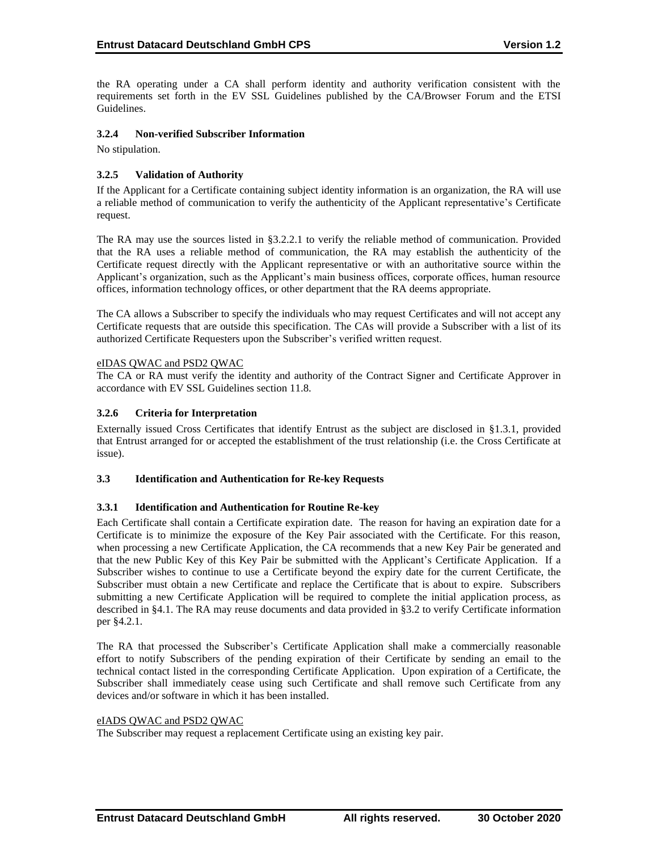the RA operating under a CA shall perform identity and authority verification consistent with the requirements set forth in the EV SSL Guidelines published by the CA/Browser Forum and the ETSI Guidelines.

#### **3.2.4 Non-verified Subscriber Information**

No stipulation.

## **3.2.5 Validation of Authority**

If the Applicant for a Certificate containing subject identity information is an organization, the RA will use a reliable method of communication to verify the authenticity of the Applicant representative's Certificate request.

The RA may use the sources listed in §3.2.2.1 to verify the reliable method of communication. Provided that the RA uses a reliable method of communication, the RA may establish the authenticity of the Certificate request directly with the Applicant representative or with an authoritative source within the Applicant's organization, such as the Applicant's main business offices, corporate offices, human resource offices, information technology offices, or other department that the RA deems appropriate.

The CA allows a Subscriber to specify the individuals who may request Certificates and will not accept any Certificate requests that are outside this specification. The CAs will provide a Subscriber with a list of its authorized Certificate Requesters upon the Subscriber's verified written request.

## eIDAS QWAC and PSD2 QWAC

The CA or RA must verify the identity and authority of the Contract Signer and Certificate Approver in accordance with EV SSL Guidelines section 11.8.

## **3.2.6 Criteria for Interpretation**

Externally issued Cross Certificates that identify Entrust as the subject are disclosed in §1.3.1, provided that Entrust arranged for or accepted the establishment of the trust relationship (i.e. the Cross Certificate at issue).

#### **3.3 Identification and Authentication for Re-key Requests**

#### **3.3.1 Identification and Authentication for Routine Re-key**

Each Certificate shall contain a Certificate expiration date. The reason for having an expiration date for a Certificate is to minimize the exposure of the Key Pair associated with the Certificate. For this reason, when processing a new Certificate Application, the CA recommends that a new Key Pair be generated and that the new Public Key of this Key Pair be submitted with the Applicant's Certificate Application. If a Subscriber wishes to continue to use a Certificate beyond the expiry date for the current Certificate, the Subscriber must obtain a new Certificate and replace the Certificate that is about to expire. Subscribers submitting a new Certificate Application will be required to complete the initial application process, as described in §4.1. The RA may reuse documents and data provided in §3.2 to verify Certificate information per §4.2.1.

The RA that processed the Subscriber's Certificate Application shall make a commercially reasonable effort to notify Subscribers of the pending expiration of their Certificate by sending an email to the technical contact listed in the corresponding Certificate Application. Upon expiration of a Certificate, the Subscriber shall immediately cease using such Certificate and shall remove such Certificate from any devices and/or software in which it has been installed.

## eIADS QWAC and PSD2 QWAC

The Subscriber may request a replacement Certificate using an existing key pair.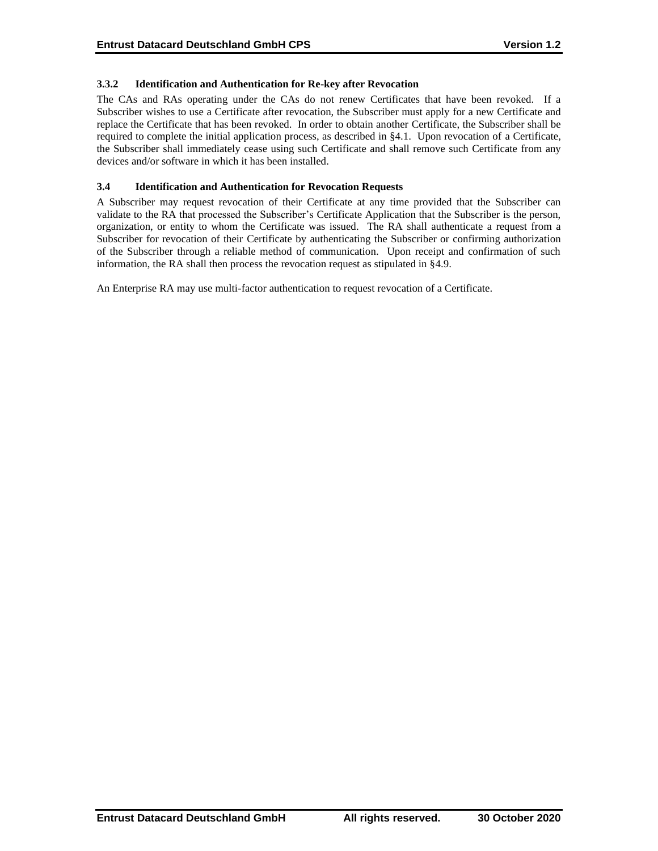## **3.3.2 Identification and Authentication for Re-key after Revocation**

The CAs and RAs operating under the CAs do not renew Certificates that have been revoked. If a Subscriber wishes to use a Certificate after revocation, the Subscriber must apply for a new Certificate and replace the Certificate that has been revoked. In order to obtain another Certificate, the Subscriber shall be required to complete the initial application process, as described in §4.1. Upon revocation of a Certificate, the Subscriber shall immediately cease using such Certificate and shall remove such Certificate from any devices and/or software in which it has been installed.

#### **3.4 Identification and Authentication for Revocation Requests**

A Subscriber may request revocation of their Certificate at any time provided that the Subscriber can validate to the RA that processed the Subscriber's Certificate Application that the Subscriber is the person, organization, or entity to whom the Certificate was issued. The RA shall authenticate a request from a Subscriber for revocation of their Certificate by authenticating the Subscriber or confirming authorization of the Subscriber through a reliable method of communication. Upon receipt and confirmation of such information, the RA shall then process the revocation request as stipulated in §4.9.

An Enterprise RA may use multi-factor authentication to request revocation of a Certificate.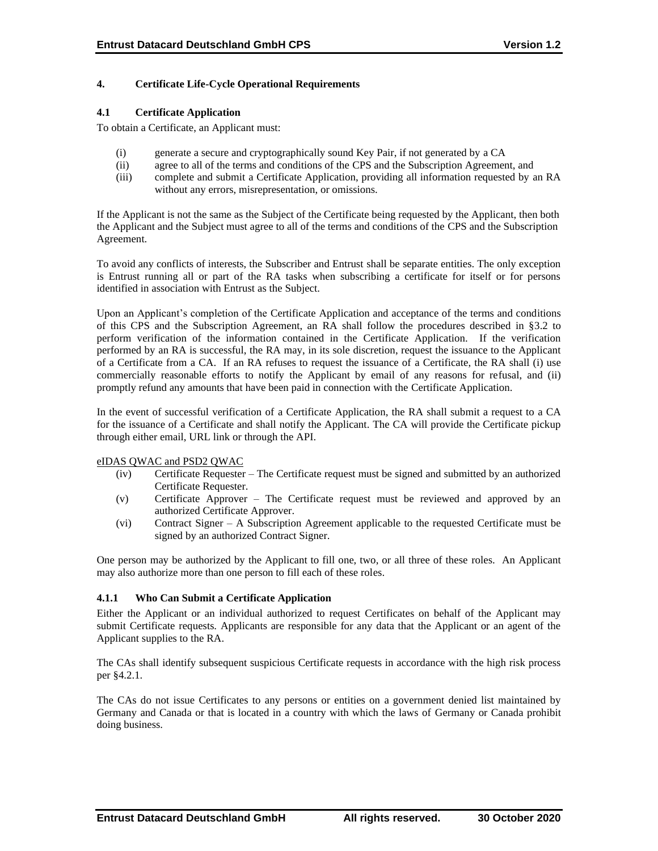## **4. Certificate Life-Cycle Operational Requirements**

#### **4.1 Certificate Application**

To obtain a Certificate, an Applicant must:

- (i) generate a secure and cryptographically sound Key Pair, if not generated by a CA
- (ii) agree to all of the terms and conditions of the CPS and the Subscription Agreement, and
- (iii) complete and submit a Certificate Application, providing all information requested by an RA without any errors, misrepresentation, or omissions.

If the Applicant is not the same as the Subject of the Certificate being requested by the Applicant, then both the Applicant and the Subject must agree to all of the terms and conditions of the CPS and the Subscription Agreement.

To avoid any conflicts of interests, the Subscriber and Entrust shall be separate entities. The only exception is Entrust running all or part of the RA tasks when subscribing a certificate for itself or for persons identified in association with Entrust as the Subject.

Upon an Applicant's completion of the Certificate Application and acceptance of the terms and conditions of this CPS and the Subscription Agreement, an RA shall follow the procedures described in §3.2 to perform verification of the information contained in the Certificate Application. If the verification performed by an RA is successful, the RA may, in its sole discretion, request the issuance to the Applicant of a Certificate from a CA. If an RA refuses to request the issuance of a Certificate, the RA shall (i) use commercially reasonable efforts to notify the Applicant by email of any reasons for refusal, and (ii) promptly refund any amounts that have been paid in connection with the Certificate Application.

In the event of successful verification of a Certificate Application, the RA shall submit a request to a CA for the issuance of a Certificate and shall notify the Applicant. The CA will provide the Certificate pickup through either email, URL link or through the API.

#### eIDAS QWAC and PSD2 QWAC

- (iv) Certificate Requester The Certificate request must be signed and submitted by an authorized Certificate Requester.
- (v) Certificate Approver The Certificate request must be reviewed and approved by an authorized Certificate Approver.
- (vi) Contract Signer A Subscription Agreement applicable to the requested Certificate must be signed by an authorized Contract Signer.

One person may be authorized by the Applicant to fill one, two, or all three of these roles. An Applicant may also authorize more than one person to fill each of these roles.

#### **4.1.1 Who Can Submit a Certificate Application**

Either the Applicant or an individual authorized to request Certificates on behalf of the Applicant may submit Certificate requests. Applicants are responsible for any data that the Applicant or an agent of the Applicant supplies to the RA.

The CAs shall identify subsequent suspicious Certificate requests in accordance with the high risk process per §4.2.1.

The CAs do not issue Certificates to any persons or entities on a government denied list maintained by Germany and Canada or that is located in a country with which the laws of Germany or Canada prohibit doing business.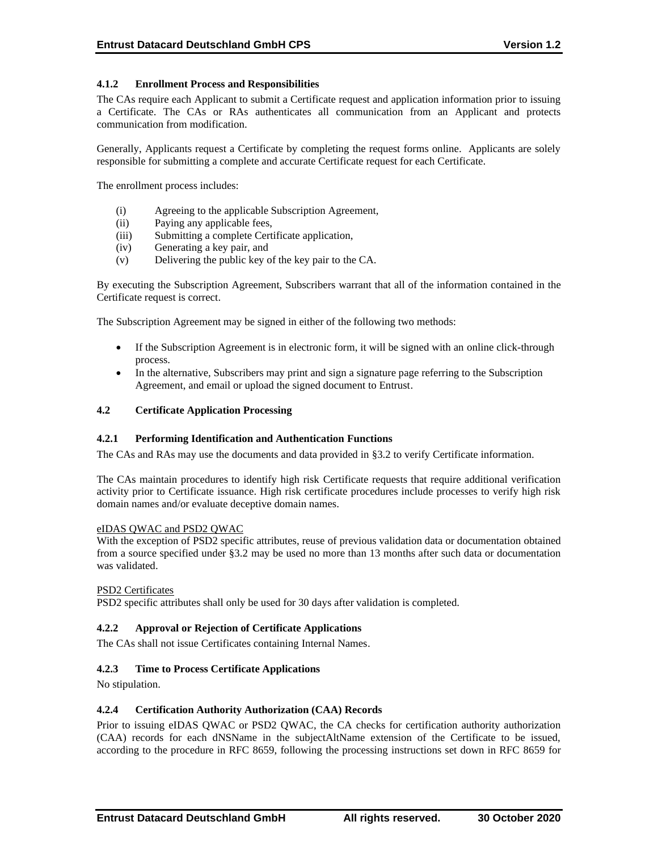## **4.1.2 Enrollment Process and Responsibilities**

The CAs require each Applicant to submit a Certificate request and application information prior to issuing a Certificate. The CAs or RAs authenticates all communication from an Applicant and protects communication from modification.

Generally, Applicants request a Certificate by completing the request forms online. Applicants are solely responsible for submitting a complete and accurate Certificate request for each Certificate.

The enrollment process includes:

- (i) Agreeing to the applicable Subscription Agreement,
- (ii) Paying any applicable fees,
- (iii) Submitting a complete Certificate application,
- (iv) Generating a key pair, and
- (v) Delivering the public key of the key pair to the CA.

By executing the Subscription Agreement, Subscribers warrant that all of the information contained in the Certificate request is correct.

The Subscription Agreement may be signed in either of the following two methods:

- If the Subscription Agreement is in electronic form, it will be signed with an online click-through process.
- In the alternative, Subscribers may print and sign a signature page referring to the Subscription Agreement, and email or upload the signed document to Entrust.

#### **4.2 Certificate Application Processing**

#### **4.2.1 Performing Identification and Authentication Functions**

The CAs and RAs may use the documents and data provided in §3.2 to verify Certificate information.

The CAs maintain procedures to identify high risk Certificate requests that require additional verification activity prior to Certificate issuance. High risk certificate procedures include processes to verify high risk domain names and/or evaluate deceptive domain names.

#### eIDAS QWAC and PSD2 QWAC

With the exception of PSD2 specific attributes, reuse of previous validation data or documentation obtained from a source specified under §3.2 may be used no more than 13 months after such data or documentation was validated.

#### PSD2 Certificates

PSD2 specific attributes shall only be used for 30 days after validation is completed.

#### **4.2.2 Approval or Rejection of Certificate Applications**

The CAs shall not issue Certificates containing Internal Names.

#### **4.2.3 Time to Process Certificate Applications**

No stipulation.

#### **4.2.4 Certification Authority Authorization (CAA) Records**

Prior to issuing eIDAS QWAC or PSD2 QWAC, the CA checks for certification authority authorization (CAA) records for each dNSName in the subjectAltName extension of the Certificate to be issued, according to the procedure in RFC 8659, following the processing instructions set down in RFC 8659 for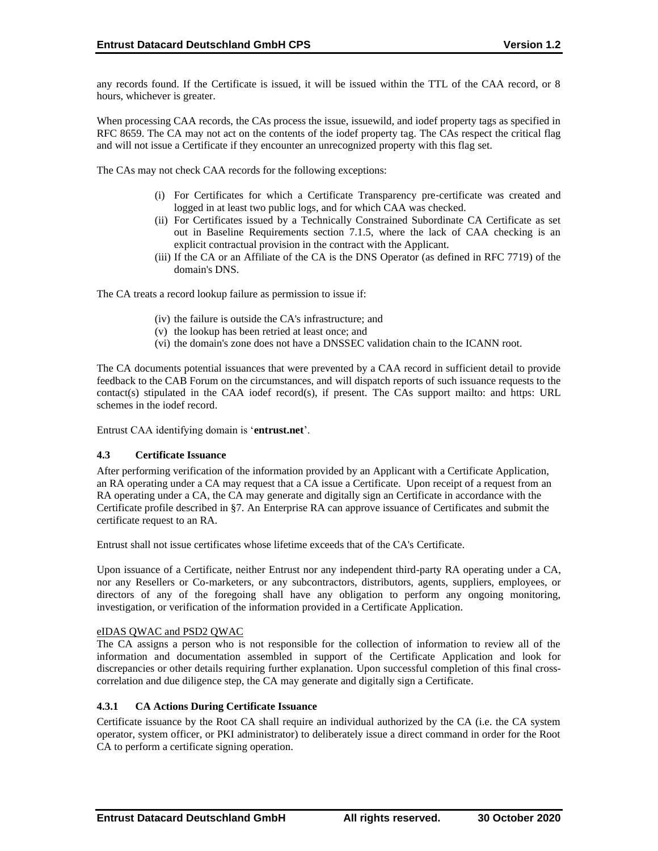any records found. If the Certificate is issued, it will be issued within the TTL of the CAA record, or 8 hours, whichever is greater.

When processing CAA records, the CAs process the issue, issuewild, and iodef property tags as specified in RFC 8659. The CA may not act on the contents of the iodef property tag. The CAs respect the critical flag and will not issue a Certificate if they encounter an unrecognized property with this flag set.

The CAs may not check CAA records for the following exceptions:

- (i) For Certificates for which a Certificate Transparency pre‐certificate was created and logged in at least two public logs, and for which CAA was checked.
- (ii) For Certificates issued by a Technically Constrained Subordinate CA Certificate as set out in Baseline Requirements section 7.1.5, where the lack of CAA checking is an explicit contractual provision in the contract with the Applicant.
- (iii) If the CA or an Affiliate of the CA is the DNS Operator (as defined in RFC 7719) of the domain's DNS.

The CA treats a record lookup failure as permission to issue if:

- (iv) the failure is outside the CA's infrastructure; and
- (v) the lookup has been retried at least once; and
- (vi) the domain's zone does not have a DNSSEC validation chain to the ICANN root.

The CA documents potential issuances that were prevented by a CAA record in sufficient detail to provide feedback to the CAB Forum on the circumstances, and will dispatch reports of such issuance requests to the contact(s) stipulated in the CAA iodef record(s), if present. The CAs support mailto: and https: URL schemes in the iodef record.

Entrust CAA identifying domain is '**entrust.net**'.

#### **4.3 Certificate Issuance**

After performing verification of the information provided by an Applicant with a Certificate Application, an RA operating under a CA may request that a CA issue a Certificate. Upon receipt of a request from an RA operating under a CA, the CA may generate and digitally sign an Certificate in accordance with the Certificate profile described in §7. An Enterprise RA can approve issuance of Certificates and submit the certificate request to an RA.

Entrust shall not issue certificates whose lifetime exceeds that of the CA's Certificate.

Upon issuance of a Certificate, neither Entrust nor any independent third-party RA operating under a CA, nor any Resellers or Co-marketers, or any subcontractors, distributors, agents, suppliers, employees, or directors of any of the foregoing shall have any obligation to perform any ongoing monitoring, investigation, or verification of the information provided in a Certificate Application.

#### eIDAS QWAC and PSD2 QWAC

The CA assigns a person who is not responsible for the collection of information to review all of the information and documentation assembled in support of the Certificate Application and look for discrepancies or other details requiring further explanation. Upon successful completion of this final crosscorrelation and due diligence step, the CA may generate and digitally sign a Certificate.

## **4.3.1 CA Actions During Certificate Issuance**

Certificate issuance by the Root CA shall require an individual authorized by the CA (i.e. the CA system operator, system officer, or PKI administrator) to deliberately issue a direct command in order for the Root CA to perform a certificate signing operation.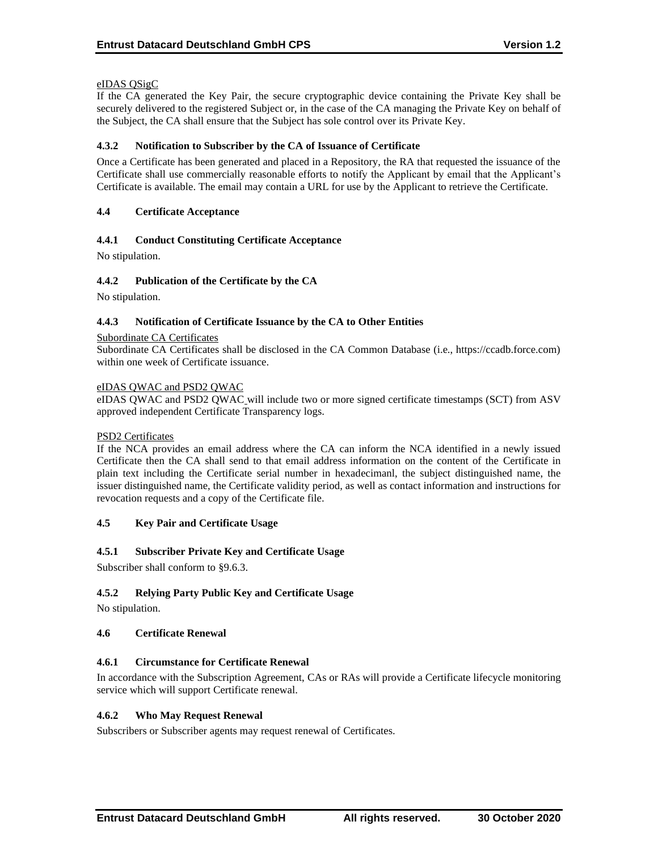## eIDAS QSigC

If the CA generated the Key Pair, the secure cryptographic device containing the Private Key shall be securely delivered to the registered Subject or, in the case of the CA managing the Private Key on behalf of the Subject, the CA shall ensure that the Subject has sole control over its Private Key.

## **4.3.2 Notification to Subscriber by the CA of Issuance of Certificate**

Once a Certificate has been generated and placed in a Repository, the RA that requested the issuance of the Certificate shall use commercially reasonable efforts to notify the Applicant by email that the Applicant's Certificate is available. The email may contain a URL for use by the Applicant to retrieve the Certificate.

## **4.4 Certificate Acceptance**

## **4.4.1 Conduct Constituting Certificate Acceptance**

No stipulation.

## **4.4.2 Publication of the Certificate by the CA**

No stipulation.

#### **4.4.3 Notification of Certificate Issuance by the CA to Other Entities**

#### Subordinate CA Certificates

Subordinate CA Certificates shall be disclosed in the CA Common Database (i.e., https://ccadb.force.com) within one week of Certificate issuance.

#### eIDAS QWAC and PSD2 QWAC

eIDAS QWAC and PSD2 QWAC will include two or more signed certificate timestamps (SCT) from ASV approved independent Certificate Transparency logs.

#### PSD2 Certificates

If the NCA provides an email address where the CA can inform the NCA identified in a newly issued Certificate then the CA shall send to that email address information on the content of the Certificate in plain text including the Certificate serial number in hexadecimanl, the subject distinguished name, the issuer distinguished name, the Certificate validity period, as well as contact information and instructions for revocation requests and a copy of the Certificate file.

#### **4.5 Key Pair and Certificate Usage**

#### **4.5.1 Subscriber Private Key and Certificate Usage**

Subscriber shall conform to §9.6.3.

## **4.5.2 Relying Party Public Key and Certificate Usage**

No stipulation.

#### **4.6 Certificate Renewal**

#### **4.6.1 Circumstance for Certificate Renewal**

In accordance with the Subscription Agreement, CAs or RAs will provide a Certificate lifecycle monitoring service which will support Certificate renewal.

#### **4.6.2 Who May Request Renewal**

Subscribers or Subscriber agents may request renewal of Certificates.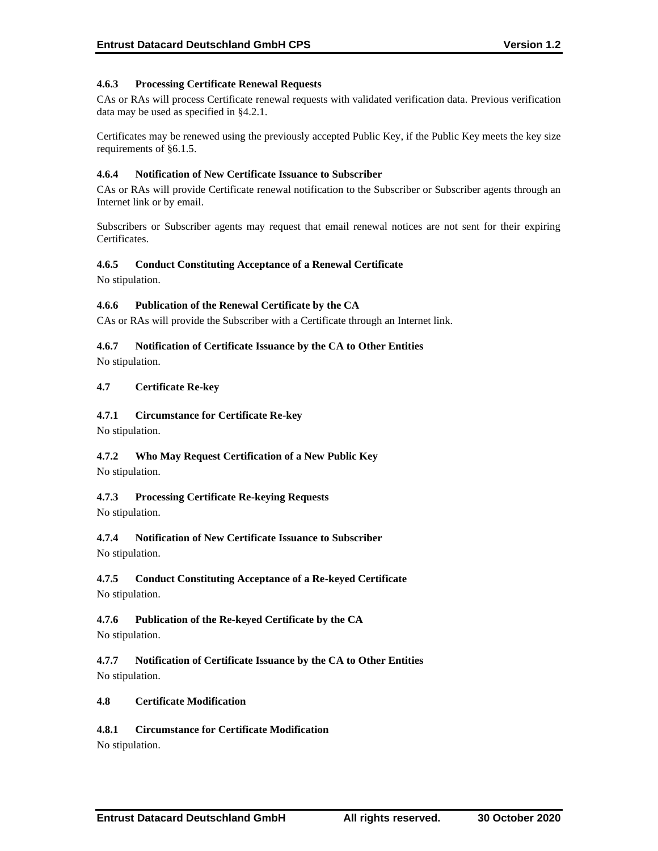## **4.6.3 Processing Certificate Renewal Requests**

CAs or RAs will process Certificate renewal requests with validated verification data. Previous verification data may be used as specified in §4.2.1.

Certificates may be renewed using the previously accepted Public Key, if the Public Key meets the key size requirements of §6.1.5.

## **4.6.4 Notification of New Certificate Issuance to Subscriber**

CAs or RAs will provide Certificate renewal notification to the Subscriber or Subscriber agents through an Internet link or by email.

Subscribers or Subscriber agents may request that email renewal notices are not sent for their expiring Certificates.

## **4.6.5 Conduct Constituting Acceptance of a Renewal Certificate**

No stipulation.

## **4.6.6 Publication of the Renewal Certificate by the CA**

CAs or RAs will provide the Subscriber with a Certificate through an Internet link.

## **4.6.7 Notification of Certificate Issuance by the CA to Other Entities**

No stipulation.

## **4.7 Certificate Re-key**

## **4.7.1 Circumstance for Certificate Re-key**

No stipulation.

## **4.7.2 Who May Request Certification of a New Public Key**

No stipulation.

## **4.7.3 Processing Certificate Re-keying Requests**

No stipulation.

## **4.7.4 Notification of New Certificate Issuance to Subscriber**

No stipulation.

## **4.7.5 Conduct Constituting Acceptance of a Re-keyed Certificate**

No stipulation.

## **4.7.6 Publication of the Re-keyed Certificate by the CA**

No stipulation.

**4.7.7 Notification of Certificate Issuance by the CA to Other Entities** No stipulation.

#### **4.8 Certificate Modification**

## **4.8.1 Circumstance for Certificate Modification**

No stipulation.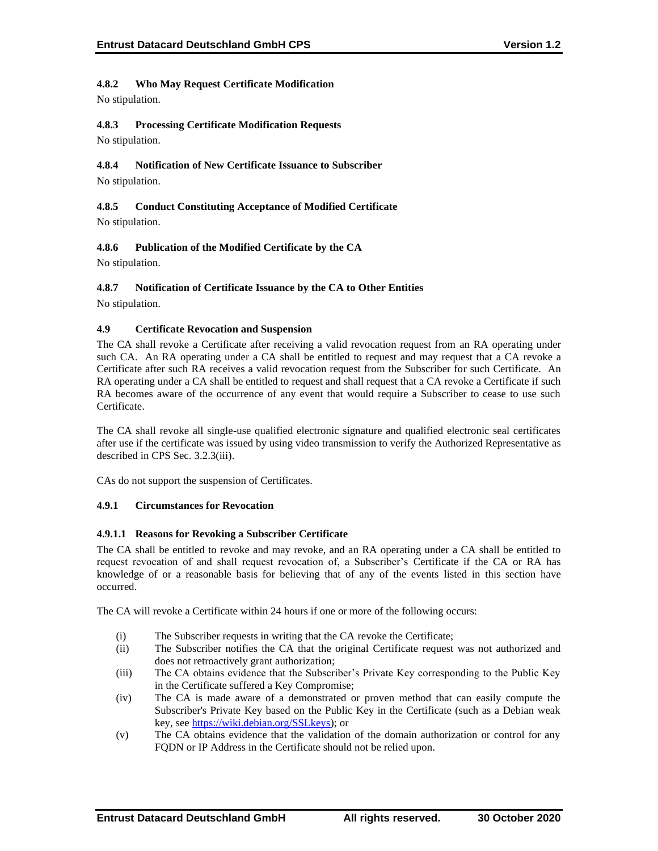# **4.8.2 Who May Request Certificate Modification**

No stipulation.

# **4.8.3 Processing Certificate Modification Requests**

No stipulation.

# **4.8.4 Notification of New Certificate Issuance to Subscriber**

No stipulation.

# **4.8.5 Conduct Constituting Acceptance of Modified Certificate** No stipulation.

# **4.8.6 Publication of the Modified Certificate by the CA**

No stipulation.

# **4.8.7 Notification of Certificate Issuance by the CA to Other Entities**

No stipulation.

# **4.9 Certificate Revocation and Suspension**

The CA shall revoke a Certificate after receiving a valid revocation request from an RA operating under such CA. An RA operating under a CA shall be entitled to request and may request that a CA revoke a Certificate after such RA receives a valid revocation request from the Subscriber for such Certificate. An RA operating under a CA shall be entitled to request and shall request that a CA revoke a Certificate if such RA becomes aware of the occurrence of any event that would require a Subscriber to cease to use such Certificate.

The CA shall revoke all single-use qualified electronic signature and qualified electronic seal certificates after use if the certificate was issued by using video transmission to verify the Authorized Representative as described in CPS Sec. 3.2.3(iii).

CAs do not support the suspension of Certificates.

# **4.9.1 Circumstances for Revocation**

# **4.9.1.1 Reasons for Revoking a Subscriber Certificate**

The CA shall be entitled to revoke and may revoke, and an RA operating under a CA shall be entitled to request revocation of and shall request revocation of, a Subscriber's Certificate if the CA or RA has knowledge of or a reasonable basis for believing that of any of the events listed in this section have occurred.

The CA will revoke a Certificate within 24 hours if one or more of the following occurs:

- (i) The Subscriber requests in writing that the CA revoke the Certificate;
- (ii) The Subscriber notifies the CA that the original Certificate request was not authorized and does not retroactively grant authorization;
- (iii) The CA obtains evidence that the Subscriber's Private Key corresponding to the Public Key in the Certificate suffered a Key Compromise;
- (iv) The CA is made aware of a demonstrated or proven method that can easily compute the Subscriber's Private Key based on the Public Key in the Certificate (such as a Debian weak key, se[e https://wiki.debian.org/SSLkeys\)](https://wiki.debian.org/SSLkeys); or
- (v) The CA obtains evidence that the validation of the domain authorization or control for any FQDN or IP Address in the Certificate should not be relied upon.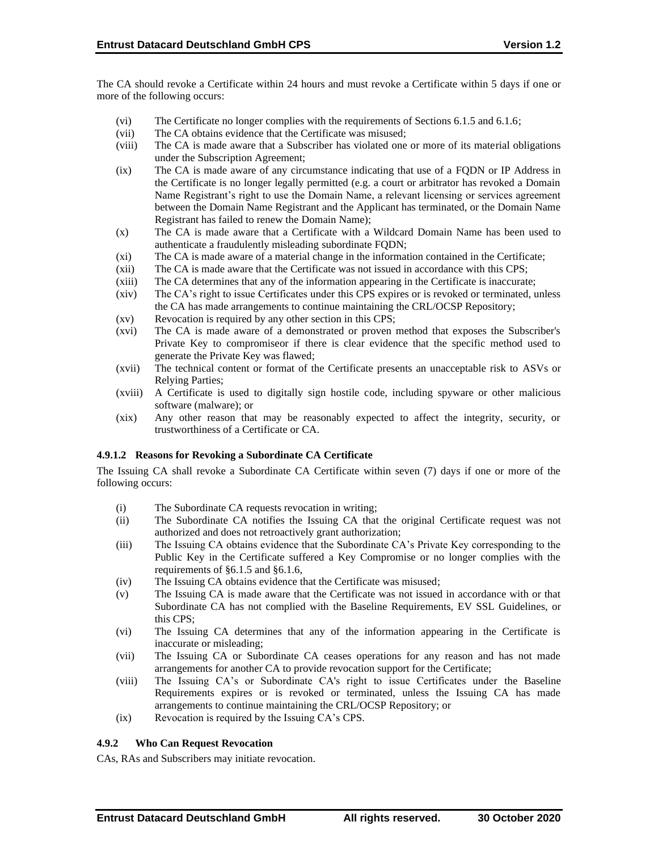The CA should revoke a Certificate within 24 hours and must revoke a Certificate within 5 days if one or more of the following occurs:

- (vi) The Certificate no longer complies with the requirements of Sections 6.1.5 and 6.1.6;
- (vii) The CA obtains evidence that the Certificate was misused;
- (viii) The CA is made aware that a Subscriber has violated one or more of its material obligations under the Subscription Agreement;
- (ix) The CA is made aware of any circumstance indicating that use of a FQDN or IP Address in the Certificate is no longer legally permitted (e.g. a court or arbitrator has revoked a Domain Name Registrant's right to use the Domain Name, a relevant licensing or services agreement between the Domain Name Registrant and the Applicant has terminated, or the Domain Name Registrant has failed to renew the Domain Name);
- (x) The CA is made aware that a Certificate with a Wildcard Domain Name has been used to authenticate a fraudulently misleading subordinate FQDN;
- (xi) The CA is made aware of a material change in the information contained in the Certificate;
- (xii) The CA is made aware that the Certificate was not issued in accordance with this CPS;
- (xiii) The CA determines that any of the information appearing in the Certificate is inaccurate;
- (xiv) The CA's right to issue Certificates under this CPS expires or is revoked or terminated, unless the CA has made arrangements to continue maintaining the CRL/OCSP Repository;
- (xv) Revocation is required by any other section in this CPS;
- (xvi) The CA is made aware of a demonstrated or proven method that exposes the Subscriber's Private Key to compromiseor if there is clear evidence that the specific method used to generate the Private Key was flawed;
- (xvii) The technical content or format of the Certificate presents an unacceptable risk to ASVs or Relying Parties;
- (xviii) A Certificate is used to digitally sign hostile code, including spyware or other malicious software (malware); or
- (xix) Any other reason that may be reasonably expected to affect the integrity, security, or trustworthiness of a Certificate or CA.

# **4.9.1.2 Reasons for Revoking a Subordinate CA Certificate**

The Issuing CA shall revoke a Subordinate CA Certificate within seven (7) days if one or more of the following occurs:

- (i) The Subordinate CA requests revocation in writing;
- (ii) The Subordinate CA notifies the Issuing CA that the original Certificate request was not authorized and does not retroactively grant authorization;
- (iii) The Issuing CA obtains evidence that the Subordinate CA's Private Key corresponding to the Public Key in the Certificate suffered a Key Compromise or no longer complies with the requirements of §6.1.5 and §6.1.6,
- (iv) The Issuing CA obtains evidence that the Certificate was misused;
- (v) The Issuing CA is made aware that the Certificate was not issued in accordance with or that Subordinate CA has not complied with the Baseline Requirements, EV SSL Guidelines, or this CPS;
- (vi) The Issuing CA determines that any of the information appearing in the Certificate is inaccurate or misleading;
- (vii) The Issuing CA or Subordinate CA ceases operations for any reason and has not made arrangements for another CA to provide revocation support for the Certificate;
- (viii) The Issuing CA's or Subordinate CA's right to issue Certificates under the Baseline Requirements expires or is revoked or terminated, unless the Issuing CA has made arrangements to continue maintaining the CRL/OCSP Repository; or
- (ix) Revocation is required by the Issuing CA's CPS.

# **4.9.2 Who Can Request Revocation**

CAs, RAs and Subscribers may initiate revocation.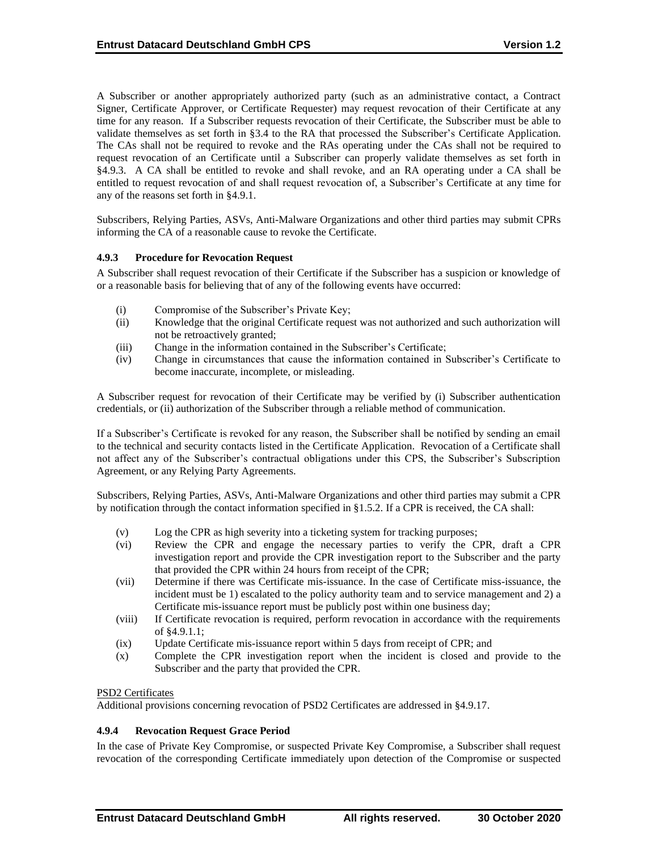A Subscriber or another appropriately authorized party (such as an administrative contact, a Contract Signer, Certificate Approver, or Certificate Requester) may request revocation of their Certificate at any time for any reason. If a Subscriber requests revocation of their Certificate, the Subscriber must be able to validate themselves as set forth in §3.4 to the RA that processed the Subscriber's Certificate Application. The CAs shall not be required to revoke and the RAs operating under the CAs shall not be required to request revocation of an Certificate until a Subscriber can properly validate themselves as set forth in §4.9.3. A CA shall be entitled to revoke and shall revoke, and an RA operating under a CA shall be entitled to request revocation of and shall request revocation of, a Subscriber's Certificate at any time for any of the reasons set forth in §4.9.1.

Subscribers, Relying Parties, ASVs, Anti-Malware Organizations and other third parties may submit CPRs informing the CA of a reasonable cause to revoke the Certificate.

# **4.9.3 Procedure for Revocation Request**

A Subscriber shall request revocation of their Certificate if the Subscriber has a suspicion or knowledge of or a reasonable basis for believing that of any of the following events have occurred:

- (i) Compromise of the Subscriber's Private Key;
- (ii) Knowledge that the original Certificate request was not authorized and such authorization will not be retroactively granted;
- (iii) Change in the information contained in the Subscriber's Certificate;
- (iv) Change in circumstances that cause the information contained in Subscriber's Certificate to become inaccurate, incomplete, or misleading.

A Subscriber request for revocation of their Certificate may be verified by (i) Subscriber authentication credentials, or (ii) authorization of the Subscriber through a reliable method of communication.

If a Subscriber's Certificate is revoked for any reason, the Subscriber shall be notified by sending an email to the technical and security contacts listed in the Certificate Application. Revocation of a Certificate shall not affect any of the Subscriber's contractual obligations under this CPS, the Subscriber's Subscription Agreement, or any Relying Party Agreements.

Subscribers, Relying Parties, ASVs, Anti-Malware Organizations and other third parties may submit a CPR by notification through the contact information specified in §1.5.2. If a CPR is received, the CA shall:

- (v) Log the CPR as high severity into a ticketing system for tracking purposes;
- (vi) Review the CPR and engage the necessary parties to verify the CPR, draft a CPR investigation report and provide the CPR investigation report to the Subscriber and the party that provided the CPR within 24 hours from receipt of the CPR;
- (vii) Determine if there was Certificate mis-issuance. In the case of Certificate miss-issuance, the incident must be 1) escalated to the policy authority team and to service management and 2) a Certificate mis-issuance report must be publicly post within one business day;
- (viii) If Certificate revocation is required, perform revocation in accordance with the requirements of §4.9.1.1;
- (ix) Update Certificate mis-issuance report within 5 days from receipt of CPR; and
- (x) Complete the CPR investigation report when the incident is closed and provide to the Subscriber and the party that provided the CPR.

#### PSD2 Certificates

Additional provisions concerning revocation of PSD2 Certificates are addressed in §4.9.17.

# **4.9.4 Revocation Request Grace Period**

In the case of Private Key Compromise, or suspected Private Key Compromise, a Subscriber shall request revocation of the corresponding Certificate immediately upon detection of the Compromise or suspected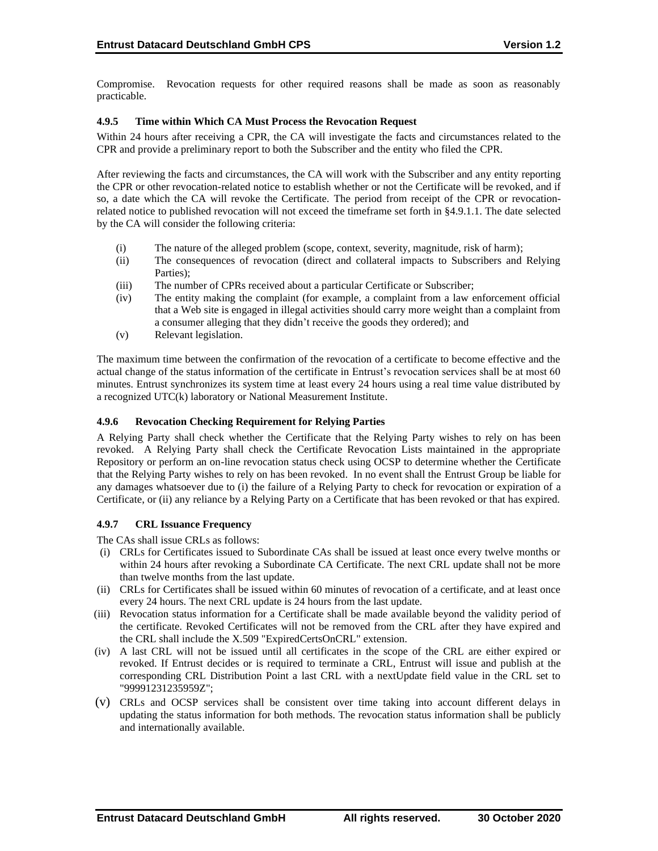Compromise. Revocation requests for other required reasons shall be made as soon as reasonably practicable.

# **4.9.5 Time within Which CA Must Process the Revocation Request**

Within 24 hours after receiving a CPR, the CA will investigate the facts and circumstances related to the CPR and provide a preliminary report to both the Subscriber and the entity who filed the CPR.

After reviewing the facts and circumstances, the CA will work with the Subscriber and any entity reporting the CPR or other revocation-related notice to establish whether or not the Certificate will be revoked, and if so, a date which the CA will revoke the Certificate. The period from receipt of the CPR or revocationrelated notice to published revocation will not exceed the timeframe set forth in §4.9.1.1. The date selected by the CA will consider the following criteria:

- (i) The nature of the alleged problem (scope, context, severity, magnitude, risk of harm);
- (ii) The consequences of revocation (direct and collateral impacts to Subscribers and Relying Parties);
- (iii) The number of CPRs received about a particular Certificate or Subscriber;
- (iv) The entity making the complaint (for example, a complaint from a law enforcement official that a Web site is engaged in illegal activities should carry more weight than a complaint from a consumer alleging that they didn't receive the goods they ordered); and
- (v) Relevant legislation.

The maximum time between the confirmation of the revocation of a certificate to become effective and the actual change of the status information of the certificate in Entrust's revocation services shall be at most 60 minutes. Entrust synchronizes its system time at least every 24 hours using a real time value distributed by a recognized UTC(k) laboratory or National Measurement Institute.

# **4.9.6 Revocation Checking Requirement for Relying Parties**

A Relying Party shall check whether the Certificate that the Relying Party wishes to rely on has been revoked. A Relying Party shall check the Certificate Revocation Lists maintained in the appropriate Repository or perform an on-line revocation status check using OCSP to determine whether the Certificate that the Relying Party wishes to rely on has been revoked. In no event shall the Entrust Group be liable for any damages whatsoever due to (i) the failure of a Relying Party to check for revocation or expiration of a Certificate, or (ii) any reliance by a Relying Party on a Certificate that has been revoked or that has expired.

#### **4.9.7 CRL Issuance Frequency**

The CAs shall issue CRLs as follows:

- (i) CRLs for Certificates issued to Subordinate CAs shall be issued at least once every twelve months or within 24 hours after revoking a Subordinate CA Certificate. The next CRL update shall not be more than twelve months from the last update.
- (ii) CRLs for Certificates shall be issued within 60 minutes of revocation of a certificate, and at least once every 24 hours. The next CRL update is 24 hours from the last update.
- (iii) Revocation status information for a Certificate shall be made available beyond the validity period of the certificate. Revoked Certificates will not be removed from the CRL after they have expired and the CRL shall include the X.509 "ExpiredCertsOnCRL" extension.
- (iv) A last CRL will not be issued until all certificates in the scope of the CRL are either expired or revoked. If Entrust decides or is required to terminate a CRL, Entrust will issue and publish at the corresponding CRL Distribution Point a last CRL with a nextUpdate field value in the CRL set to "99991231235959Z";
- (v) CRLs and OCSP services shall be consistent over time taking into account different delays in updating the status information for both methods. The revocation status information shall be publicly and internationally available.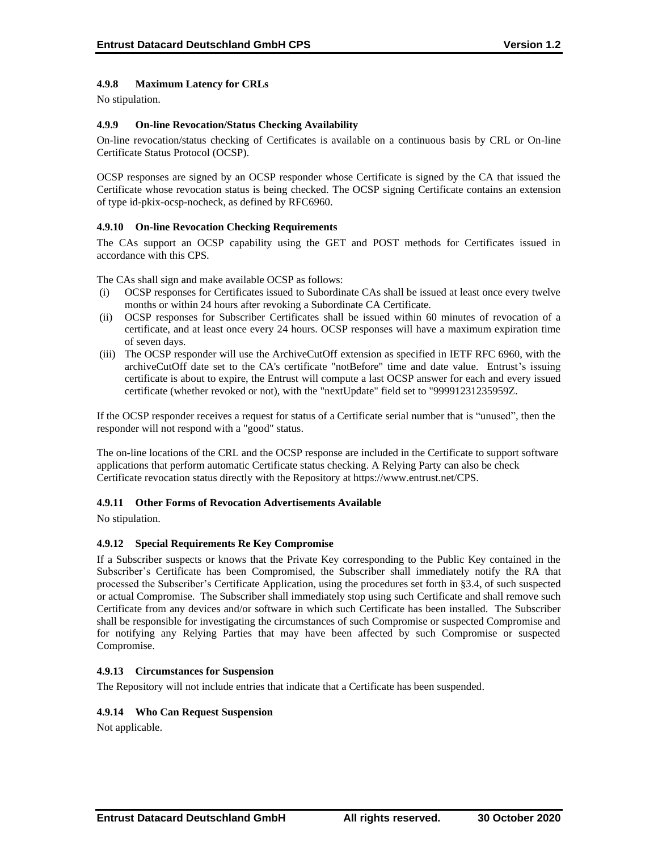# **4.9.8 Maximum Latency for CRLs**

No stipulation.

# **4.9.9 On-line Revocation/Status Checking Availability**

On-line revocation/status checking of Certificates is available on a continuous basis by CRL or On-line Certificate Status Protocol (OCSP).

OCSP responses are signed by an OCSP responder whose Certificate is signed by the CA that issued the Certificate whose revocation status is being checked. The OCSP signing Certificate contains an extension of type id-pkix-ocsp-nocheck, as defined by RFC6960.

# **4.9.10 On-line Revocation Checking Requirements**

The CAs support an OCSP capability using the GET and POST methods for Certificates issued in accordance with this CPS.

The CAs shall sign and make available OCSP as follows:

- (i) OCSP responses for Certificates issued to Subordinate CAs shall be issued at least once every twelve months or within 24 hours after revoking a Subordinate CA Certificate.
- (ii) OCSP responses for Subscriber Certificates shall be issued within 60 minutes of revocation of a certificate, and at least once every 24 hours. OCSP responses will have a maximum expiration time of seven days.
- (iii) The OCSP responder will use the ArchiveCutOff extension as specified in IETF RFC 6960, with the archiveCutOff date set to the CA's certificate "notBefore" time and date value. Entrust's issuing certificate is about to expire, the Entrust will compute a last OCSP answer for each and every issued certificate (whether revoked or not), with the "nextUpdate" field set to "99991231235959Z.

If the OCSP responder receives a request for status of a Certificate serial number that is "unused", then the responder will not respond with a "good" status.

The on-line locations of the CRL and the OCSP response are included in the Certificate to support software applications that perform automatic Certificate status checking. A Relying Party can also be check Certificate revocation status directly with the Repository at [https://www.entrust.net/CPS.](https://www.entrust.net/CPS) 

#### **4.9.11 Other Forms of Revocation Advertisements Available**

No stipulation.

#### **4.9.12 Special Requirements Re Key Compromise**

If a Subscriber suspects or knows that the Private Key corresponding to the Public Key contained in the Subscriber's Certificate has been Compromised, the Subscriber shall immediately notify the RA that processed the Subscriber's Certificate Application, using the procedures set forth in §3.4, of such suspected or actual Compromise. The Subscriber shall immediately stop using such Certificate and shall remove such Certificate from any devices and/or software in which such Certificate has been installed. The Subscriber shall be responsible for investigating the circumstances of such Compromise or suspected Compromise and for notifying any Relying Parties that may have been affected by such Compromise or suspected Compromise.

#### **4.9.13 Circumstances for Suspension**

The Repository will not include entries that indicate that a Certificate has been suspended.

#### **4.9.14 Who Can Request Suspension**

Not applicable.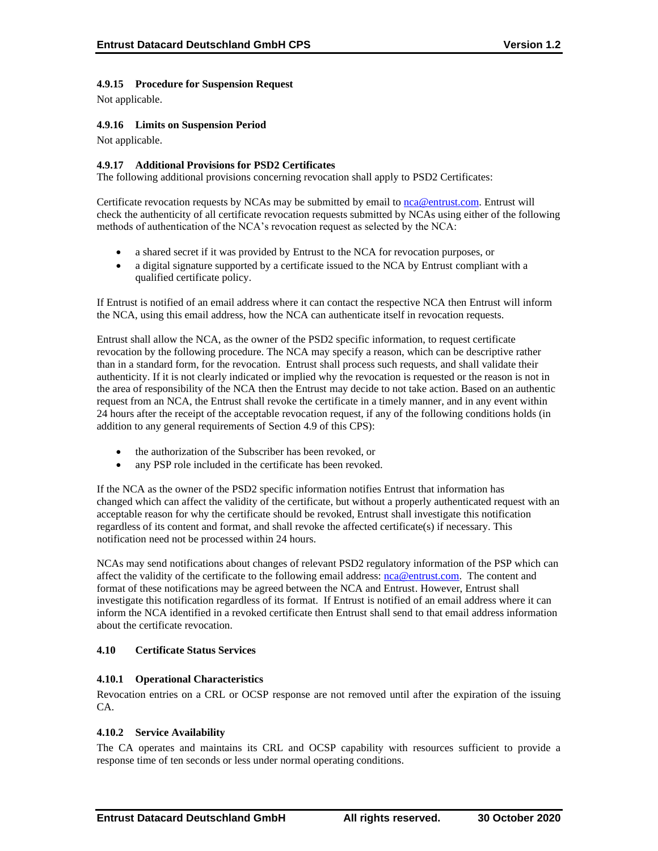# **4.9.15 Procedure for Suspension Request**

Not applicable.

# **4.9.16 Limits on Suspension Period**

Not applicable.

### **4.9.17 Additional Provisions for PSD2 Certificates**

The following additional provisions concerning revocation shall apply to PSD2 Certificates:

Certificate revocation requests by NCAs may be submitted by email to [nca@entrust.com.](mailto:nca@entrustdatacard.com) Entrust will check the authenticity of all certificate revocation requests submitted by NCAs using either of the following methods of authentication of the NCA's revocation request as selected by the NCA:

- a shared secret if it was provided by Entrust to the NCA for revocation purposes, or
- a digital signature supported by a certificate issued to the NCA by Entrust compliant with a qualified certificate policy.

If Entrust is notified of an email address where it can contact the respective NCA then Entrust will inform the NCA, using this email address, how the NCA can authenticate itself in revocation requests.

Entrust shall allow the NCA, as the owner of the PSD2 specific information, to request certificate revocation by the following procedure. The NCA may specify a reason, which can be descriptive rather than in a standard form, for the revocation. Entrust shall process such requests, and shall validate their authenticity. If it is not clearly indicated or implied why the revocation is requested or the reason is not in the area of responsibility of the NCA then the Entrust may decide to not take action. Based on an authentic request from an NCA, the Entrust shall revoke the certificate in a timely manner, and in any event within 24 hours after the receipt of the acceptable revocation request, if any of the following conditions holds (in addition to any general requirements of Section 4.9 of this CPS):

- the authorization of the Subscriber has been revoked, or
- any PSP role included in the certificate has been revoked.

If the NCA as the owner of the PSD2 specific information notifies Entrust that information has changed which can affect the validity of the certificate, but without a properly authenticated request with an acceptable reason for why the certificate should be revoked, Entrust shall investigate this notification regardless of its content and format, and shall revoke the affected certificate(s) if necessary. This notification need not be processed within 24 hours.

NCAs may send notifications about changes of relevant PSD2 regulatory information of the PSP which can affect the validity of the certificate to the following email address: [nca@entrust.com.](mailto:nca@entrustdatacard.com) The content and format of these notifications may be agreed between the NCA and Entrust. However, Entrust shall investigate this notification regardless of its format. If Entrust is notified of an email address where it can inform the NCA identified in a revoked certificate then Entrust shall send to that email address information about the certificate revocation.

#### **4.10 Certificate Status Services**

#### **4.10.1 Operational Characteristics**

Revocation entries on a CRL or OCSP response are not removed until after the expiration of the issuing CA.

#### **4.10.2 Service Availability**

The CA operates and maintains its CRL and OCSP capability with resources sufficient to provide a response time of ten seconds or less under normal operating conditions.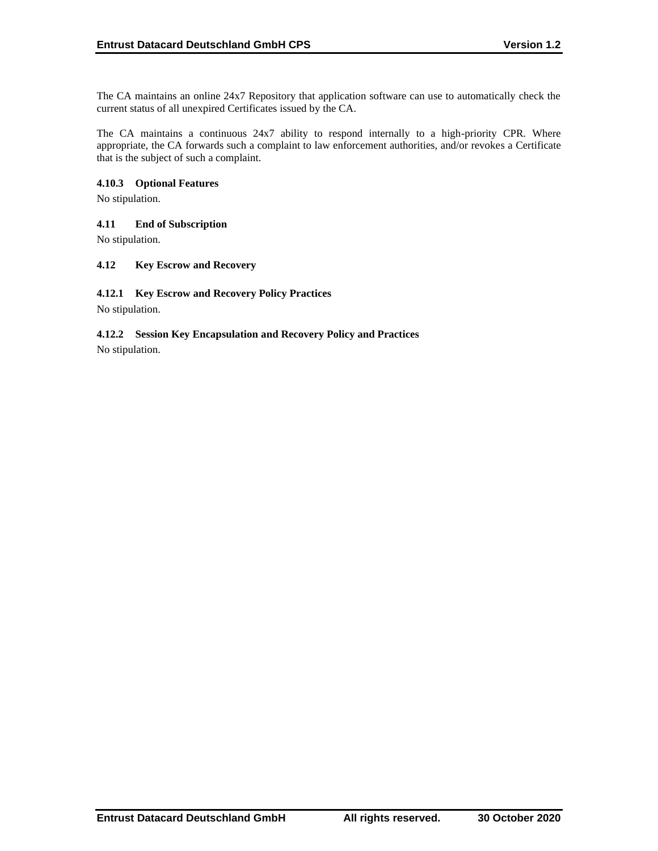The CA maintains an online 24x7 Repository that application software can use to automatically check the current status of all unexpired Certificates issued by the CA.

The CA maintains a continuous 24x7 ability to respond internally to a high-priority CPR. Where appropriate, the CA forwards such a complaint to law enforcement authorities, and/or revokes a Certificate that is the subject of such a complaint.

# **4.10.3 Optional Features**

No stipulation.

# **4.11 End of Subscription**

No stipulation.

# **4.12 Key Escrow and Recovery**

#### **4.12.1 Key Escrow and Recovery Policy Practices**

No stipulation.

# **4.12.2 Session Key Encapsulation and Recovery Policy and Practices**

No stipulation.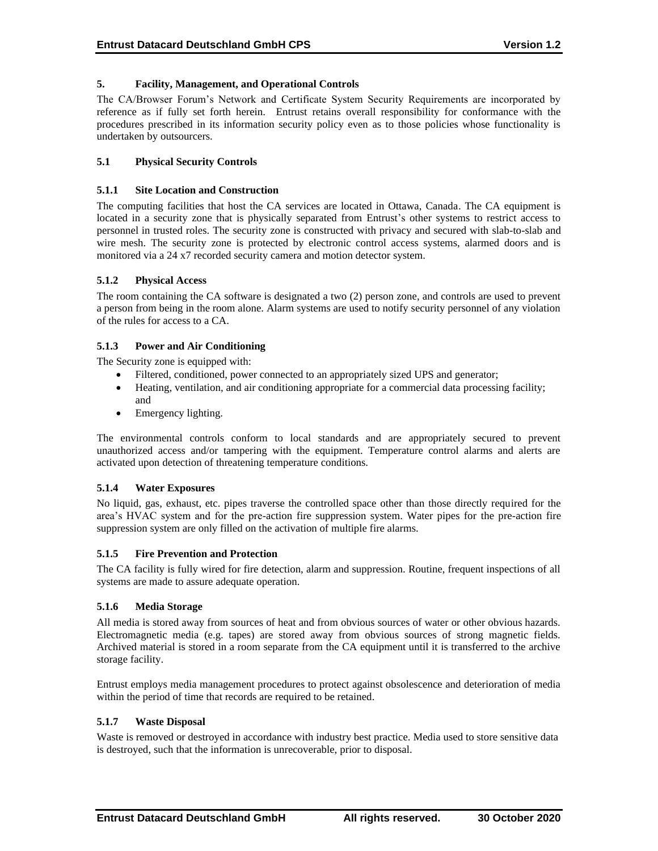# **5. Facility, Management, and Operational Controls**

The CA/Browser Forum's Network and Certificate System Security Requirements are incorporated by reference as if fully set forth herein. Entrust retains overall responsibility for conformance with the procedures prescribed in its information security policy even as to those policies whose functionality is undertaken by outsourcers.

# **5.1 Physical Security Controls**

### **5.1.1 Site Location and Construction**

The computing facilities that host the CA services are located in Ottawa, Canada. The CA equipment is located in a security zone that is physically separated from Entrust's other systems to restrict access to personnel in trusted roles. The security zone is constructed with privacy and secured with slab-to-slab and wire mesh. The security zone is protected by electronic control access systems, alarmed doors and is monitored via a 24 x7 recorded security camera and motion detector system.

# **5.1.2 Physical Access**

The room containing the CA software is designated a two (2) person zone, and controls are used to prevent a person from being in the room alone. Alarm systems are used to notify security personnel of any violation of the rules for access to a CA.

# **5.1.3 Power and Air Conditioning**

The Security zone is equipped with:

- Filtered, conditioned, power connected to an appropriately sized UPS and generator;
- Heating, ventilation, and air conditioning appropriate for a commercial data processing facility; and
- Emergency lighting.

The environmental controls conform to local standards and are appropriately secured to prevent unauthorized access and/or tampering with the equipment. Temperature control alarms and alerts are activated upon detection of threatening temperature conditions.

#### **5.1.4 Water Exposures**

No liquid, gas, exhaust, etc. pipes traverse the controlled space other than those directly required for the area's HVAC system and for the pre-action fire suppression system. Water pipes for the pre-action fire suppression system are only filled on the activation of multiple fire alarms.

#### **5.1.5 Fire Prevention and Protection**

The CA facility is fully wired for fire detection, alarm and suppression. Routine, frequent inspections of all systems are made to assure adequate operation.

#### **5.1.6 Media Storage**

All media is stored away from sources of heat and from obvious sources of water or other obvious hazards. Electromagnetic media (e.g. tapes) are stored away from obvious sources of strong magnetic fields. Archived material is stored in a room separate from the CA equipment until it is transferred to the archive storage facility.

Entrust employs media management procedures to protect against obsolescence and deterioration of media within the period of time that records are required to be retained.

#### **5.1.7 Waste Disposal**

Waste is removed or destroyed in accordance with industry best practice. Media used to store sensitive data is destroyed, such that the information is unrecoverable, prior to disposal.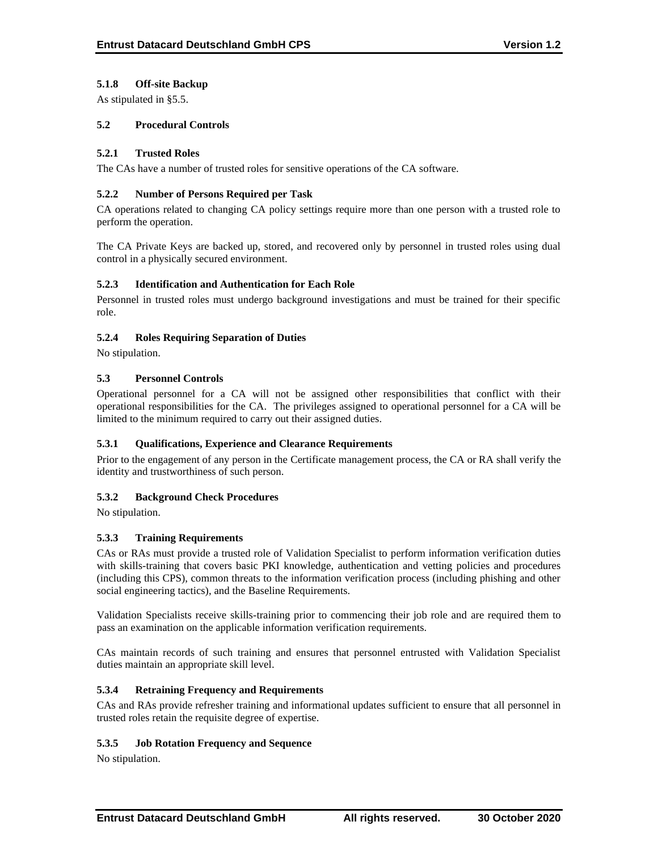# **5.1.8 Off-site Backup**

As stipulated in §5.5.

# **5.2 Procedural Controls**

# **5.2.1 Trusted Roles**

The CAs have a number of trusted roles for sensitive operations of the CA software.

### **5.2.2 Number of Persons Required per Task**

CA operations related to changing CA policy settings require more than one person with a trusted role to perform the operation.

The CA Private Keys are backed up, stored, and recovered only by personnel in trusted roles using dual control in a physically secured environment.

# **5.2.3 Identification and Authentication for Each Role**

Personnel in trusted roles must undergo background investigations and must be trained for their specific role.

# **5.2.4 Roles Requiring Separation of Duties**

No stipulation.

# **5.3 Personnel Controls**

Operational personnel for a CA will not be assigned other responsibilities that conflict with their operational responsibilities for the CA. The privileges assigned to operational personnel for a CA will be limited to the minimum required to carry out their assigned duties.

#### **5.3.1 Qualifications, Experience and Clearance Requirements**

Prior to the engagement of any person in the Certificate management process, the CA or RA shall verify the identity and trustworthiness of such person.

# **5.3.2 Background Check Procedures**

No stipulation.

# **5.3.3 Training Requirements**

CAs or RAs must provide a trusted role of Validation Specialist to perform information verification duties with skills-training that covers basic PKI knowledge, authentication and vetting policies and procedures (including this CPS), common threats to the information verification process (including phishing and other social engineering tactics), and the Baseline Requirements.

Validation Specialists receive skills-training prior to commencing their job role and are required them to pass an examination on the applicable information verification requirements.

CAs maintain records of such training and ensures that personnel entrusted with Validation Specialist duties maintain an appropriate skill level.

### **5.3.4 Retraining Frequency and Requirements**

CAs and RAs provide refresher training and informational updates sufficient to ensure that all personnel in trusted roles retain the requisite degree of expertise.

#### **5.3.5 Job Rotation Frequency and Sequence**

No stipulation.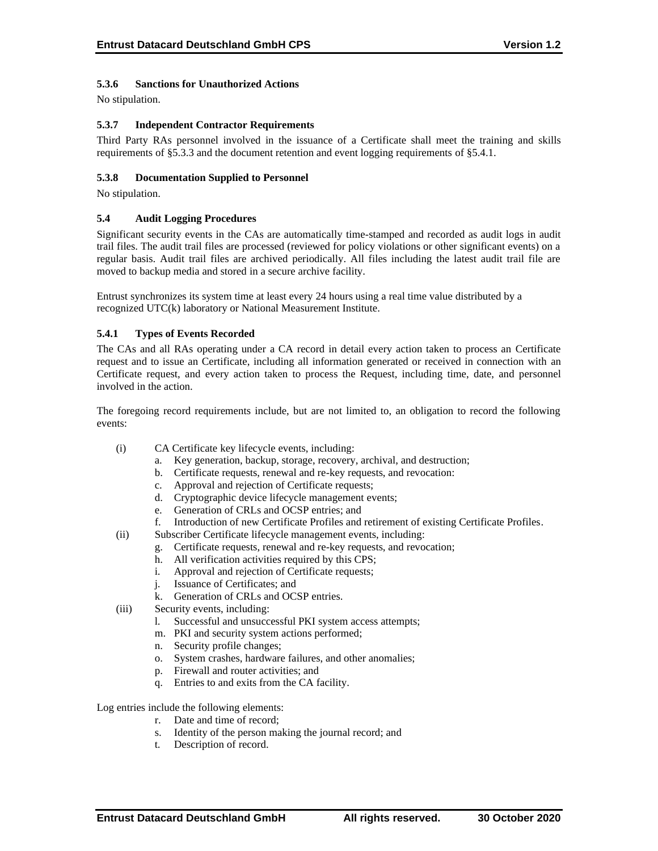# **5.3.6 Sanctions for Unauthorized Actions**

No stipulation.

# **5.3.7 Independent Contractor Requirements**

Third Party RAs personnel involved in the issuance of a Certificate shall meet the training and skills requirements of §5.3.3 and the document retention and event logging requirements of §5.4.1.

# **5.3.8 Documentation Supplied to Personnel**

No stipulation.

#### **5.4 Audit Logging Procedures**

Significant security events in the CAs are automatically time-stamped and recorded as audit logs in audit trail files. The audit trail files are processed (reviewed for policy violations or other significant events) on a regular basis. Audit trail files are archived periodically. All files including the latest audit trail file are moved to backup media and stored in a secure archive facility.

Entrust synchronizes its system time at least every 24 hours using a real time value distributed by a recognized UTC(k) laboratory or National Measurement Institute.

# **5.4.1 Types of Events Recorded**

The CAs and all RAs operating under a CA record in detail every action taken to process an Certificate request and to issue an Certificate, including all information generated or received in connection with an Certificate request, and every action taken to process the Request, including time, date, and personnel involved in the action.

The foregoing record requirements include, but are not limited to, an obligation to record the following events:

- (i) CA Certificate key lifecycle events, including:
	- a. Key generation, backup, storage, recovery, archival, and destruction;
	- b. Certificate requests, renewal and re-key requests, and revocation:
	- c. Approval and rejection of Certificate requests;
	- d. Cryptographic device lifecycle management events;
	- e. Generation of CRLs and OCSP entries; and
	- f. Introduction of new Certificate Profiles and retirement of existing Certificate Profiles.
- (ii) Subscriber Certificate lifecycle management events, including:
	- g. Certificate requests, renewal and re-key requests, and revocation;
	- h. All verification activities required by this CPS;
	- i. Approval and rejection of Certificate requests;
	- j. Issuance of Certificates; and
	- k. Generation of CRLs and OCSP entries.
- (iii) Security events, including:
	- l. Successful and unsuccessful PKI system access attempts;
	- m. PKI and security system actions performed;
	- n. Security profile changes;
	- o. System crashes, hardware failures, and other anomalies;
	- p. Firewall and router activities; and
	- q. Entries to and exits from the CA facility.

Log entries include the following elements:

- r. Date and time of record;
- s. Identity of the person making the journal record; and
- t. Description of record.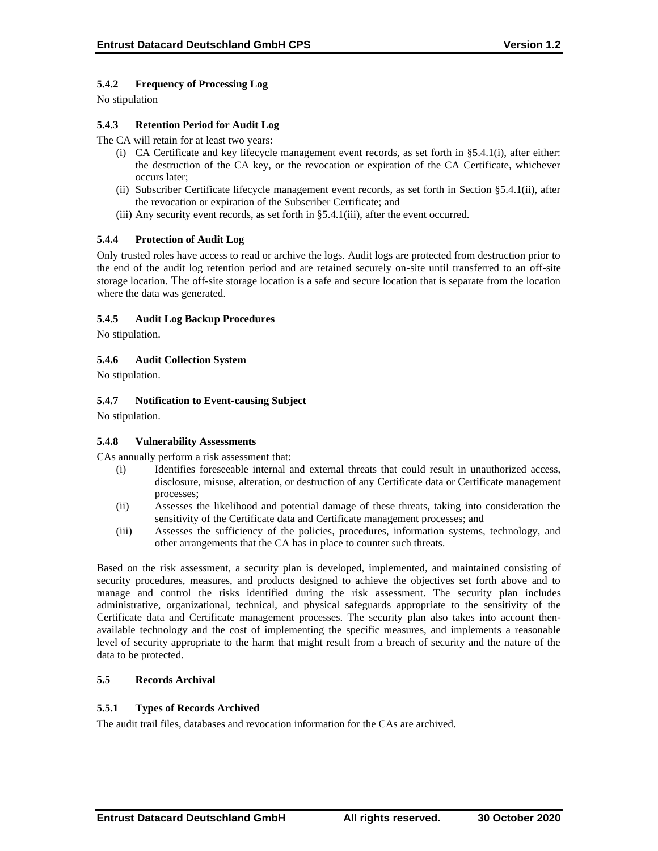# **5.4.2 Frequency of Processing Log**

No stipulation

# **5.4.3 Retention Period for Audit Log**

The CA will retain for at least two years:

- (i) CA Certificate and key lifecycle management event records, as set forth in §5.4.1(i), after either: the destruction of the CA key, or the revocation or expiration of the CA Certificate, whichever occurs later;
- (ii) Subscriber Certificate lifecycle management event records, as set forth in Section §5.4.1(ii), after the revocation or expiration of the Subscriber Certificate; and
- (iii) Any security event records, as set forth in §5.4.1(iii), after the event occurred.

# **5.4.4 Protection of Audit Log**

Only trusted roles have access to read or archive the logs. Audit logs are protected from destruction prior to the end of the audit log retention period and are retained securely on-site until transferred to an off-site storage location. The off-site storage location is a safe and secure location that is separate from the location where the data was generated.

# **5.4.5 Audit Log Backup Procedures**

No stipulation.

# **5.4.6 Audit Collection System**

No stipulation.

# **5.4.7 Notification to Event-causing Subject**

No stipulation.

#### **5.4.8 Vulnerability Assessments**

CAs annually perform a risk assessment that:

- (i) Identifies foreseeable internal and external threats that could result in unauthorized access, disclosure, misuse, alteration, or destruction of any Certificate data or Certificate management processes;
- (ii) Assesses the likelihood and potential damage of these threats, taking into consideration the sensitivity of the Certificate data and Certificate management processes; and
- (iii) Assesses the sufficiency of the policies, procedures, information systems, technology, and other arrangements that the CA has in place to counter such threats.

Based on the risk assessment, a security plan is developed, implemented, and maintained consisting of security procedures, measures, and products designed to achieve the objectives set forth above and to manage and control the risks identified during the risk assessment. The security plan includes administrative, organizational, technical, and physical safeguards appropriate to the sensitivity of the Certificate data and Certificate management processes. The security plan also takes into account thenavailable technology and the cost of implementing the specific measures, and implements a reasonable level of security appropriate to the harm that might result from a breach of security and the nature of the data to be protected.

# **5.5 Records Archival**

#### **5.5.1 Types of Records Archived**

The audit trail files, databases and revocation information for the CAs are archived.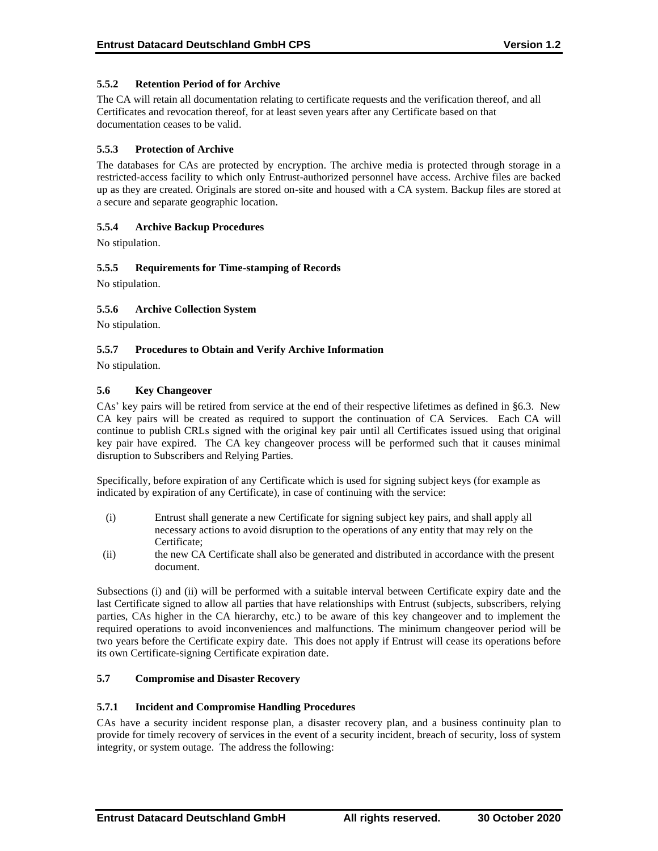# **5.5.2 Retention Period of for Archive**

The CA will retain all documentation relating to certificate requests and the verification thereof, and all Certificates and revocation thereof, for at least seven years after any Certificate based on that documentation ceases to be valid.

### **5.5.3 Protection of Archive**

The databases for CAs are protected by encryption. The archive media is protected through storage in a restricted-access facility to which only Entrust-authorized personnel have access. Archive files are backed up as they are created. Originals are stored on-site and housed with a CA system. Backup files are stored at a secure and separate geographic location.

# **5.5.4 Archive Backup Procedures**

No stipulation.

# **5.5.5 Requirements for Time-stamping of Records**

No stipulation.

# **5.5.6 Archive Collection System**

No stipulation.

# **5.5.7 Procedures to Obtain and Verify Archive Information**

No stipulation.

# **5.6 Key Changeover**

CAs' key pairs will be retired from service at the end of their respective lifetimes as defined in §6.3. New CA key pairs will be created as required to support the continuation of CA Services. Each CA will continue to publish CRLs signed with the original key pair until all Certificates issued using that original key pair have expired. The CA key changeover process will be performed such that it causes minimal disruption to Subscribers and Relying Parties.

Specifically, before expiration of any Certificate which is used for signing subject keys (for example as indicated by expiration of any Certificate), in case of continuing with the service:

- (i) Entrust shall generate a new Certificate for signing subject key pairs, and shall apply all necessary actions to avoid disruption to the operations of any entity that may rely on the Certificate;
- (ii) the new CA Certificate shall also be generated and distributed in accordance with the present document.

Subsections (i) and (ii) will be performed with a suitable interval between Certificate expiry date and the last Certificate signed to allow all parties that have relationships with Entrust (subjects, subscribers, relying parties, CAs higher in the CA hierarchy, etc.) to be aware of this key changeover and to implement the required operations to avoid inconveniences and malfunctions. The minimum changeover period will be two years before the Certificate expiry date. This does not apply if Entrust will cease its operations before its own Certificate-signing Certificate expiration date.

### **5.7 Compromise and Disaster Recovery**

#### **5.7.1 Incident and Compromise Handling Procedures**

CAs have a security incident response plan, a disaster recovery plan, and a business continuity plan to provide for timely recovery of services in the event of a security incident, breach of security, loss of system integrity, or system outage. The address the following: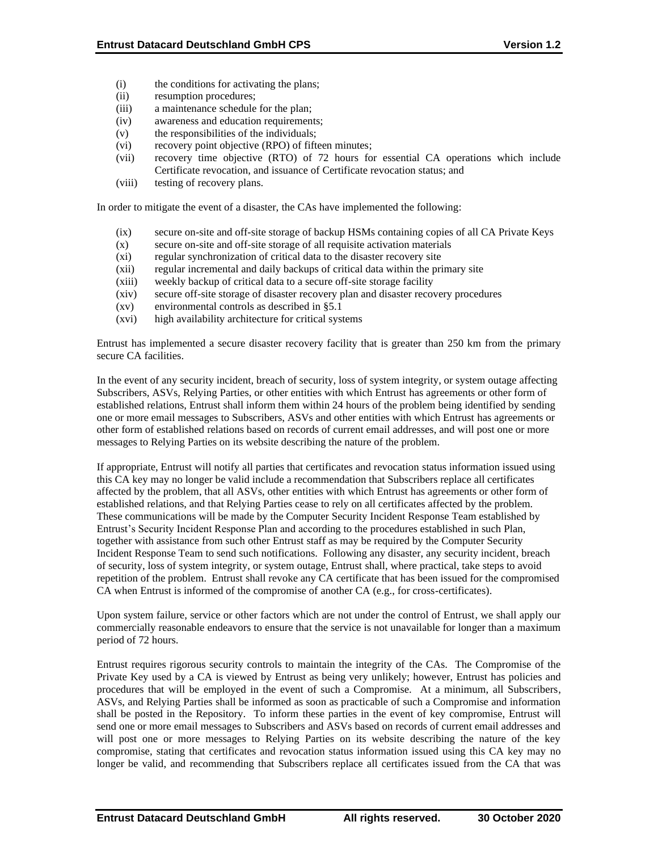- (i) the conditions for activating the plans;
- (ii) resumption procedures;
- (iii) a maintenance schedule for the plan;
- (iv) awareness and education requirements;
- (v) the responsibilities of the individuals;
- (vi) recovery point objective (RPO) of fifteen minutes;
- (vii) recovery time objective (RTO) of 72 hours for essential CA operations which include Certificate revocation, and issuance of Certificate revocation status; and
- (viii) testing of recovery plans.

In order to mitigate the event of a disaster, the CAs have implemented the following:

- (ix) secure on-site and off-site storage of backup HSMs containing copies of all CA Private Keys
- (x) secure on-site and off-site storage of all requisite activation materials
- (xi) regular synchronization of critical data to the disaster recovery site
- (xii) regular incremental and daily backups of critical data within the primary site
- (xiii) weekly backup of critical data to a secure off-site storage facility
- (xiv) secure off-site storage of disaster recovery plan and disaster recovery procedures
- (xv) environmental controls as described in §5.1
- (xvi) high availability architecture for critical systems

Entrust has implemented a secure disaster recovery facility that is greater than 250 km from the primary secure CA facilities.

In the event of any security incident, breach of security, loss of system integrity, or system outage affecting Subscribers, ASVs, Relying Parties, or other entities with which Entrust has agreements or other form of established relations, Entrust shall inform them within 24 hours of the problem being identified by sending one or more email messages to Subscribers, ASVs and other entities with which Entrust has agreements or other form of established relations based on records of current email addresses, and will post one or more messages to Relying Parties on its website describing the nature of the problem.

If appropriate, Entrust will notify all parties that certificates and revocation status information issued using this CA key may no longer be valid include a recommendation that Subscribers replace all certificates affected by the problem, that all ASVs, other entities with which Entrust has agreements or other form of established relations, and that Relying Parties cease to rely on all certificates affected by the problem. These communications will be made by the Computer Security Incident Response Team established by Entrust's Security Incident Response Plan and according to the procedures established in such Plan, together with assistance from such other Entrust staff as may be required by the Computer Security Incident Response Team to send such notifications. Following any disaster, any security incident, breach of security, loss of system integrity, or system outage, Entrust shall, where practical, take steps to avoid repetition of the problem. Entrust shall revoke any CA certificate that has been issued for the compromised CA when Entrust is informed of the compromise of another CA (e.g., for cross-certificates).

Upon system failure, service or other factors which are not under the control of Entrust, we shall apply our commercially reasonable endeavors to ensure that the service is not unavailable for longer than a maximum period of 72 hours.

Entrust requires rigorous security controls to maintain the integrity of the CAs. The Compromise of the Private Key used by a CA is viewed by Entrust as being very unlikely; however, Entrust has policies and procedures that will be employed in the event of such a Compromise. At a minimum, all Subscribers, ASVs, and Relying Parties shall be informed as soon as practicable of such a Compromise and information shall be posted in the Repository. To inform these parties in the event of key compromise, Entrust will send one or more email messages to Subscribers and ASVs based on records of current email addresses and will post one or more messages to Relying Parties on its website describing the nature of the key compromise, stating that certificates and revocation status information issued using this CA key may no longer be valid, and recommending that Subscribers replace all certificates issued from the CA that was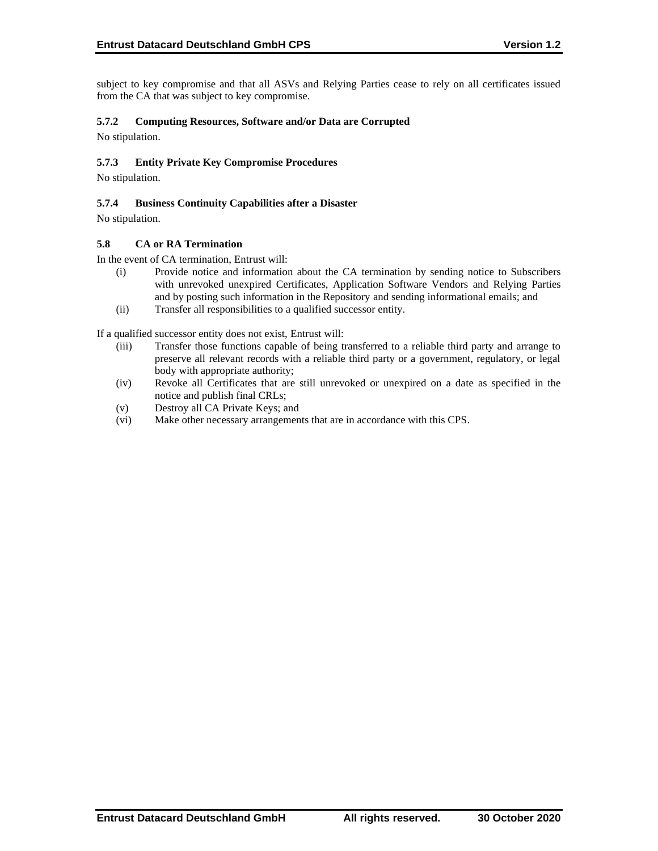subject to key compromise and that all ASVs and Relying Parties cease to rely on all certificates issued from the CA that was subject to key compromise.

# **5.7.2 Computing Resources, Software and/or Data are Corrupted**

No stipulation.

# **5.7.3 Entity Private Key Compromise Procedures**

No stipulation.

### **5.7.4 Business Continuity Capabilities after a Disaster**

No stipulation.

#### **5.8 CA or RA Termination**

In the event of CA termination, Entrust will:

- (i) Provide notice and information about the CA termination by sending notice to Subscribers with unrevoked unexpired Certificates, Application Software Vendors and Relying Parties and by posting such information in the Repository and sending informational emails; and
- (ii) Transfer all responsibilities to a qualified successor entity.

If a qualified successor entity does not exist, Entrust will:

- (iii) Transfer those functions capable of being transferred to a reliable third party and arrange to preserve all relevant records with a reliable third party or a government, regulatory, or legal body with appropriate authority;
- (iv) Revoke all Certificates that are still unrevoked or unexpired on a date as specified in the notice and publish final CRLs;
- (v) Destroy all CA Private Keys; and
- (vi) Make other necessary arrangements that are in accordance with this CPS.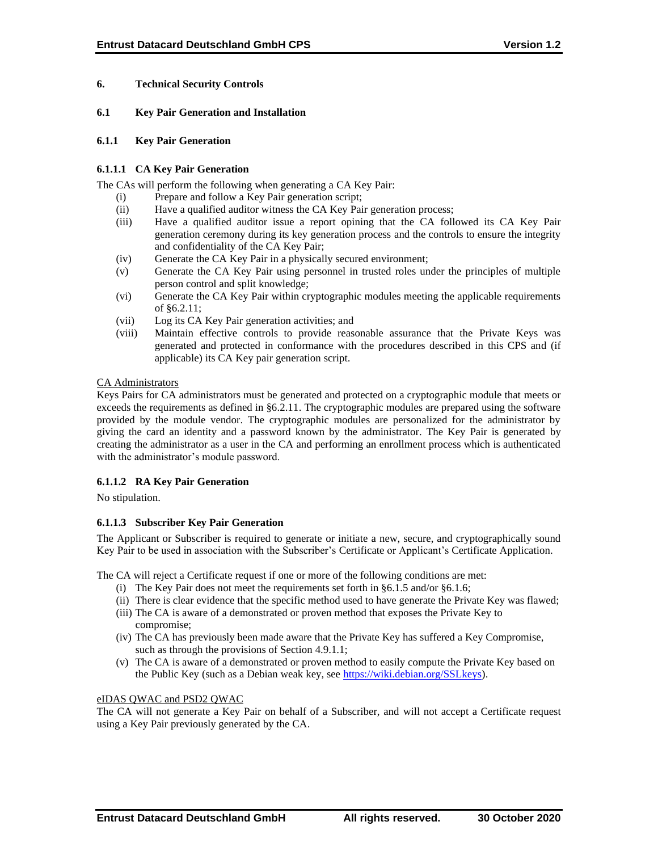### **6. Technical Security Controls**

#### **6.1 Key Pair Generation and Installation**

#### **6.1.1 Key Pair Generation**

# **6.1.1.1 CA Key Pair Generation**

The CAs will perform the following when generating a CA Key Pair:

- (i) Prepare and follow a Key Pair generation script;
- (ii) Have a qualified auditor witness the CA Key Pair generation process;
- (iii) Have a qualified auditor issue a report opining that the CA followed its CA Key Pair generation ceremony during its key generation process and the controls to ensure the integrity and confidentiality of the CA Key Pair;
- (iv) Generate the CA Key Pair in a physically secured environment;
- (v) Generate the CA Key Pair using personnel in trusted roles under the principles of multiple person control and split knowledge;
- (vi) Generate the CA Key Pair within cryptographic modules meeting the applicable requirements of §6.2.11;
- (vii) Log its CA Key Pair generation activities; and
- (viii) Maintain effective controls to provide reasonable assurance that the Private Keys was generated and protected in conformance with the procedures described in this CPS and (if applicable) its CA Key pair generation script.

#### CA Administrators

Keys Pairs for CA administrators must be generated and protected on a cryptographic module that meets or exceeds the requirements as defined in §6.2.11. The cryptographic modules are prepared using the software provided by the module vendor. The cryptographic modules are personalized for the administrator by giving the card an identity and a password known by the administrator. The Key Pair is generated by creating the administrator as a user in the CA and performing an enrollment process which is authenticated with the administrator's module password.

# **6.1.1.2 RA Key Pair Generation**

No stipulation.

#### **6.1.1.3 Subscriber Key Pair Generation**

The Applicant or Subscriber is required to generate or initiate a new, secure, and cryptographically sound Key Pair to be used in association with the Subscriber's Certificate or Applicant's Certificate Application.

The CA will reject a Certificate request if one or more of the following conditions are met:

- (i) The Key Pair does not meet the requirements set forth in §6.1.5 and/or §6.1.6;
- (ii) There is clear evidence that the specific method used to have generate the Private Key was flawed;
- (iii) The CA is aware of a demonstrated or proven method that exposes the Private Key to compromise;
- (iv) The CA has previously been made aware that the Private Key has suffered a Key Compromise, such as through the provisions of Section 4.9.1.1;
- (v) The CA is aware of a demonstrated or proven method to easily compute the Private Key based on the Public Key (such as a Debian weak key, see [https://wiki.debian.org/SSLkeys\)](https://wiki.debian.org/SSLkeys).

#### eIDAS QWAC and PSD2 QWAC

The CA will not generate a Key Pair on behalf of a Subscriber, and will not accept a Certificate request using a Key Pair previously generated by the CA.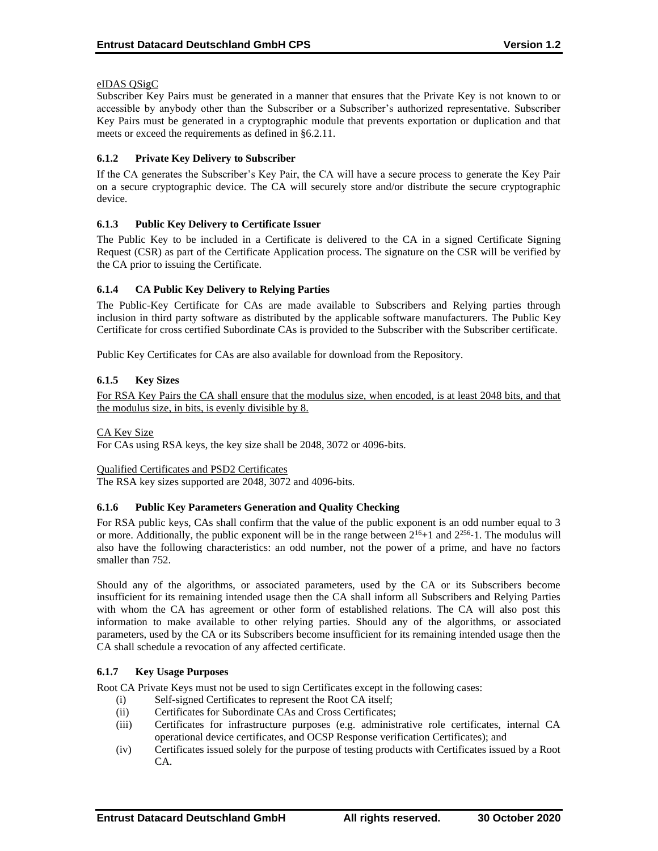# eIDAS QSigC

Subscriber Key Pairs must be generated in a manner that ensures that the Private Key is not known to or accessible by anybody other than the Subscriber or a Subscriber's authorized representative. Subscriber Key Pairs must be generated in a cryptographic module that prevents exportation or duplication and that meets or exceed the requirements as defined in §6.2.11.

# **6.1.2 Private Key Delivery to Subscriber**

If the CA generates the Subscriber's Key Pair, the CA will have a secure process to generate the Key Pair on a secure cryptographic device. The CA will securely store and/or distribute the secure cryptographic device.

# **6.1.3 Public Key Delivery to Certificate Issuer**

The Public Key to be included in a Certificate is delivered to the CA in a signed Certificate Signing Request (CSR) as part of the Certificate Application process. The signature on the CSR will be verified by the CA prior to issuing the Certificate.

# **6.1.4 CA Public Key Delivery to Relying Parties**

The Public-Key Certificate for CAs are made available to Subscribers and Relying parties through inclusion in third party software as distributed by the applicable software manufacturers. The Public Key Certificate for cross certified Subordinate CAs is provided to the Subscriber with the Subscriber certificate.

Public Key Certificates for CAs are also available for download from the Repository.

# **6.1.5 Key Sizes**

For RSA Key Pairs the CA shall ensure that the modulus size, when encoded, is at least 2048 bits, and that the modulus size, in bits, is evenly divisible by 8.

#### CA Key Size

For CAs using RSA keys, the key size shall be 2048, 3072 or 4096-bits.

#### Qualified Certificates and PSD2 Certificates

The RSA key sizes supported are 2048, 3072 and 4096-bits.

#### **6.1.6 Public Key Parameters Generation and Quality Checking**

For RSA public keys, CAs shall confirm that the value of the public exponent is an odd number equal to 3 or more. Additionally, the public exponent will be in the range between  $2^{16}+1$  and  $2^{256}$ -1. The modulus will also have the following characteristics: an odd number, not the power of a prime, and have no factors smaller than 752.

Should any of the algorithms, or associated parameters, used by the CA or its Subscribers become insufficient for its remaining intended usage then the CA shall inform all Subscribers and Relying Parties with whom the CA has agreement or other form of established relations. The CA will also post this information to make available to other relying parties. Should any of the algorithms, or associated parameters, used by the CA or its Subscribers become insufficient for its remaining intended usage then the CA shall schedule a revocation of any affected certificate.

#### **6.1.7 Key Usage Purposes**

Root CA Private Keys must not be used to sign Certificates except in the following cases:

- (i) Self-signed Certificates to represent the Root CA itself;
- (ii) Certificates for Subordinate CAs and Cross Certificates;
- (iii) Certificates for infrastructure purposes (e.g. administrative role certificates, internal CA operational device certificates, and OCSP Response verification Certificates); and
- (iv) Certificates issued solely for the purpose of testing products with Certificates issued by a Root CA.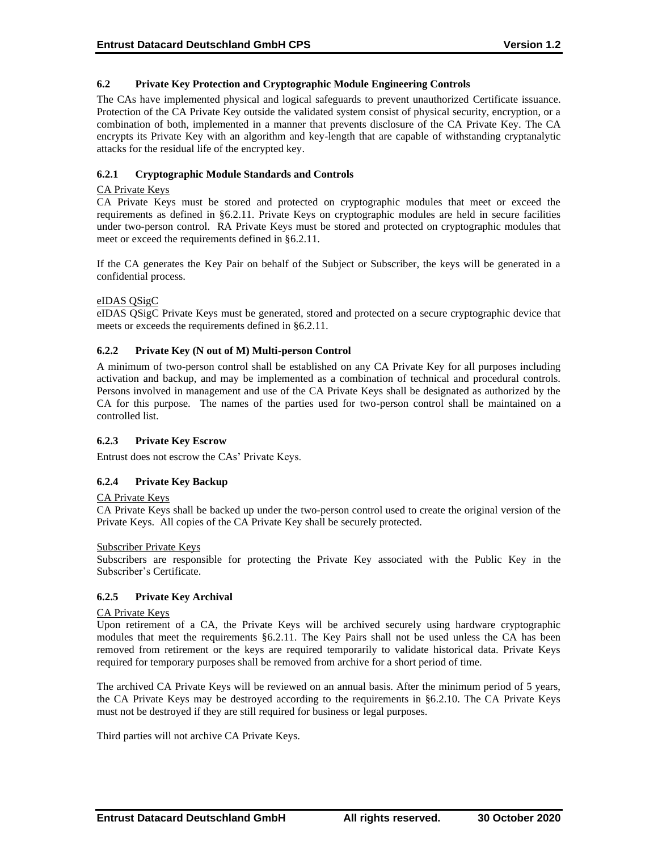# **6.2 Private Key Protection and Cryptographic Module Engineering Controls**

The CAs have implemented physical and logical safeguards to prevent unauthorized Certificate issuance. Protection of the CA Private Key outside the validated system consist of physical security, encryption, or a combination of both, implemented in a manner that prevents disclosure of the CA Private Key. The CA encrypts its Private Key with an algorithm and key-length that are capable of withstanding cryptanalytic attacks for the residual life of the encrypted key.

# **6.2.1 Cryptographic Module Standards and Controls**

### CA Private Keys

CA Private Keys must be stored and protected on cryptographic modules that meet or exceed the requirements as defined in §6.2.11. Private Keys on cryptographic modules are held in secure facilities under two-person control. RA Private Keys must be stored and protected on cryptographic modules that meet or exceed the requirements defined in §6.2.11.

If the CA generates the Key Pair on behalf of the Subject or Subscriber, the keys will be generated in a confidential process.

# eIDAS QSigC

eIDAS QSigC Private Keys must be generated, stored and protected on a secure cryptographic device that meets or exceeds the requirements defined in §6.2.11.

# **6.2.2 Private Key (N out of M) Multi-person Control**

A minimum of two-person control shall be established on any CA Private Key for all purposes including activation and backup, and may be implemented as a combination of technical and procedural controls. Persons involved in management and use of the CA Private Keys shall be designated as authorized by the CA for this purpose. The names of the parties used for two-person control shall be maintained on a controlled list.

#### **6.2.3 Private Key Escrow**

Entrust does not escrow the CAs' Private Keys.

# **6.2.4 Private Key Backup**

#### CA Private Keys

CA Private Keys shall be backed up under the two-person control used to create the original version of the Private Keys. All copies of the CA Private Key shall be securely protected.

#### Subscriber Private Keys

Subscribers are responsible for protecting the Private Key associated with the Public Key in the Subscriber's Certificate.

#### **6.2.5 Private Key Archival**

#### CA Private Keys

Upon retirement of a CA, the Private Keys will be archived securely using hardware cryptographic modules that meet the requirements §6.2.11. The Key Pairs shall not be used unless the CA has been removed from retirement or the keys are required temporarily to validate historical data. Private Keys required for temporary purposes shall be removed from archive for a short period of time.

The archived CA Private Keys will be reviewed on an annual basis. After the minimum period of 5 years, the CA Private Keys may be destroyed according to the requirements in §6.2.10. The CA Private Keys must not be destroyed if they are still required for business or legal purposes.

Third parties will not archive CA Private Keys.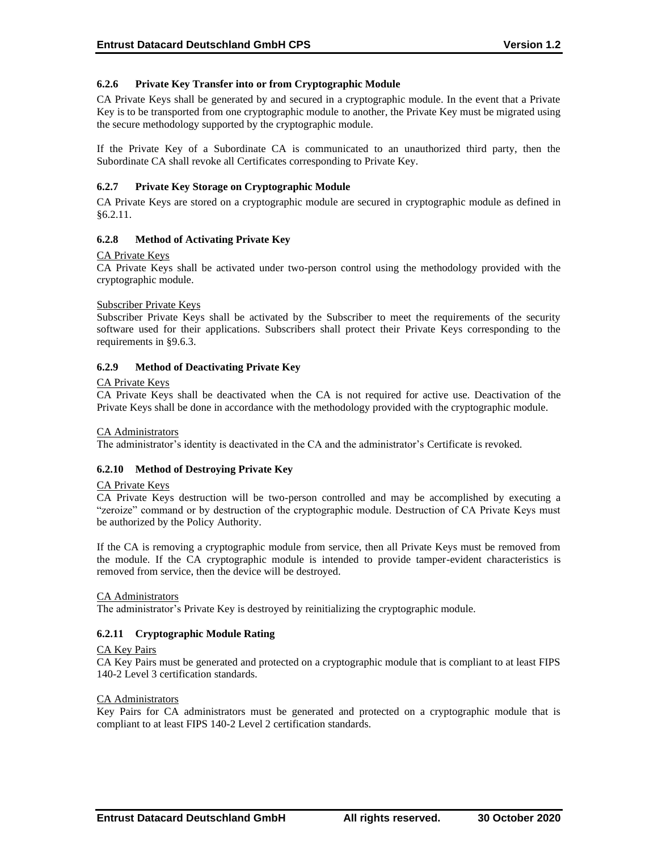# **6.2.6 Private Key Transfer into or from Cryptographic Module**

CA Private Keys shall be generated by and secured in a cryptographic module. In the event that a Private Key is to be transported from one cryptographic module to another, the Private Key must be migrated using the secure methodology supported by the cryptographic module.

If the Private Key of a Subordinate CA is communicated to an unauthorized third party, then the Subordinate CA shall revoke all Certificates corresponding to Private Key.

# **6.2.7 Private Key Storage on Cryptographic Module**

CA Private Keys are stored on a cryptographic module are secured in cryptographic module as defined in §6.2.11.

# **6.2.8 Method of Activating Private Key**

#### CA Private Keys

CA Private Keys shall be activated under two-person control using the methodology provided with the cryptographic module.

#### Subscriber Private Keys

Subscriber Private Keys shall be activated by the Subscriber to meet the requirements of the security software used for their applications. Subscribers shall protect their Private Keys corresponding to the requirements in §9.6.3.

# **6.2.9 Method of Deactivating Private Key**

#### CA Private Keys

CA Private Keys shall be deactivated when the CA is not required for active use. Deactivation of the Private Keys shall be done in accordance with the methodology provided with the cryptographic module.

#### CA Administrators

The administrator's identity is deactivated in the CA and the administrator's Certificate is revoked.

#### **6.2.10 Method of Destroying Private Key**

#### CA Private Keys

CA Private Keys destruction will be two-person controlled and may be accomplished by executing a "zeroize" command or by destruction of the cryptographic module. Destruction of CA Private Keys must be authorized by the Policy Authority.

If the CA is removing a cryptographic module from service, then all Private Keys must be removed from the module. If the CA cryptographic module is intended to provide tamper-evident characteristics is removed from service, then the device will be destroyed.

#### CA Administrators

The administrator's Private Key is destroyed by reinitializing the cryptographic module.

#### **6.2.11 Cryptographic Module Rating**

#### CA Key Pairs

CA Key Pairs must be generated and protected on a cryptographic module that is compliant to at least FIPS 140-2 Level 3 certification standards.

#### CA Administrators

Key Pairs for CA administrators must be generated and protected on a cryptographic module that is compliant to at least FIPS 140-2 Level 2 certification standards.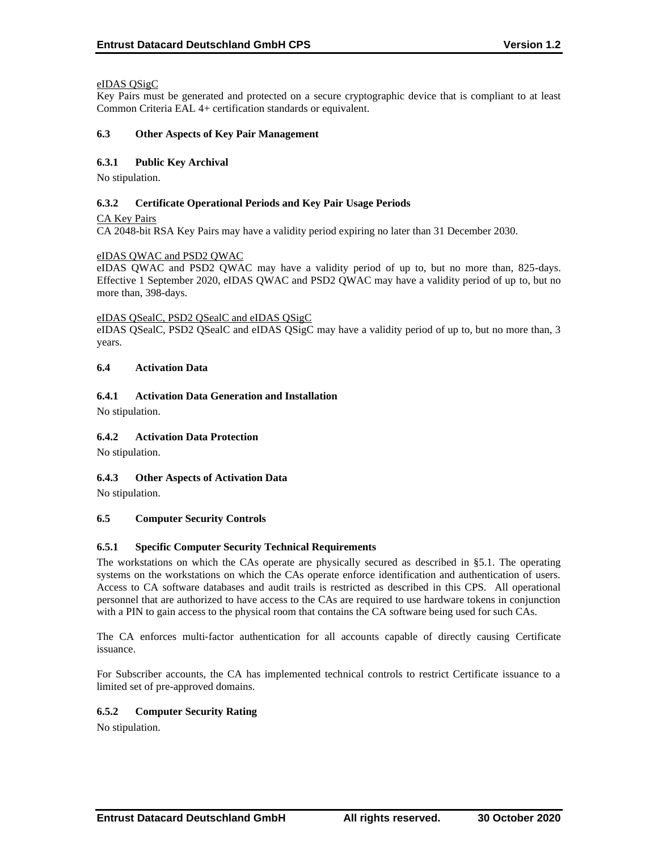# eIDAS QSigC

Key Pairs must be generated and protected on a secure cryptographic device that is compliant to at least Common Criteria EAL 4+ certification standards or equivalent.

### **6.3 Other Aspects of Key Pair Management**

# **6.3.1 Public Key Archival**

No stipulation.

# **6.3.2 Certificate Operational Periods and Key Pair Usage Periods**

CA Key Pairs

CA 2048-bit RSA Key Pairs may have a validity period expiring no later than 31 December 2030.

# eIDAS QWAC and PSD2 QWAC

eIDAS QWAC and PSD2 QWAC may have a validity period of up to, but no more than, 825-days. Effective 1 September 2020, eIDAS QWAC and PSD2 QWAC may have a validity period of up to, but no more than, 398-days.

#### eIDAS QSealC, PSD2 QSealC and eIDAS QSigC

eIDAS QSealC, PSD2 QSealC and eIDAS QSigC may have a validity period of up to, but no more than, 3 years.

# **6.4 Activation Data**

# **6.4.1 Activation Data Generation and Installation**

No stipulation.

# **6.4.2 Activation Data Protection**

No stipulation.

#### **6.4.3 Other Aspects of Activation Data**

No stipulation.

#### **6.5 Computer Security Controls**

# **6.5.1 Specific Computer Security Technical Requirements**

The workstations on which the CAs operate are physically secured as described in §5.1. The operating systems on the workstations on which the CAs operate enforce identification and authentication of users. Access to CA software databases and audit trails is restricted as described in this CPS. All operational personnel that are authorized to have access to the CAs are required to use hardware tokens in conjunction with a PIN to gain access to the physical room that contains the CA software being used for such CAs.

The CA enforces multi-factor authentication for all accounts capable of directly causing Certificate issuance.

For Subscriber accounts, the CA has implemented technical controls to restrict Certificate issuance to a limited set of pre-approved domains.

# **6.5.2 Computer Security Rating**

No stipulation.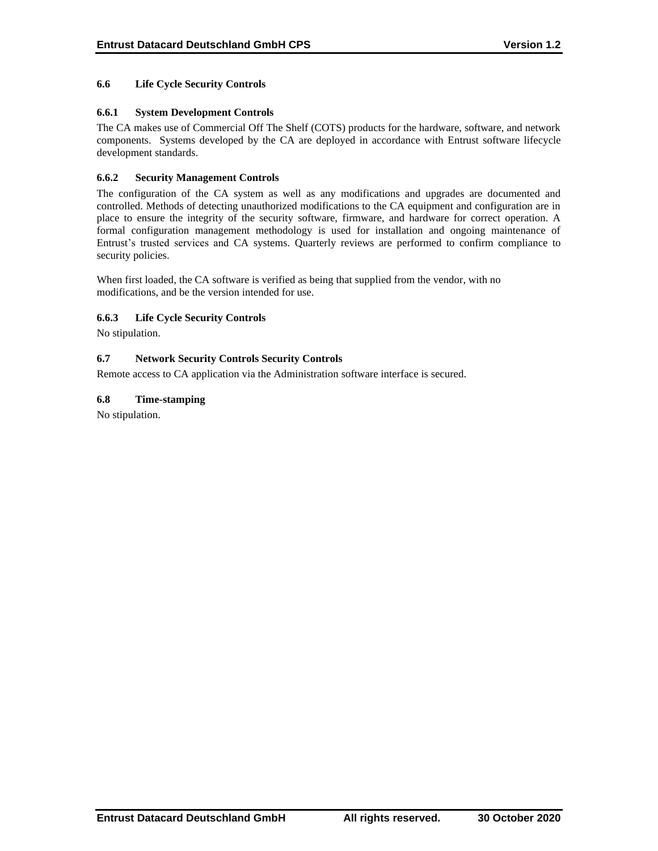# **6.6 Life Cycle Security Controls**

# **6.6.1 System Development Controls**

The CA makes use of Commercial Off The Shelf (COTS) products for the hardware, software, and network components. Systems developed by the CA are deployed in accordance with Entrust software lifecycle development standards.

# **6.6.2 Security Management Controls**

The configuration of the CA system as well as any modifications and upgrades are documented and controlled. Methods of detecting unauthorized modifications to the CA equipment and configuration are in place to ensure the integrity of the security software, firmware, and hardware for correct operation. A formal configuration management methodology is used for installation and ongoing maintenance of Entrust's trusted services and CA systems. Quarterly reviews are performed to confirm compliance to security policies.

When first loaded, the CA software is verified as being that supplied from the vendor, with no modifications, and be the version intended for use.

#### **6.6.3 Life Cycle Security Controls**

No stipulation.

# **6.7 Network Security Controls Security Controls**

Remote access to CA application via the Administration software interface is secured.

# **6.8 Time-stamping**

No stipulation.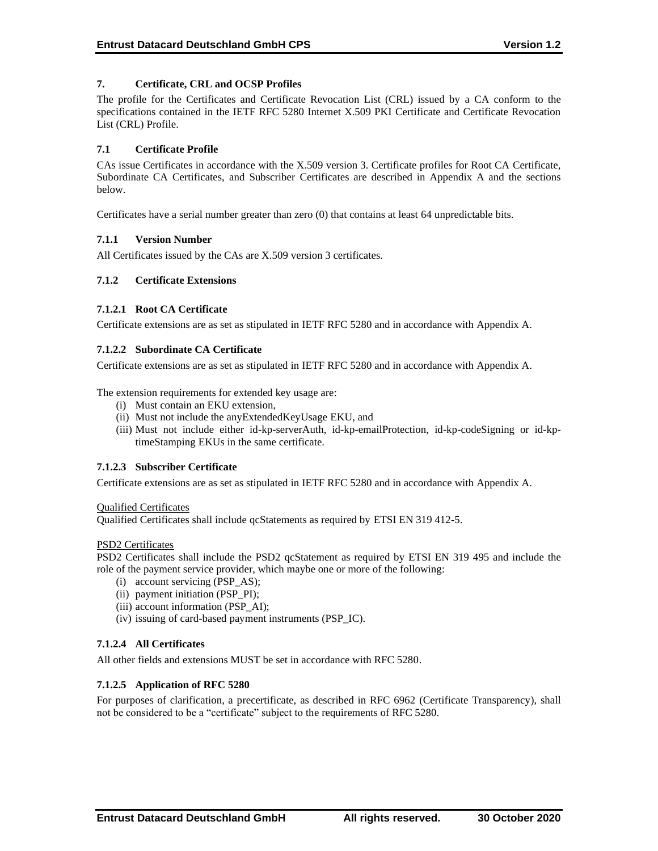# **7. Certificate, CRL and OCSP Profiles**

The profile for the Certificates and Certificate Revocation List (CRL) issued by a CA conform to the specifications contained in the IETF RFC 5280 Internet X.509 PKI Certificate and Certificate Revocation List (CRL) Profile.

# **7.1 Certificate Profile**

CAs issue Certificates in accordance with the X.509 version 3. Certificate profiles for Root CA Certificate, Subordinate CA Certificates, and Subscriber Certificates are described in Appendix A and the sections below.

Certificates have a serial number greater than zero (0) that contains at least 64 unpredictable bits.

# **7.1.1 Version Number**

All Certificates issued by the CAs are X.509 version 3 certificates.

# **7.1.2 Certificate Extensions**

#### **7.1.2.1 Root CA Certificate**

Certificate extensions are as set as stipulated in IETF RFC 5280 and in accordance with Appendix A.

#### **7.1.2.2 Subordinate CA Certificate**

Certificate extensions are as set as stipulated in IETF RFC 5280 and in accordance with Appendix A.

The extension requirements for extended key usage are:

- (i) Must contain an EKU extension,
- (ii) Must not include the anyExtendedKeyUsage EKU, and
- (iii) Must not include either id-kp-serverAuth, id-kp-emailProtection, id-kp-codeSigning or id-kptimeStamping EKUs in the same certificate.

#### **7.1.2.3 Subscriber Certificate**

Certificate extensions are as set as stipulated in IETF RFC 5280 and in accordance with Appendix A.

#### Qualified Certificates

Qualified Certificates shall include qcStatements as required by ETSI EN 319 412-5.

#### PSD2 Certificates

PSD2 Certificates shall include the PSD2 qcStatement as required by ETSI EN 319 495 and include the role of the payment service provider, which maybe one or more of the following:

- (i) account servicing (PSP\_AS);
- (ii) payment initiation (PSP\_PI);
- (iii) account information (PSP\_AI);
- (iv) issuing of card-based payment instruments (PSP\_IC).

# **7.1.2.4 All Certificates**

All other fields and extensions MUST be set in accordance with RFC 5280.

#### **7.1.2.5 Application of RFC 5280**

For purposes of clarification, a precertificate, as described in RFC 6962 (Certificate Transparency), shall not be considered to be a "certificate" subject to the requirements of RFC 5280.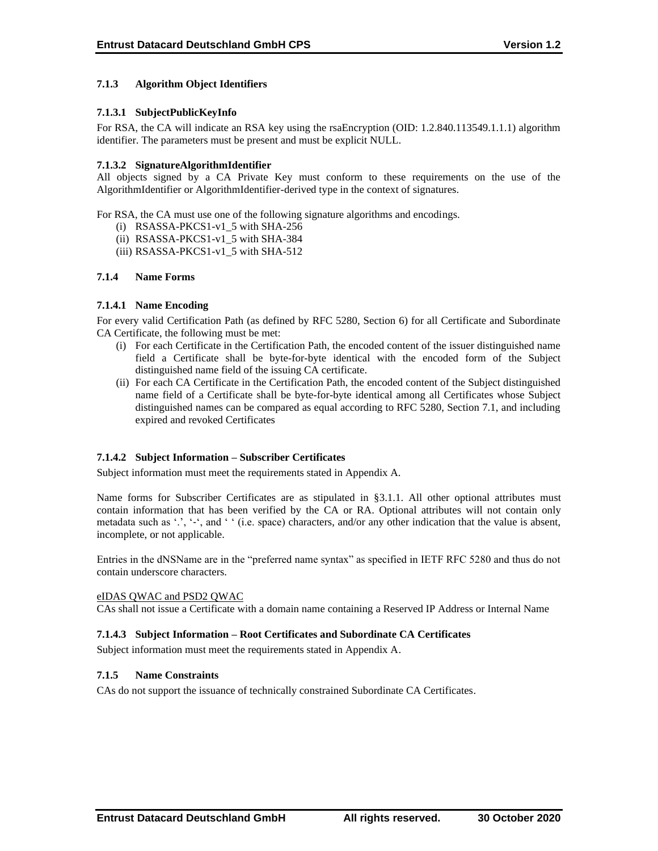# **7.1.3 Algorithm Object Identifiers**

### **7.1.3.1 SubjectPublicKeyInfo**

For RSA, the CA will indicate an RSA key using the rsaEncryption (OID: 1.2.840.113549.1.1.1) algorithm identifier. The parameters must be present and must be explicit NULL.

### **7.1.3.2 SignatureAlgorithmIdentifier**

All objects signed by a CA Private Key must conform to these requirements on the use of the AlgorithmIdentifier or AlgorithmIdentifier-derived type in the context of signatures.

For RSA, the CA must use one of the following signature algorithms and encodings.

- (i) RSASSA-PKCS1-v1\_5 with SHA-256
- (ii) RSASSA-PKCS1-v1\_5 with SHA-384
- (iii) RSASSA-PKCS1-v1\_5 with SHA-512

#### **7.1.4 Name Forms**

#### **7.1.4.1 Name Encoding**

For every valid Certification Path (as defined by RFC 5280, Section 6) for all Certificate and Subordinate CA Certificate, the following must be met:

- (i) For each Certificate in the Certification Path, the encoded content of the issuer distinguished name field a Certificate shall be byte-for-byte identical with the encoded form of the Subject distinguished name field of the issuing CA certificate.
- (ii) For each CA Certificate in the Certification Path, the encoded content of the Subject distinguished name field of a Certificate shall be byte-for-byte identical among all Certificates whose Subject distinguished names can be compared as equal according to RFC 5280, Section 7.1, and including expired and revoked Certificates

#### **7.1.4.2 Subject Information – Subscriber Certificates**

Subject information must meet the requirements stated in Appendix A.

Name forms for Subscriber Certificates are as stipulated in §3.1.1. All other optional attributes must contain information that has been verified by the CA or RA. Optional attributes will not contain only metadata such as '.', '-', and '' (i.e. space) characters, and/or any other indication that the value is absent, incomplete, or not applicable.

Entries in the dNSName are in the "preferred name syntax" as specified in IETF RFC 5280 and thus do not contain underscore characters.

#### eIDAS QWAC and PSD2 QWAC

CAs shall not issue a Certificate with a domain name containing a Reserved IP Address or Internal Name

#### **7.1.4.3 Subject Information – Root Certificates and Subordinate CA Certificates**

Subject information must meet the requirements stated in Appendix A.

#### **7.1.5 Name Constraints**

CAs do not support the issuance of technically constrained Subordinate CA Certificates.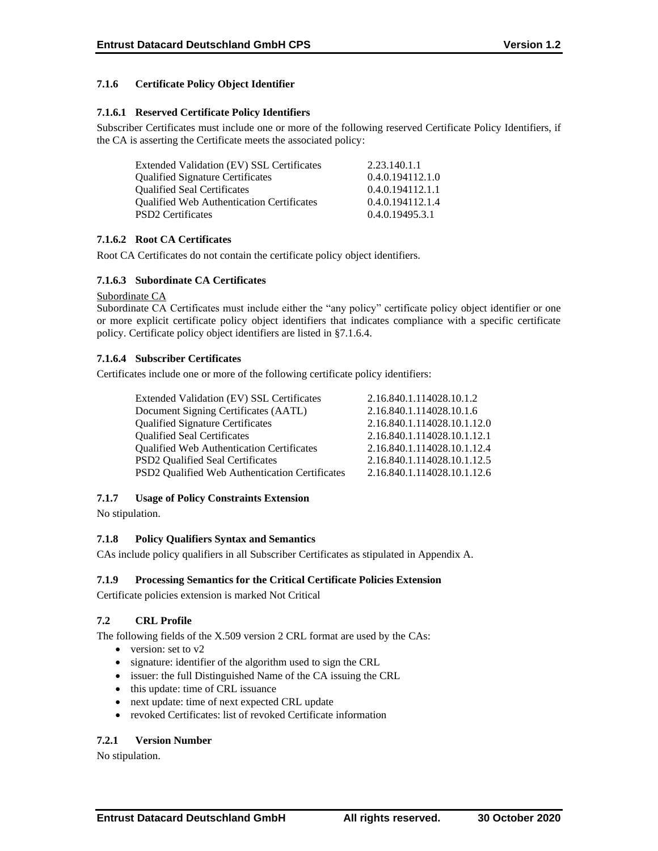# **7.1.6 Certificate Policy Object Identifier**

### **7.1.6.1 Reserved Certificate Policy Identifiers**

Subscriber Certificates must include one or more of the following reserved Certificate Policy Identifiers, if the CA is asserting the Certificate meets the associated policy:

| Extended Validation (EV) SSL Certificates        | 2.23.140.1.1     |
|--------------------------------------------------|------------------|
| <b>Qualified Signature Certificates</b>          | 0.4.0.194112.1.0 |
| <b>Oualified Seal Certificates</b>               | 0.4.0.194112.1.1 |
| <b>Qualified Web Authentication Certificates</b> | 0.4.0.194112.1.4 |
| <b>PSD2</b> Certificates                         | 0.4.0.19495.3.1  |

# **7.1.6.2 Root CA Certificates**

Root CA Certificates do not contain the certificate policy object identifiers.

# **7.1.6.3 Subordinate CA Certificates**

#### Subordinate CA

Subordinate CA Certificates must include either the "any policy" certificate policy object identifier or one or more explicit certificate policy object identifiers that indicates compliance with a specific certificate policy. Certificate policy object identifiers are listed in §7.1.6.4.

# **7.1.6.4 Subscriber Certificates**

Certificates include one or more of the following certificate policy identifiers:

| Extended Validation (EV) SSL Certificates        | 2.16.840.1.114028.10.1.2    |
|--------------------------------------------------|-----------------------------|
| Document Signing Certificates (AATL)             | 2.16.840.1.114028.10.1.6    |
| <b>Qualified Signature Certificates</b>          | 2.16.840.1.114028.10.1.12.0 |
| <b>Qualified Seal Certificates</b>               | 2.16.840.1.114028.10.1.12.1 |
| <b>Qualified Web Authentication Certificates</b> | 2.16.840.1.114028.10.1.12.4 |
| <b>PSD2</b> Qualified Seal Certificates          | 2.16.840.1.114028.10.1.12.5 |
| PSD2 Qualified Web Authentication Certificates   | 2.16.840.1.114028.10.1.12.6 |

#### **7.1.7 Usage of Policy Constraints Extension**

No stipulation.

# **7.1.8 Policy Qualifiers Syntax and Semantics**

CAs include policy qualifiers in all Subscriber Certificates as stipulated in Appendix A.

#### **7.1.9 Processing Semantics for the Critical Certificate Policies Extension**

Certificate policies extension is marked Not Critical

# **7.2 CRL Profile**

The following fields of the X.509 version 2 CRL format are used by the CAs:

- version: set to v2
- signature: identifier of the algorithm used to sign the CRL
- issuer: the full Distinguished Name of the CA issuing the CRL
- this update: time of CRL issuance
- next update: time of next expected CRL update
- revoked Certificates: list of revoked Certificate information

# **7.2.1 Version Number**

No stipulation.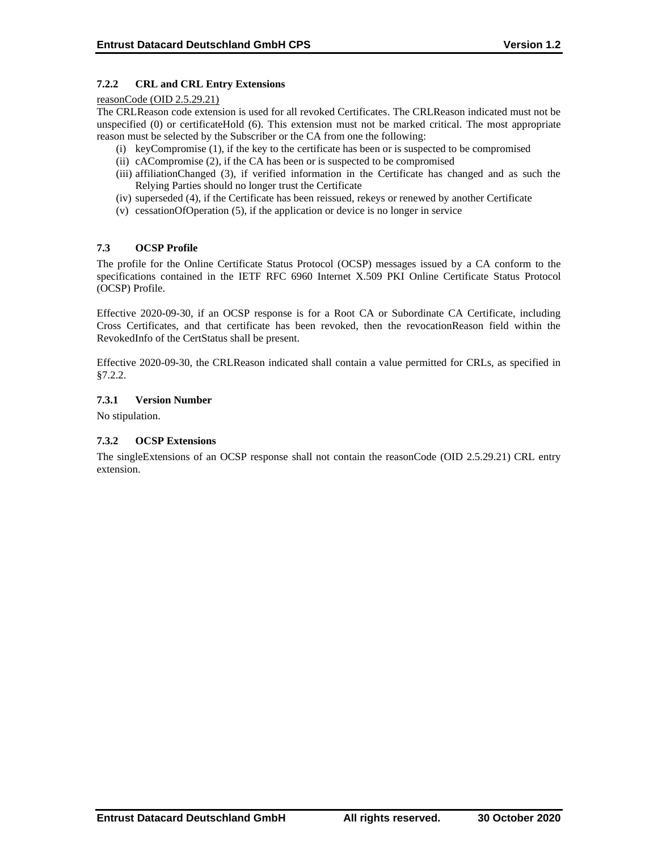# **7.2.2 CRL and CRL Entry Extensions**

#### reasonCode (OID 2.5.29.21)

The CRLReason code extension is used for all revoked Certificates. The CRLReason indicated must not be unspecified (0) or certificateHold (6). This extension must not be marked critical. The most appropriate reason must be selected by the Subscriber or the CA from one the following:

- (i) keyCompromise (1), if the key to the certificate has been or is suspected to be compromised
- (ii) cACompromise (2), if the CA has been or is suspected to be compromised
- (iii) affiliationChanged (3), if verified information in the Certificate has changed and as such the Relying Parties should no longer trust the Certificate
- (iv) superseded (4), if the Certificate has been reissued, rekeys or renewed by another Certificate
- (v) cessationOfOperation (5), if the application or device is no longer in service

# **7.3 OCSP Profile**

The profile for the Online Certificate Status Protocol (OCSP) messages issued by a CA conform to the specifications contained in the IETF RFC 6960 Internet X.509 PKI Online Certificate Status Protocol (OCSP) Profile.

Effective 2020-09-30, if an OCSP response is for a Root CA or Subordinate CA Certificate, including Cross Certificates, and that certificate has been revoked, then the revocationReason field within the RevokedInfo of the CertStatus shall be present.

Effective 2020-09-30, the CRLReason indicated shall contain a value permitted for CRLs, as specified in §7.2.2.

# **7.3.1 Version Number**

No stipulation.

# **7.3.2 OCSP Extensions**

The singleExtensions of an OCSP response shall not contain the reasonCode (OID 2.5.29.21) CRL entry extension.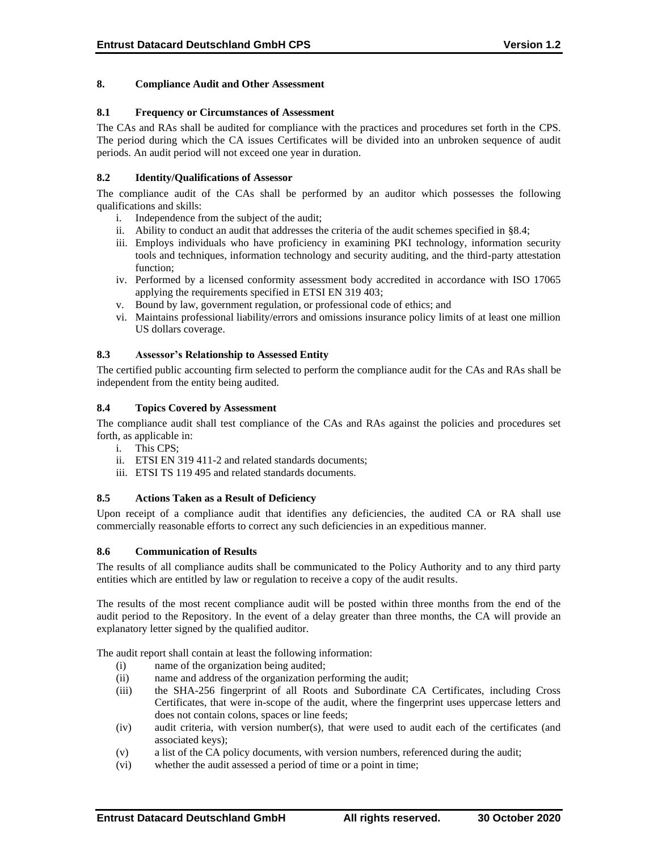### **8. Compliance Audit and Other Assessment**

### **8.1 Frequency or Circumstances of Assessment**

The CAs and RAs shall be audited for compliance with the practices and procedures set forth in the CPS. The period during which the CA issues Certificates will be divided into an unbroken sequence of audit periods. An audit period will not exceed one year in duration.

# **8.2 Identity/Qualifications of Assessor**

The compliance audit of the CAs shall be performed by an auditor which possesses the following qualifications and skills:

- i. Independence from the subject of the audit;
- ii. Ability to conduct an audit that addresses the criteria of the audit schemes specified in §8.4;
- iii. Employs individuals who have proficiency in examining PKI technology, information security tools and techniques, information technology and security auditing, and the third-party attestation function;
- iv. Performed by a licensed conformity assessment body accredited in accordance with ISO 17065 applying the requirements specified in ETSI EN 319 403;
- v. Bound by law, government regulation, or professional code of ethics; and
- vi. Maintains professional liability/errors and omissions insurance policy limits of at least one million US dollars coverage.

# **8.3 Assessor's Relationship to Assessed Entity**

The certified public accounting firm selected to perform the compliance audit for the CAs and RAs shall be independent from the entity being audited.

#### **8.4 Topics Covered by Assessment**

The compliance audit shall test compliance of the CAs and RAs against the policies and procedures set forth, as applicable in:

- i. This CPS;
- ii. ETSI EN 319 411-2 and related standards documents;
- iii. ETSI TS 119 495 and related standards documents.

#### **8.5 Actions Taken as a Result of Deficiency**

Upon receipt of a compliance audit that identifies any deficiencies, the audited CA or RA shall use commercially reasonable efforts to correct any such deficiencies in an expeditious manner.

#### **8.6 Communication of Results**

The results of all compliance audits shall be communicated to the Policy Authority and to any third party entities which are entitled by law or regulation to receive a copy of the audit results.

The results of the most recent compliance audit will be posted within three months from the end of the audit period to the Repository. In the event of a delay greater than three months, the CA will provide an explanatory letter signed by the qualified auditor.

The audit report shall contain at least the following information:

- (i) name of the organization being audited;
- (ii) name and address of the organization performing the audit;
- (iii) the SHA-256 fingerprint of all Roots and Subordinate CA Certificates, including Cross Certificates, that were in-scope of the audit, where the fingerprint uses uppercase letters and does not contain colons, spaces or line feeds;
- (iv) audit criteria, with version number(s), that were used to audit each of the certificates (and associated keys);
- (v) a list of the CA policy documents, with version numbers, referenced during the audit;
- (vi) whether the audit assessed a period of time or a point in time;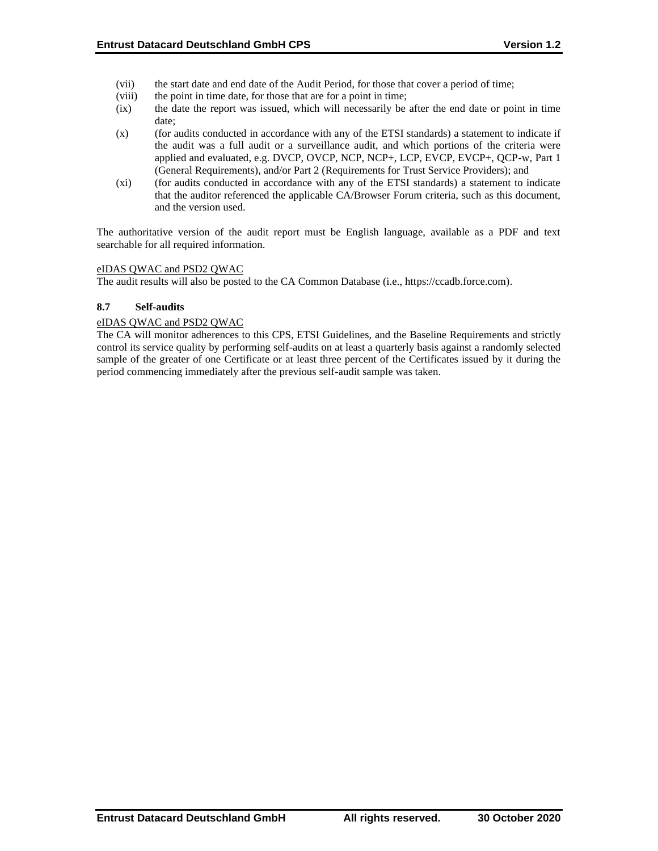- (vii) the start date and end date of the Audit Period, for those that cover a period of time;
- (viii) the point in time date, for those that are for a point in time;
- (ix) the date the report was issued, which will necessarily be after the end date or point in time date;
- (x) (for audits conducted in accordance with any of the ETSI standards) a statement to indicate if the audit was a full audit or a surveillance audit, and which portions of the criteria were applied and evaluated, e.g. DVCP, OVCP, NCP, NCP+, LCP, EVCP, EVCP+, QCP-w, Part 1 (General Requirements), and/or Part 2 (Requirements for Trust Service Providers); and
- (xi) (for audits conducted in accordance with any of the ETSI standards) a statement to indicate that the auditor referenced the applicable CA/Browser Forum criteria, such as this document, and the version used.

The authoritative version of the audit report must be English language, available as a PDF and text searchable for all required information.

# eIDAS QWAC and PSD2 QWAC

The audit results will also be posted to the CA Common Database (i.e., https://ccadb.force.com).

# **8.7 Self-audits**

#### eIDAS QWAC and PSD2 QWAC

The CA will monitor adherences to this CPS, ETSI Guidelines, and the Baseline Requirements and strictly control its service quality by performing self-audits on at least a quarterly basis against a randomly selected sample of the greater of one Certificate or at least three percent of the Certificates issued by it during the period commencing immediately after the previous self-audit sample was taken.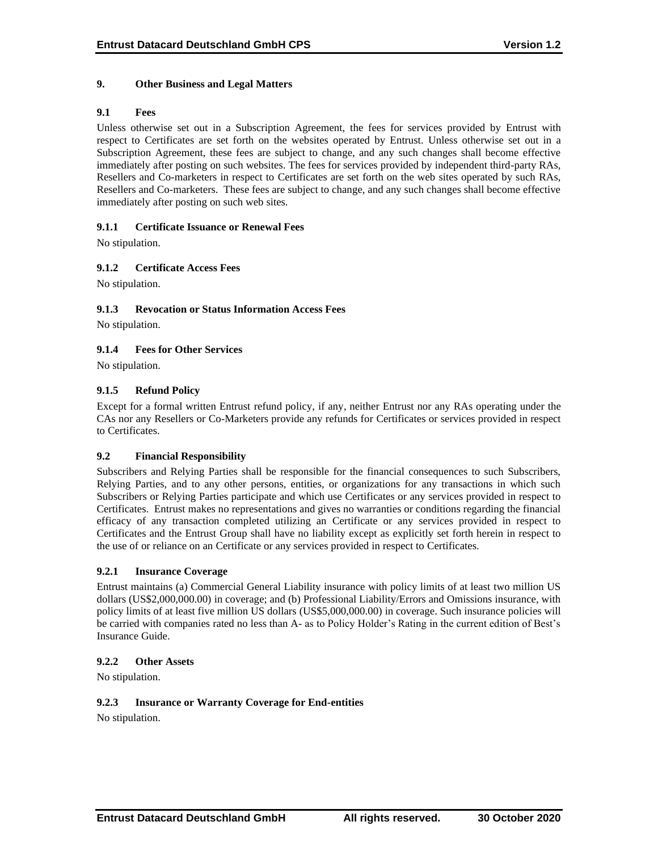# **9. Other Business and Legal Matters**

### **9.1 Fees**

Unless otherwise set out in a Subscription Agreement, the fees for services provided by Entrust with respect to Certificates are set forth on the websites operated by Entrust. Unless otherwise set out in a Subscription Agreement, these fees are subject to change, and any such changes shall become effective immediately after posting on such websites. The fees for services provided by independent third-party RAs, Resellers and Co-marketers in respect to Certificates are set forth on the web sites operated by such RAs, Resellers and Co-marketers. These fees are subject to change, and any such changes shall become effective immediately after posting on such web sites.

# **9.1.1 Certificate Issuance or Renewal Fees**

No stipulation.

# **9.1.2 Certificate Access Fees**

No stipulation.

# **9.1.3 Revocation or Status Information Access Fees**

No stipulation.

# **9.1.4 Fees for Other Services**

No stipulation.

# **9.1.5 Refund Policy**

Except for a formal written Entrust refund policy, if any, neither Entrust nor any RAs operating under the CAs nor any Resellers or Co-Marketers provide any refunds for Certificates or services provided in respect to Certificates.

#### **9.2 Financial Responsibility**

Subscribers and Relying Parties shall be responsible for the financial consequences to such Subscribers, Relying Parties, and to any other persons, entities, or organizations for any transactions in which such Subscribers or Relying Parties participate and which use Certificates or any services provided in respect to Certificates. Entrust makes no representations and gives no warranties or conditions regarding the financial efficacy of any transaction completed utilizing an Certificate or any services provided in respect to Certificates and the Entrust Group shall have no liability except as explicitly set forth herein in respect to the use of or reliance on an Certificate or any services provided in respect to Certificates.

#### **9.2.1 Insurance Coverage**

Entrust maintains (a) Commercial General Liability insurance with policy limits of at least two million US dollars (US\$2,000,000.00) in coverage; and (b) Professional Liability/Errors and Omissions insurance, with policy limits of at least five million US dollars (US\$5,000,000.00) in coverage. Such insurance policies will be carried with companies rated no less than A- as to Policy Holder's Rating in the current edition of Best's Insurance Guide.

#### **9.2.2 Other Assets**

No stipulation.

### **9.2.3 Insurance or Warranty Coverage for End-entities**

No stipulation.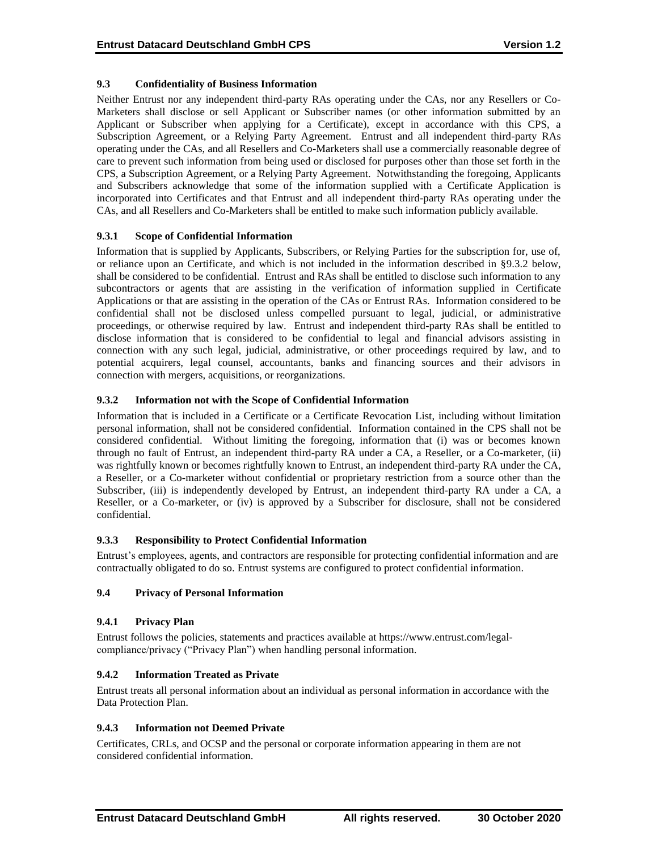# **9.3 Confidentiality of Business Information**

Neither Entrust nor any independent third-party RAs operating under the CAs, nor any Resellers or Co-Marketers shall disclose or sell Applicant or Subscriber names (or other information submitted by an Applicant or Subscriber when applying for a Certificate), except in accordance with this CPS, a Subscription Agreement, or a Relying Party Agreement. Entrust and all independent third-party RAs operating under the CAs, and all Resellers and Co-Marketers shall use a commercially reasonable degree of care to prevent such information from being used or disclosed for purposes other than those set forth in the CPS, a Subscription Agreement, or a Relying Party Agreement. Notwithstanding the foregoing, Applicants and Subscribers acknowledge that some of the information supplied with a Certificate Application is incorporated into Certificates and that Entrust and all independent third-party RAs operating under the CAs, and all Resellers and Co-Marketers shall be entitled to make such information publicly available.

# **9.3.1 Scope of Confidential Information**

Information that is supplied by Applicants, Subscribers, or Relying Parties for the subscription for, use of, or reliance upon an Certificate, and which is not included in the information described in §9.3.2 below, shall be considered to be confidential. Entrust and RAs shall be entitled to disclose such information to any subcontractors or agents that are assisting in the verification of information supplied in Certificate Applications or that are assisting in the operation of the CAs or Entrust RAs. Information considered to be confidential shall not be disclosed unless compelled pursuant to legal, judicial, or administrative proceedings, or otherwise required by law. Entrust and independent third-party RAs shall be entitled to disclose information that is considered to be confidential to legal and financial advisors assisting in connection with any such legal, judicial, administrative, or other proceedings required by law, and to potential acquirers, legal counsel, accountants, banks and financing sources and their advisors in connection with mergers, acquisitions, or reorganizations.

# **9.3.2 Information not with the Scope of Confidential Information**

Information that is included in a Certificate or a Certificate Revocation List, including without limitation personal information, shall not be considered confidential. Information contained in the CPS shall not be considered confidential. Without limiting the foregoing, information that (i) was or becomes known through no fault of Entrust, an independent third-party RA under a CA, a Reseller, or a Co-marketer, (ii) was rightfully known or becomes rightfully known to Entrust, an independent third-party RA under the CA, a Reseller, or a Co-marketer without confidential or proprietary restriction from a source other than the Subscriber, (iii) is independently developed by Entrust, an independent third-party RA under a CA, a Reseller, or a Co-marketer, or (iv) is approved by a Subscriber for disclosure, shall not be considered confidential.

# **9.3.3 Responsibility to Protect Confidential Information**

Entrust's employees, agents, and contractors are responsible for protecting confidential information and are contractually obligated to do so. Entrust systems are configured to protect confidential information.

# **9.4 Privacy of Personal Information**

# **9.4.1 Privacy Plan**

Entrust follows the policies, statements and practices available at https://www.entrust.com/legalcompliance/privacy ("Privacy Plan") when handling personal information.

# **9.4.2 Information Treated as Private**

Entrust treats all personal information about an individual as personal information in accordance with the Data Protection Plan.

# **9.4.3 Information not Deemed Private**

Certificates, CRLs, and OCSP and the personal or corporate information appearing in them are not considered confidential information.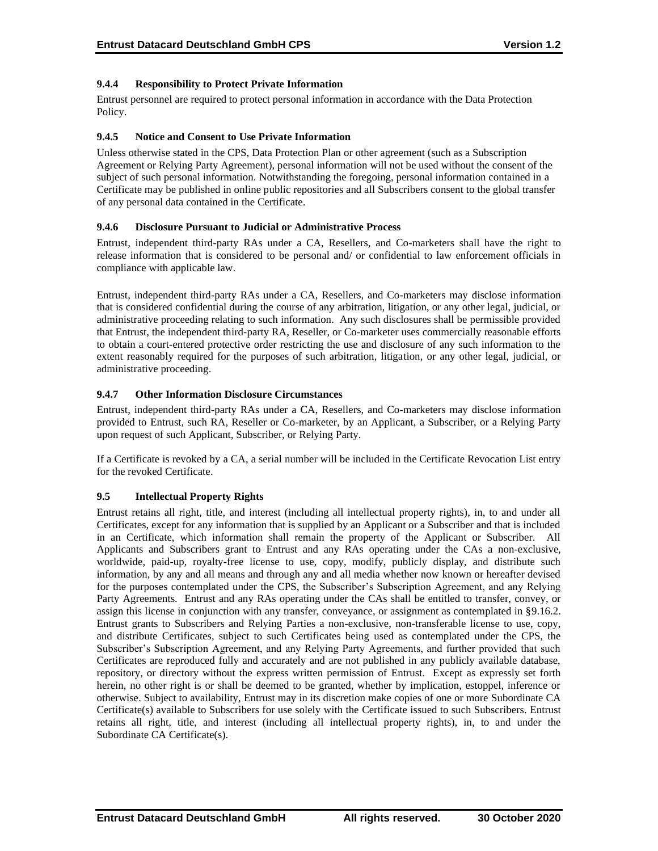# **9.4.4 Responsibility to Protect Private Information**

Entrust personnel are required to protect personal information in accordance with the Data Protection Policy.

#### **9.4.5 Notice and Consent to Use Private Information**

Unless otherwise stated in the CPS, Data Protection Plan or other agreement (such as a Subscription Agreement or Relying Party Agreement), personal information will not be used without the consent of the subject of such personal information. Notwithstanding the foregoing, personal information contained in a Certificate may be published in online public repositories and all Subscribers consent to the global transfer of any personal data contained in the Certificate.

# **9.4.6 Disclosure Pursuant to Judicial or Administrative Process**

Entrust, independent third-party RAs under a CA, Resellers, and Co-marketers shall have the right to release information that is considered to be personal and/ or confidential to law enforcement officials in compliance with applicable law.

Entrust, independent third-party RAs under a CA, Resellers, and Co-marketers may disclose information that is considered confidential during the course of any arbitration, litigation, or any other legal, judicial, or administrative proceeding relating to such information. Any such disclosures shall be permissible provided that Entrust, the independent third-party RA, Reseller, or Co-marketer uses commercially reasonable efforts to obtain a court-entered protective order restricting the use and disclosure of any such information to the extent reasonably required for the purposes of such arbitration, litigation, or any other legal, judicial, or administrative proceeding.

# **9.4.7 Other Information Disclosure Circumstances**

Entrust, independent third-party RAs under a CA, Resellers, and Co-marketers may disclose information provided to Entrust, such RA, Reseller or Co-marketer, by an Applicant, a Subscriber, or a Relying Party upon request of such Applicant, Subscriber, or Relying Party.

If a Certificate is revoked by a CA, a serial number will be included in the Certificate Revocation List entry for the revoked Certificate.

# **9.5 Intellectual Property Rights**

Entrust retains all right, title, and interest (including all intellectual property rights), in, to and under all Certificates, except for any information that is supplied by an Applicant or a Subscriber and that is included in an Certificate, which information shall remain the property of the Applicant or Subscriber. All Applicants and Subscribers grant to Entrust and any RAs operating under the CAs a non-exclusive, worldwide, paid-up, royalty-free license to use, copy, modify, publicly display, and distribute such information, by any and all means and through any and all media whether now known or hereafter devised for the purposes contemplated under the CPS, the Subscriber's Subscription Agreement, and any Relying Party Agreements. Entrust and any RAs operating under the CAs shall be entitled to transfer, convey, or assign this license in conjunction with any transfer, conveyance, or assignment as contemplated in §9.16.2. Entrust grants to Subscribers and Relying Parties a non-exclusive, non-transferable license to use, copy, and distribute Certificates, subject to such Certificates being used as contemplated under the CPS, the Subscriber's Subscription Agreement, and any Relying Party Agreements, and further provided that such Certificates are reproduced fully and accurately and are not published in any publicly available database, repository, or directory without the express written permission of Entrust. Except as expressly set forth herein, no other right is or shall be deemed to be granted, whether by implication, estoppel, inference or otherwise. Subject to availability, Entrust may in its discretion make copies of one or more Subordinate CA Certificate(s) available to Subscribers for use solely with the Certificate issued to such Subscribers. Entrust retains all right, title, and interest (including all intellectual property rights), in, to and under the Subordinate CA Certificate(s).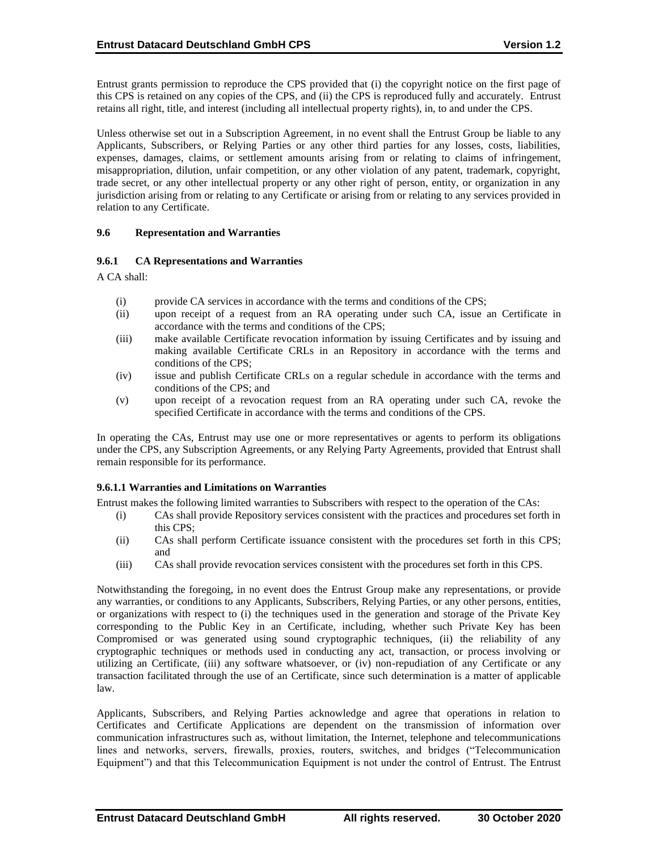Entrust grants permission to reproduce the CPS provided that (i) the copyright notice on the first page of this CPS is retained on any copies of the CPS, and (ii) the CPS is reproduced fully and accurately. Entrust retains all right, title, and interest (including all intellectual property rights), in, to and under the CPS.

Unless otherwise set out in a Subscription Agreement, in no event shall the Entrust Group be liable to any Applicants, Subscribers, or Relying Parties or any other third parties for any losses, costs, liabilities, expenses, damages, claims, or settlement amounts arising from or relating to claims of infringement, misappropriation, dilution, unfair competition, or any other violation of any patent, trademark, copyright, trade secret, or any other intellectual property or any other right of person, entity, or organization in any jurisdiction arising from or relating to any Certificate or arising from or relating to any services provided in relation to any Certificate.

# **9.6 Representation and Warranties**

# **9.6.1 CA Representations and Warranties**

A CA shall:

- (i) provide CA services in accordance with the terms and conditions of the CPS;
- (ii) upon receipt of a request from an RA operating under such CA, issue an Certificate in accordance with the terms and conditions of the CPS;
- (iii) make available Certificate revocation information by issuing Certificates and by issuing and making available Certificate CRLs in an Repository in accordance with the terms and conditions of the CPS;
- (iv) issue and publish Certificate CRLs on a regular schedule in accordance with the terms and conditions of the CPS; and
- (v) upon receipt of a revocation request from an RA operating under such CA, revoke the specified Certificate in accordance with the terms and conditions of the CPS.

In operating the CAs, Entrust may use one or more representatives or agents to perform its obligations under the CPS, any Subscription Agreements, or any Relying Party Agreements, provided that Entrust shall remain responsible for its performance.

#### **9.6.1.1 Warranties and Limitations on Warranties**

Entrust makes the following limited warranties to Subscribers with respect to the operation of the CAs:

- (i) CAs shall provide Repository services consistent with the practices and procedures set forth in this CPS;
- (ii) CAs shall perform Certificate issuance consistent with the procedures set forth in this CPS; and
- (iii) CAs shall provide revocation services consistent with the procedures set forth in this CPS.

Notwithstanding the foregoing, in no event does the Entrust Group make any representations, or provide any warranties, or conditions to any Applicants, Subscribers, Relying Parties, or any other persons, entities, or organizations with respect to (i) the techniques used in the generation and storage of the Private Key corresponding to the Public Key in an Certificate, including, whether such Private Key has been Compromised or was generated using sound cryptographic techniques, (ii) the reliability of any cryptographic techniques or methods used in conducting any act, transaction, or process involving or utilizing an Certificate, (iii) any software whatsoever, or (iv) non-repudiation of any Certificate or any transaction facilitated through the use of an Certificate, since such determination is a matter of applicable law.

Applicants, Subscribers, and Relying Parties acknowledge and agree that operations in relation to Certificates and Certificate Applications are dependent on the transmission of information over communication infrastructures such as, without limitation, the Internet, telephone and telecommunications lines and networks, servers, firewalls, proxies, routers, switches, and bridges ("Telecommunication Equipment") and that this Telecommunication Equipment is not under the control of Entrust. The Entrust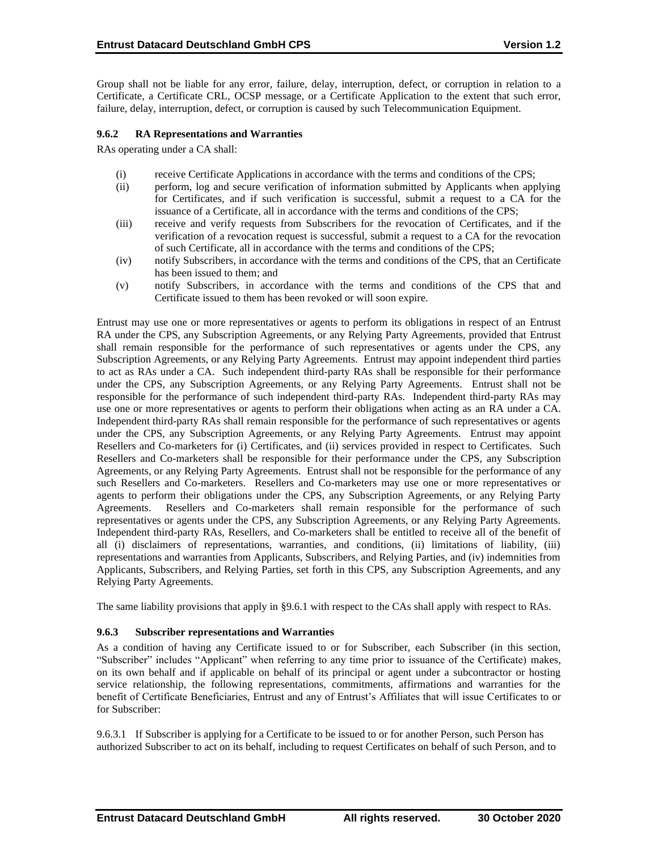Group shall not be liable for any error, failure, delay, interruption, defect, or corruption in relation to a Certificate, a Certificate CRL, OCSP message, or a Certificate Application to the extent that such error, failure, delay, interruption, defect, or corruption is caused by such Telecommunication Equipment.

# **9.6.2 RA Representations and Warranties**

RAs operating under a CA shall:

- (i) receive Certificate Applications in accordance with the terms and conditions of the CPS;
- (ii) perform, log and secure verification of information submitted by Applicants when applying for Certificates, and if such verification is successful, submit a request to a CA for the issuance of a Certificate, all in accordance with the terms and conditions of the CPS;
- (iii) receive and verify requests from Subscribers for the revocation of Certificates, and if the verification of a revocation request is successful, submit a request to a CA for the revocation of such Certificate, all in accordance with the terms and conditions of the CPS;
- (iv) notify Subscribers, in accordance with the terms and conditions of the CPS, that an Certificate has been issued to them; and
- (v) notify Subscribers, in accordance with the terms and conditions of the CPS that and Certificate issued to them has been revoked or will soon expire.

Entrust may use one or more representatives or agents to perform its obligations in respect of an Entrust RA under the CPS, any Subscription Agreements, or any Relying Party Agreements, provided that Entrust shall remain responsible for the performance of such representatives or agents under the CPS, any Subscription Agreements, or any Relying Party Agreements. Entrust may appoint independent third parties to act as RAs under a CA. Such independent third-party RAs shall be responsible for their performance under the CPS, any Subscription Agreements, or any Relying Party Agreements. Entrust shall not be responsible for the performance of such independent third-party RAs. Independent third-party RAs may use one or more representatives or agents to perform their obligations when acting as an RA under a CA. Independent third-party RAs shall remain responsible for the performance of such representatives or agents under the CPS, any Subscription Agreements, or any Relying Party Agreements. Entrust may appoint Resellers and Co-marketers for (i) Certificates, and (ii) services provided in respect to Certificates. Such Resellers and Co-marketers shall be responsible for their performance under the CPS, any Subscription Agreements, or any Relying Party Agreements. Entrust shall not be responsible for the performance of any such Resellers and Co-marketers. Resellers and Co-marketers may use one or more representatives or agents to perform their obligations under the CPS, any Subscription Agreements, or any Relying Party Agreements. Resellers and Co-marketers shall remain responsible for the performance of such representatives or agents under the CPS, any Subscription Agreements, or any Relying Party Agreements. Independent third-party RAs, Resellers, and Co-marketers shall be entitled to receive all of the benefit of all (i) disclaimers of representations, warranties, and conditions, (ii) limitations of liability, (iii) representations and warranties from Applicants, Subscribers, and Relying Parties, and (iv) indemnities from Applicants, Subscribers, and Relying Parties, set forth in this CPS, any Subscription Agreements, and any Relying Party Agreements.

The same liability provisions that apply in §9.6.1 with respect to the CAs shall apply with respect to RAs.

#### **9.6.3 Subscriber representations and Warranties**

As a condition of having any Certificate issued to or for Subscriber, each Subscriber (in this section, "Subscriber" includes "Applicant" when referring to any time prior to issuance of the Certificate) makes, on its own behalf and if applicable on behalf of its principal or agent under a subcontractor or hosting service relationship, the following representations, commitments, affirmations and warranties for the benefit of Certificate Beneficiaries, Entrust and any of Entrust's Affiliates that will issue Certificates to or for Subscriber:

9.6.3.1 If Subscriber is applying for a Certificate to be issued to or for another Person, such Person has authorized Subscriber to act on its behalf, including to request Certificates on behalf of such Person, and to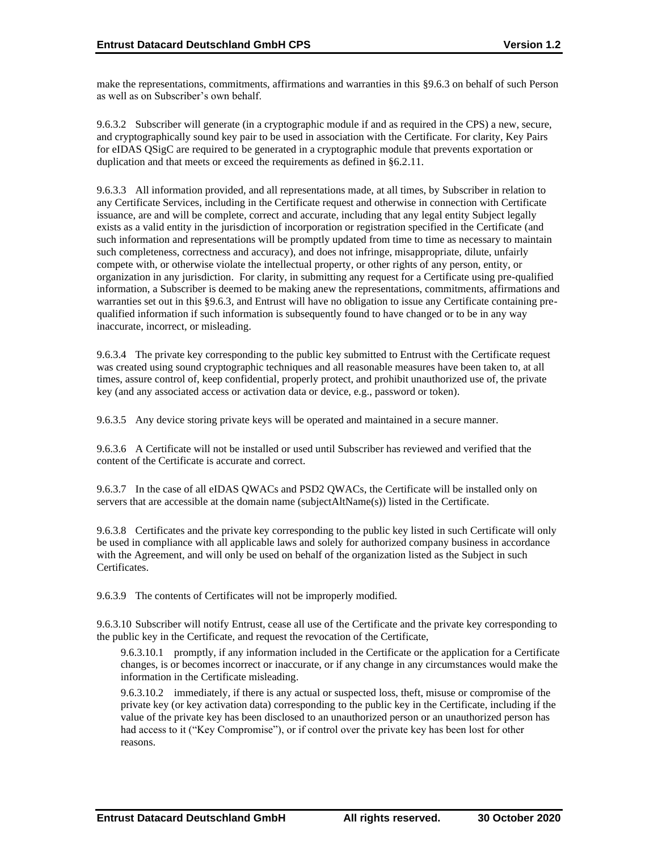make the representations, commitments, affirmations and warranties in this §9.6.3 on behalf of such Person as well as on Subscriber's own behalf.

9.6.3.2 Subscriber will generate (in a cryptographic module if and as required in the CPS) a new, secure, and cryptographically sound key pair to be used in association with the Certificate. For clarity, Key Pairs for eIDAS QSigC are required to be generated in a cryptographic module that prevents exportation or duplication and that meets or exceed the requirements as defined in §6.2.11.

9.6.3.3 All information provided, and all representations made, at all times, by Subscriber in relation to any Certificate Services, including in the Certificate request and otherwise in connection with Certificate issuance, are and will be complete, correct and accurate, including that any legal entity Subject legally exists as a valid entity in the jurisdiction of incorporation or registration specified in the Certificate (and such information and representations will be promptly updated from time to time as necessary to maintain such completeness, correctness and accuracy), and does not infringe, misappropriate, dilute, unfairly compete with, or otherwise violate the intellectual property, or other rights of any person, entity, or organization in any jurisdiction. For clarity, in submitting any request for a Certificate using pre-qualified information, a Subscriber is deemed to be making anew the representations, commitments, affirmations and warranties set out in this §9.6.3, and Entrust will have no obligation to issue any Certificate containing prequalified information if such information is subsequently found to have changed or to be in any way inaccurate, incorrect, or misleading.

9.6.3.4 The private key corresponding to the public key submitted to Entrust with the Certificate request was created using sound cryptographic techniques and all reasonable measures have been taken to, at all times, assure control of, keep confidential, properly protect, and prohibit unauthorized use of, the private key (and any associated access or activation data or device, e.g., password or token).

9.6.3.5 Any device storing private keys will be operated and maintained in a secure manner.

9.6.3.6 A Certificate will not be installed or used until Subscriber has reviewed and verified that the content of the Certificate is accurate and correct.

9.6.3.7 In the case of all eIDAS QWACs and PSD2 QWACs, the Certificate will be installed only on servers that are accessible at the domain name (subjectAltName(s)) listed in the Certificate.

9.6.3.8 Certificates and the private key corresponding to the public key listed in such Certificate will only be used in compliance with all applicable laws and solely for authorized company business in accordance with the Agreement, and will only be used on behalf of the organization listed as the Subject in such Certificates.

9.6.3.9 The contents of Certificates will not be improperly modified.

9.6.3.10 Subscriber will notify Entrust, cease all use of the Certificate and the private key corresponding to the public key in the Certificate, and request the revocation of the Certificate,

9.6.3.10.1 promptly, if any information included in the Certificate or the application for a Certificate changes, is or becomes incorrect or inaccurate, or if any change in any circumstances would make the information in the Certificate misleading.

9.6.3.10.2 immediately, if there is any actual or suspected loss, theft, misuse or compromise of the private key (or key activation data) corresponding to the public key in the Certificate, including if the value of the private key has been disclosed to an unauthorized person or an unauthorized person has had access to it ("Key Compromise"), or if control over the private key has been lost for other reasons.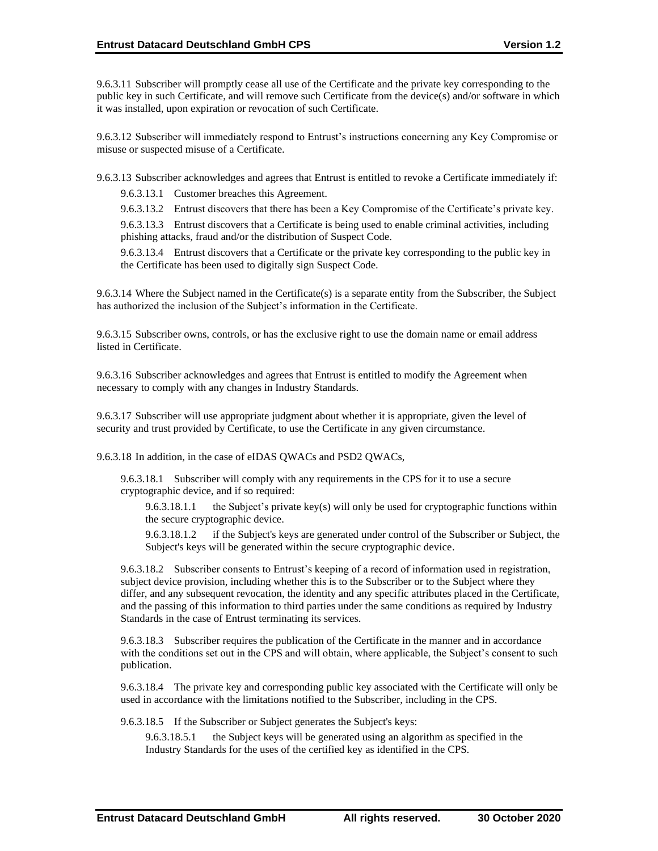9.6.3.11 Subscriber will promptly cease all use of the Certificate and the private key corresponding to the public key in such Certificate, and will remove such Certificate from the device(s) and/or software in which it was installed, upon expiration or revocation of such Certificate.

9.6.3.12 Subscriber will immediately respond to Entrust's instructions concerning any Key Compromise or misuse or suspected misuse of a Certificate.

9.6.3.13 Subscriber acknowledges and agrees that Entrust is entitled to revoke a Certificate immediately if:

9.6.3.13.1 Customer breaches this Agreement.

9.6.3.13.2 Entrust discovers that there has been a Key Compromise of the Certificate's private key.

9.6.3.13.3 Entrust discovers that a Certificate is being used to enable criminal activities, including phishing attacks, fraud and/or the distribution of Suspect Code.

9.6.3.13.4 Entrust discovers that a Certificate or the private key corresponding to the public key in the Certificate has been used to digitally sign Suspect Code.

9.6.3.14 Where the Subject named in the Certificate(s) is a separate entity from the Subscriber, the Subject has authorized the inclusion of the Subject's information in the Certificate.

9.6.3.15 Subscriber owns, controls, or has the exclusive right to use the domain name or email address listed in Certificate.

9.6.3.16 Subscriber acknowledges and agrees that Entrust is entitled to modify the Agreement when necessary to comply with any changes in Industry Standards.

9.6.3.17 Subscriber will use appropriate judgment about whether it is appropriate, given the level of security and trust provided by Certificate, to use the Certificate in any given circumstance.

9.6.3.18 In addition, in the case of eIDAS QWACs and PSD2 QWACs,

9.6.3.18.1 Subscriber will comply with any requirements in the CPS for it to use a secure cryptographic device, and if so required:

9.6.3.18.1.1 the Subject's private key(s) will only be used for cryptographic functions within the secure cryptographic device.

9.6.3.18.1.2 if the Subject's keys are generated under control of the Subscriber or Subject, the Subject's keys will be generated within the secure cryptographic device.

9.6.3.18.2 Subscriber consents to Entrust's keeping of a record of information used in registration, subject device provision, including whether this is to the Subscriber or to the Subject where they differ, and any subsequent revocation, the identity and any specific attributes placed in the Certificate, and the passing of this information to third parties under the same conditions as required by Industry Standards in the case of Entrust terminating its services.

9.6.3.18.3 Subscriber requires the publication of the Certificate in the manner and in accordance with the conditions set out in the CPS and will obtain, where applicable, the Subject's consent to such publication.

9.6.3.18.4 The private key and corresponding public key associated with the Certificate will only be used in accordance with the limitations notified to the Subscriber, including in the CPS.

9.6.3.18.5 If the Subscriber or Subject generates the Subject's keys:

9.6.3.18.5.1 the Subject keys will be generated using an algorithm as specified in the Industry Standards for the uses of the certified key as identified in the CPS.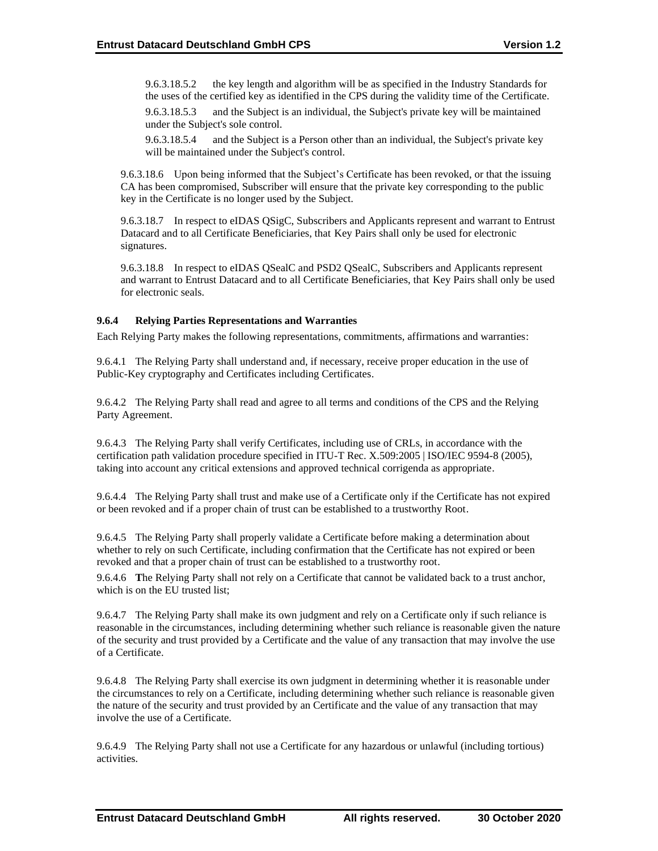9.6.3.18.5.2 the key length and algorithm will be as specified in the Industry Standards for the uses of the certified key as identified in the CPS during the validity time of the Certificate.

9.6.3.18.5.3 and the Subject is an individual, the Subject's private key will be maintained under the Subject's sole control.

9.6.3.18.5.4 and the Subject is a Person other than an individual, the Subject's private key will be maintained under the Subject's control.

9.6.3.18.6 Upon being informed that the Subject's Certificate has been revoked, or that the issuing CA has been compromised, Subscriber will ensure that the private key corresponding to the public key in the Certificate is no longer used by the Subject.

9.6.3.18.7 In respect to eIDAS QSigC, Subscribers and Applicants represent and warrant to Entrust Datacard and to all Certificate Beneficiaries, that Key Pairs shall only be used for electronic signatures.

9.6.3.18.8 In respect to eIDAS QSealC and PSD2 QSealC, Subscribers and Applicants represent and warrant to Entrust Datacard and to all Certificate Beneficiaries, that Key Pairs shall only be used for electronic seals.

# **9.6.4 Relying Parties Representations and Warranties**

Each Relying Party makes the following representations, commitments, affirmations and warranties:

9.6.4.1 The Relying Party shall understand and, if necessary, receive proper education in the use of Public-Key cryptography and Certificates including Certificates.

9.6.4.2 The Relying Party shall read and agree to all terms and conditions of the CPS and the Relying Party Agreement.

9.6.4.3 The Relying Party shall verify Certificates, including use of CRLs, in accordance with the certification path validation procedure specified in ITU-T Rec. X.509:2005 | ISO/IEC 9594-8 (2005), taking into account any critical extensions and approved technical corrigenda as appropriate.

9.6.4.4 The Relying Party shall trust and make use of a Certificate only if the Certificate has not expired or been revoked and if a proper chain of trust can be established to a trustworthy Root.

9.6.4.5 The Relying Party shall properly validate a Certificate before making a determination about whether to rely on such Certificate, including confirmation that the Certificate has not expired or been revoked and that a proper chain of trust can be established to a trustworthy root.

9.6.4.6 **T**he Relying Party shall not rely on a Certificate that cannot be validated back to a trust anchor, which is on the EU trusted list;

9.6.4.7 The Relying Party shall make its own judgment and rely on a Certificate only if such reliance is reasonable in the circumstances, including determining whether such reliance is reasonable given the nature of the security and trust provided by a Certificate and the value of any transaction that may involve the use of a Certificate.

9.6.4.8 The Relying Party shall exercise its own judgment in determining whether it is reasonable under the circumstances to rely on a Certificate, including determining whether such reliance is reasonable given the nature of the security and trust provided by an Certificate and the value of any transaction that may involve the use of a Certificate.

9.6.4.9 The Relying Party shall not use a Certificate for any hazardous or unlawful (including tortious) activities.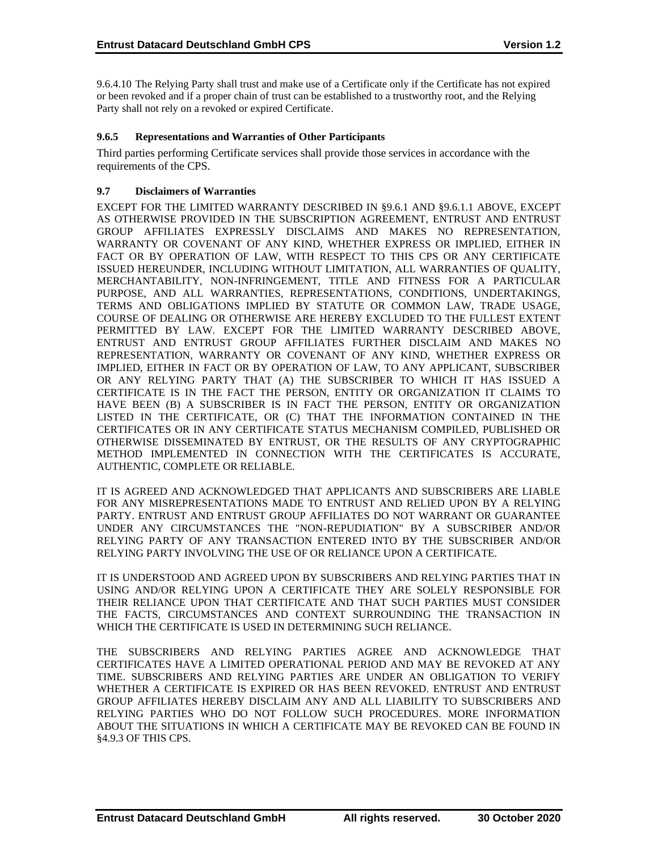9.6.4.10 The Relying Party shall trust and make use of a Certificate only if the Certificate has not expired or been revoked and if a proper chain of trust can be established to a trustworthy root, and the Relying Party shall not rely on a revoked or expired Certificate.

# **9.6.5 Representations and Warranties of Other Participants**

Third parties performing Certificate services shall provide those services in accordance with the requirements of the CPS.

# **9.7 Disclaimers of Warranties**

EXCEPT FOR THE LIMITED WARRANTY DESCRIBED IN §9.6.1 AND §9.6.1.1 ABOVE, EXCEPT AS OTHERWISE PROVIDED IN THE SUBSCRIPTION AGREEMENT, ENTRUST AND ENTRUST GROUP AFFILIATES EXPRESSLY DISCLAIMS AND MAKES NO REPRESENTATION, WARRANTY OR COVENANT OF ANY KIND, WHETHER EXPRESS OR IMPLIED, EITHER IN FACT OR BY OPERATION OF LAW, WITH RESPECT TO THIS CPS OR ANY CERTIFICATE ISSUED HEREUNDER, INCLUDING WITHOUT LIMITATION, ALL WARRANTIES OF QUALITY, MERCHANTABILITY, NON-INFRINGEMENT, TITLE AND FITNESS FOR A PARTICULAR PURPOSE, AND ALL WARRANTIES, REPRESENTATIONS, CONDITIONS, UNDERTAKINGS, TERMS AND OBLIGATIONS IMPLIED BY STATUTE OR COMMON LAW, TRADE USAGE, COURSE OF DEALING OR OTHERWISE ARE HEREBY EXCLUDED TO THE FULLEST EXTENT PERMITTED BY LAW. EXCEPT FOR THE LIMITED WARRANTY DESCRIBED ABOVE, ENTRUST AND ENTRUST GROUP AFFILIATES FURTHER DISCLAIM AND MAKES NO REPRESENTATION, WARRANTY OR COVENANT OF ANY KIND, WHETHER EXPRESS OR IMPLIED, EITHER IN FACT OR BY OPERATION OF LAW, TO ANY APPLICANT, SUBSCRIBER OR ANY RELYING PARTY THAT (A) THE SUBSCRIBER TO WHICH IT HAS ISSUED A CERTIFICATE IS IN THE FACT THE PERSON, ENTITY OR ORGANIZATION IT CLAIMS TO HAVE BEEN (B) A SUBSCRIBER IS IN FACT THE PERSON, ENTITY OR ORGANIZATION LISTED IN THE CERTIFICATE, OR (C) THAT THE INFORMATION CONTAINED IN THE CERTIFICATES OR IN ANY CERTIFICATE STATUS MECHANISM COMPILED, PUBLISHED OR OTHERWISE DISSEMINATED BY ENTRUST, OR THE RESULTS OF ANY CRYPTOGRAPHIC METHOD IMPLEMENTED IN CONNECTION WITH THE CERTIFICATES IS ACCURATE, AUTHENTIC, COMPLETE OR RELIABLE.

IT IS AGREED AND ACKNOWLEDGED THAT APPLICANTS AND SUBSCRIBERS ARE LIABLE FOR ANY MISREPRESENTATIONS MADE TO ENTRUST AND RELIED UPON BY A RELYING PARTY. ENTRUST AND ENTRUST GROUP AFFILIATES DO NOT WARRANT OR GUARANTEE UNDER ANY CIRCUMSTANCES THE "NON-REPUDIATION" BY A SUBSCRIBER AND/OR RELYING PARTY OF ANY TRANSACTION ENTERED INTO BY THE SUBSCRIBER AND/OR RELYING PARTY INVOLVING THE USE OF OR RELIANCE UPON A CERTIFICATE.

IT IS UNDERSTOOD AND AGREED UPON BY SUBSCRIBERS AND RELYING PARTIES THAT IN USING AND/OR RELYING UPON A CERTIFICATE THEY ARE SOLELY RESPONSIBLE FOR THEIR RELIANCE UPON THAT CERTIFICATE AND THAT SUCH PARTIES MUST CONSIDER THE FACTS, CIRCUMSTANCES AND CONTEXT SURROUNDING THE TRANSACTION IN WHICH THE CERTIFICATE IS USED IN DETERMINING SUCH RELIANCE.

THE SUBSCRIBERS AND RELYING PARTIES AGREE AND ACKNOWLEDGE THAT CERTIFICATES HAVE A LIMITED OPERATIONAL PERIOD AND MAY BE REVOKED AT ANY TIME. SUBSCRIBERS AND RELYING PARTIES ARE UNDER AN OBLIGATION TO VERIFY WHETHER A CERTIFICATE IS EXPIRED OR HAS BEEN REVOKED. ENTRUST AND ENTRUST GROUP AFFILIATES HEREBY DISCLAIM ANY AND ALL LIABILITY TO SUBSCRIBERS AND RELYING PARTIES WHO DO NOT FOLLOW SUCH PROCEDURES. MORE INFORMATION ABOUT THE SITUATIONS IN WHICH A CERTIFICATE MAY BE REVOKED CAN BE FOUND IN §4.9.3 OF THIS CPS.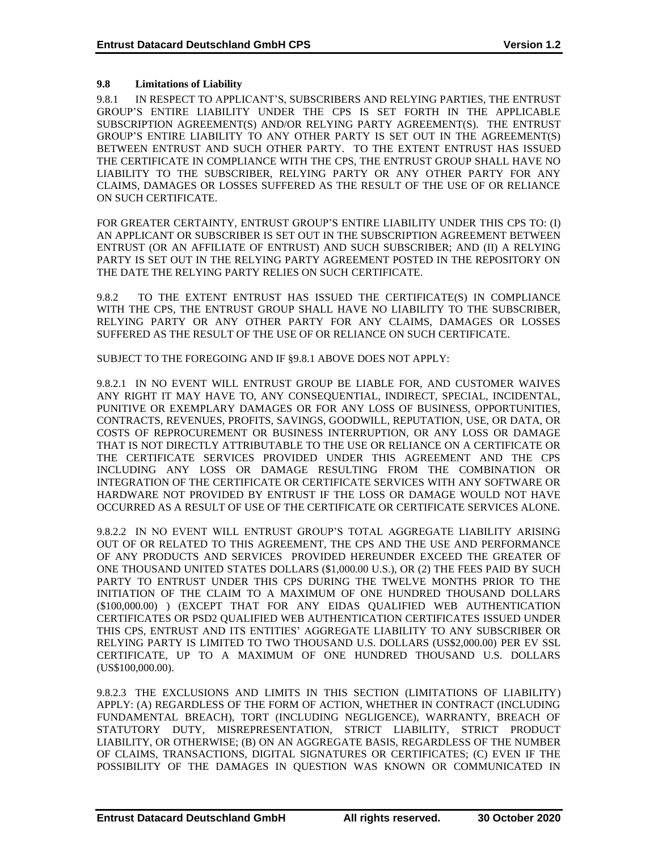# **9.8 Limitations of Liability**

9.8.1 IN RESPECT TO APPLICANT'S, SUBSCRIBERS AND RELYING PARTIES, THE ENTRUST GROUP'S ENTIRE LIABILITY UNDER THE CPS IS SET FORTH IN THE APPLICABLE SUBSCRIPTION AGREEMENT(S) AND/OR RELYING PARTY AGREEMENT(S). THE ENTRUST GROUP'S ENTIRE LIABILITY TO ANY OTHER PARTY IS SET OUT IN THE AGREEMENT(S) BETWEEN ENTRUST AND SUCH OTHER PARTY. TO THE EXTENT ENTRUST HAS ISSUED THE CERTIFICATE IN COMPLIANCE WITH THE CPS, THE ENTRUST GROUP SHALL HAVE NO LIABILITY TO THE SUBSCRIBER, RELYING PARTY OR ANY OTHER PARTY FOR ANY CLAIMS, DAMAGES OR LOSSES SUFFERED AS THE RESULT OF THE USE OF OR RELIANCE ON SUCH CERTIFICATE.

FOR GREATER CERTAINTY, ENTRUST GROUP'S ENTIRE LIABILITY UNDER THIS CPS TO: (I) AN APPLICANT OR SUBSCRIBER IS SET OUT IN THE SUBSCRIPTION AGREEMENT BETWEEN ENTRUST (OR AN AFFILIATE OF ENTRUST) AND SUCH SUBSCRIBER; AND (II) A RELYING PARTY IS SET OUT IN THE RELYING PARTY AGREEMENT POSTED IN THE REPOSITORY ON THE DATE THE RELYING PARTY RELIES ON SUCH CERTIFICATE.

9.8.2 TO THE EXTENT ENTRUST HAS ISSUED THE CERTIFICATE(S) IN COMPLIANCE WITH THE CPS, THE ENTRUST GROUP SHALL HAVE NO LIABILITY TO THE SUBSCRIBER, RELYING PARTY OR ANY OTHER PARTY FOR ANY CLAIMS, DAMAGES OR LOSSES SUFFERED AS THE RESULT OF THE USE OF OR RELIANCE ON SUCH CERTIFICATE.

SUBJECT TO THE FOREGOING AND IF §9.8.1 ABOVE DOES NOT APPLY:

9.8.2.1 IN NO EVENT WILL ENTRUST GROUP BE LIABLE FOR, AND CUSTOMER WAIVES ANY RIGHT IT MAY HAVE TO, ANY CONSEQUENTIAL, INDIRECT, SPECIAL, INCIDENTAL, PUNITIVE OR EXEMPLARY DAMAGES OR FOR ANY LOSS OF BUSINESS, OPPORTUNITIES, CONTRACTS, REVENUES, PROFITS, SAVINGS, GOODWILL, REPUTATION, USE, OR DATA, OR COSTS OF REPROCUREMENT OR BUSINESS INTERRUPTION, OR ANY LOSS OR DAMAGE THAT IS NOT DIRECTLY ATTRIBUTABLE TO THE USE OR RELIANCE ON A CERTIFICATE OR THE CERTIFICATE SERVICES PROVIDED UNDER THIS AGREEMENT AND THE CPS INCLUDING ANY LOSS OR DAMAGE RESULTING FROM THE COMBINATION OR INTEGRATION OF THE CERTIFICATE OR CERTIFICATE SERVICES WITH ANY SOFTWARE OR HARDWARE NOT PROVIDED BY ENTRUST IF THE LOSS OR DAMAGE WOULD NOT HAVE OCCURRED AS A RESULT OF USE OF THE CERTIFICATE OR CERTIFICATE SERVICES ALONE.

9.8.2.2 IN NO EVENT WILL ENTRUST GROUP'S TOTAL AGGREGATE LIABILITY ARISING OUT OF OR RELATED TO THIS AGREEMENT, THE CPS AND THE USE AND PERFORMANCE OF ANY PRODUCTS AND SERVICES PROVIDED HEREUNDER EXCEED THE GREATER OF ONE THOUSAND UNITED STATES DOLLARS (\$1,000.00 U.S.), OR (2) THE FEES PAID BY SUCH PARTY TO ENTRUST UNDER THIS CPS DURING THE TWELVE MONTHS PRIOR TO THE INITIATION OF THE CLAIM TO A MAXIMUM OF ONE HUNDRED THOUSAND DOLLARS (\$100,000.00) ) (EXCEPT THAT FOR ANY EIDAS QUALIFIED WEB AUTHENTICATION CERTIFICATES OR PSD2 QUALIFIED WEB AUTHENTICATION CERTIFICATES ISSUED UNDER THIS CPS, ENTRUST AND ITS ENTITIES' AGGREGATE LIABILITY TO ANY SUBSCRIBER OR RELYING PARTY IS LIMITED TO TWO THOUSAND U.S. DOLLARS (US\$2,000.00) PER EV SSL CERTIFICATE, UP TO A MAXIMUM OF ONE HUNDRED THOUSAND U.S. DOLLARS (US\$100,000.00).

9.8.2.3 THE EXCLUSIONS AND LIMITS IN THIS SECTION (LIMITATIONS OF LIABILITY) APPLY: (A) REGARDLESS OF THE FORM OF ACTION, WHETHER IN CONTRACT (INCLUDING FUNDAMENTAL BREACH), TORT (INCLUDING NEGLIGENCE), WARRANTY, BREACH OF STATUTORY DUTY, MISREPRESENTATION, STRICT LIABILITY, STRICT PRODUCT LIABILITY, OR OTHERWISE; (B) ON AN AGGREGATE BASIS, REGARDLESS OF THE NUMBER OF CLAIMS, TRANSACTIONS, DIGITAL SIGNATURES OR CERTIFICATES; (C) EVEN IF THE POSSIBILITY OF THE DAMAGES IN QUESTION WAS KNOWN OR COMMUNICATED IN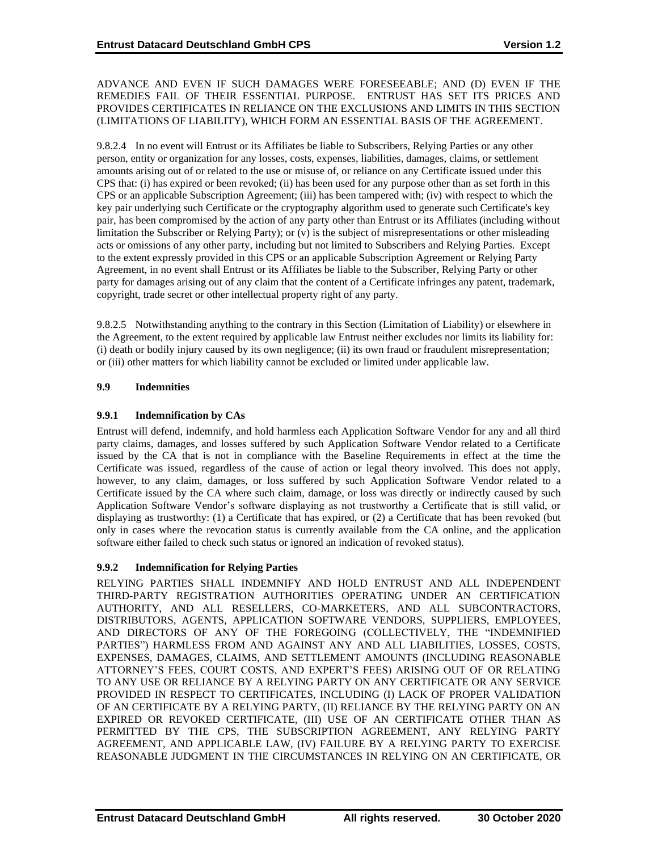#### ADVANCE AND EVEN IF SUCH DAMAGES WERE FORESEEABLE; AND (D) EVEN IF THE REMEDIES FAIL OF THEIR ESSENTIAL PURPOSE. ENTRUST HAS SET ITS PRICES AND PROVIDES CERTIFICATES IN RELIANCE ON THE EXCLUSIONS AND LIMITS IN THIS SECTION (LIMITATIONS OF LIABILITY), WHICH FORM AN ESSENTIAL BASIS OF THE AGREEMENT.

9.8.2.4 In no event will Entrust or its Affiliates be liable to Subscribers, Relying Parties or any other person, entity or organization for any losses, costs, expenses, liabilities, damages, claims, or settlement amounts arising out of or related to the use or misuse of, or reliance on any Certificate issued under this CPS that: (i) has expired or been revoked; (ii) has been used for any purpose other than as set forth in this CPS or an applicable Subscription Agreement; (iii) has been tampered with; (iv) with respect to which the key pair underlying such Certificate or the cryptography algorithm used to generate such Certificate's key pair, has been compromised by the action of any party other than Entrust or its Affiliates (including without limitation the Subscriber or Relying Party); or (v) is the subject of misrepresentations or other misleading acts or omissions of any other party, including but not limited to Subscribers and Relying Parties. Except to the extent expressly provided in this CPS or an applicable Subscription Agreement or Relying Party Agreement, in no event shall Entrust or its Affiliates be liable to the Subscriber, Relying Party or other party for damages arising out of any claim that the content of a Certificate infringes any patent, trademark, copyright, trade secret or other intellectual property right of any party.

9.8.2.5 Notwithstanding anything to the contrary in this Section (Limitation of Liability) or elsewhere in the Agreement, to the extent required by applicable law Entrust neither excludes nor limits its liability for: (i) death or bodily injury caused by its own negligence; (ii) its own fraud or fraudulent misrepresentation; or (iii) other matters for which liability cannot be excluded or limited under applicable law.

# **9.9 Indemnities**

# **9.9.1 Indemnification by CAs**

Entrust will defend, indemnify, and hold harmless each Application Software Vendor for any and all third party claims, damages, and losses suffered by such Application Software Vendor related to a Certificate issued by the CA that is not in compliance with the Baseline Requirements in effect at the time the Certificate was issued, regardless of the cause of action or legal theory involved. This does not apply, however, to any claim, damages, or loss suffered by such Application Software Vendor related to a Certificate issued by the CA where such claim, damage, or loss was directly or indirectly caused by such Application Software Vendor's software displaying as not trustworthy a Certificate that is still valid, or displaying as trustworthy: (1) a Certificate that has expired, or (2) a Certificate that has been revoked (but only in cases where the revocation status is currently available from the CA online, and the application software either failed to check such status or ignored an indication of revoked status).

# **9.9.2 Indemnification for Relying Parties**

RELYING PARTIES SHALL INDEMNIFY AND HOLD ENTRUST AND ALL INDEPENDENT THIRD-PARTY REGISTRATION AUTHORITIES OPERATING UNDER AN CERTIFICATION AUTHORITY, AND ALL RESELLERS, CO-MARKETERS, AND ALL SUBCONTRACTORS, DISTRIBUTORS, AGENTS, APPLICATION SOFTWARE VENDORS, SUPPLIERS, EMPLOYEES, AND DIRECTORS OF ANY OF THE FOREGOING (COLLECTIVELY, THE "INDEMNIFIED PARTIES") HARMLESS FROM AND AGAINST ANY AND ALL LIABILITIES, LOSSES, COSTS, EXPENSES, DAMAGES, CLAIMS, AND SETTLEMENT AMOUNTS (INCLUDING REASONABLE ATTORNEY'S FEES, COURT COSTS, AND EXPERT'S FEES) ARISING OUT OF OR RELATING TO ANY USE OR RELIANCE BY A RELYING PARTY ON ANY CERTIFICATE OR ANY SERVICE PROVIDED IN RESPECT TO CERTIFICATES, INCLUDING (I) LACK OF PROPER VALIDATION OF AN CERTIFICATE BY A RELYING PARTY, (II) RELIANCE BY THE RELYING PARTY ON AN EXPIRED OR REVOKED CERTIFICATE, (III) USE OF AN CERTIFICATE OTHER THAN AS PERMITTED BY THE CPS, THE SUBSCRIPTION AGREEMENT, ANY RELYING PARTY AGREEMENT, AND APPLICABLE LAW, (IV) FAILURE BY A RELYING PARTY TO EXERCISE REASONABLE JUDGMENT IN THE CIRCUMSTANCES IN RELYING ON AN CERTIFICATE, OR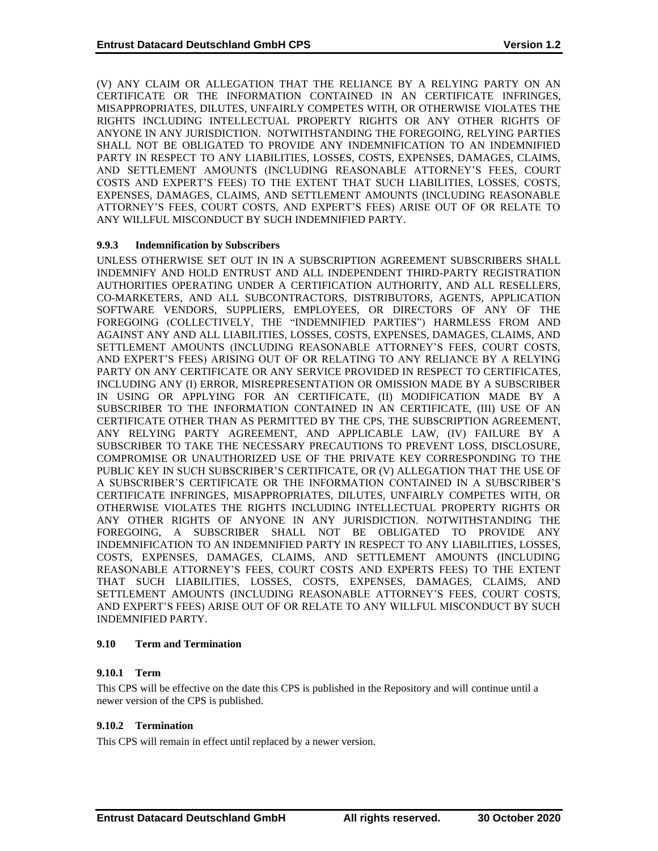(V) ANY CLAIM OR ALLEGATION THAT THE RELIANCE BY A RELYING PARTY ON AN CERTIFICATE OR THE INFORMATION CONTAINED IN AN CERTIFICATE INFRINGES, MISAPPROPRIATES, DILUTES, UNFAIRLY COMPETES WITH, OR OTHERWISE VIOLATES THE RIGHTS INCLUDING INTELLECTUAL PROPERTY RIGHTS OR ANY OTHER RIGHTS OF ANYONE IN ANY JURISDICTION. NOTWITHSTANDING THE FOREGOING, RELYING PARTIES SHALL NOT BE OBLIGATED TO PROVIDE ANY INDEMNIFICATION TO AN INDEMNIFIED PARTY IN RESPECT TO ANY LIABILITIES, LOSSES, COSTS, EXPENSES, DAMAGES, CLAIMS, AND SETTLEMENT AMOUNTS (INCLUDING REASONABLE ATTORNEY'S FEES, COURT COSTS AND EXPERT'S FEES) TO THE EXTENT THAT SUCH LIABILITIES, LOSSES, COSTS, EXPENSES, DAMAGES, CLAIMS, AND SETTLEMENT AMOUNTS (INCLUDING REASONABLE ATTORNEY'S FEES, COURT COSTS, AND EXPERT'S FEES) ARISE OUT OF OR RELATE TO ANY WILLFUL MISCONDUCT BY SUCH INDEMNIFIED PARTY.

# **9.9.3 Indemnification by Subscribers**

UNLESS OTHERWISE SET OUT IN IN A SUBSCRIPTION AGREEMENT SUBSCRIBERS SHALL INDEMNIFY AND HOLD ENTRUST AND ALL INDEPENDENT THIRD-PARTY REGISTRATION AUTHORITIES OPERATING UNDER A CERTIFICATION AUTHORITY, AND ALL RESELLERS, CO-MARKETERS, AND ALL SUBCONTRACTORS, DISTRIBUTORS, AGENTS, APPLICATION SOFTWARE VENDORS, SUPPLIERS, EMPLOYEES, OR DIRECTORS OF ANY OF THE FOREGOING (COLLECTIVELY, THE "INDEMNIFIED PARTIES") HARMLESS FROM AND AGAINST ANY AND ALL LIABILITIES, LOSSES, COSTS, EXPENSES, DAMAGES, CLAIMS, AND SETTLEMENT AMOUNTS (INCLUDING REASONABLE ATTORNEY'S FEES, COURT COSTS, AND EXPERT'S FEES) ARISING OUT OF OR RELATING TO ANY RELIANCE BY A RELYING PARTY ON ANY CERTIFICATE OR ANY SERVICE PROVIDED IN RESPECT TO CERTIFICATES, INCLUDING ANY (I) ERROR, MISREPRESENTATION OR OMISSION MADE BY A SUBSCRIBER IN USING OR APPLYING FOR AN CERTIFICATE, (II) MODIFICATION MADE BY A SUBSCRIBER TO THE INFORMATION CONTAINED IN AN CERTIFICATE, (III) USE OF AN CERTIFICATE OTHER THAN AS PERMITTED BY THE CPS, THE SUBSCRIPTION AGREEMENT, ANY RELYING PARTY AGREEMENT, AND APPLICABLE LAW, (IV) FAILURE BY A SUBSCRIBER TO TAKE THE NECESSARY PRECAUTIONS TO PREVENT LOSS, DISCLOSURE, COMPROMISE OR UNAUTHORIZED USE OF THE PRIVATE KEY CORRESPONDING TO THE PUBLIC KEY IN SUCH SUBSCRIBER'S CERTIFICATE, OR (V) ALLEGATION THAT THE USE OF A SUBSCRIBER'S CERTIFICATE OR THE INFORMATION CONTAINED IN A SUBSCRIBER'S CERTIFICATE INFRINGES, MISAPPROPRIATES, DILUTES, UNFAIRLY COMPETES WITH, OR OTHERWISE VIOLATES THE RIGHTS INCLUDING INTELLECTUAL PROPERTY RIGHTS OR ANY OTHER RIGHTS OF ANYONE IN ANY JURISDICTION. NOTWITHSTANDING THE FOREGOING, A SUBSCRIBER SHALL NOT BE OBLIGATED TO PROVIDE ANY INDEMNIFICATION TO AN INDEMNIFIED PARTY IN RESPECT TO ANY LIABILITIES, LOSSES, COSTS, EXPENSES, DAMAGES, CLAIMS, AND SETTLEMENT AMOUNTS (INCLUDING REASONABLE ATTORNEY'S FEES, COURT COSTS AND EXPERTS FEES) TO THE EXTENT THAT SUCH LIABILITIES, LOSSES, COSTS, EXPENSES, DAMAGES, CLAIMS, AND SETTLEMENT AMOUNTS (INCLUDING REASONABLE ATTORNEY'S FEES, COURT COSTS, AND EXPERT'S FEES) ARISE OUT OF OR RELATE TO ANY WILLFUL MISCONDUCT BY SUCH INDEMNIFIED PARTY.

#### **9.10 Term and Termination**

# **9.10.1 Term**

This CPS will be effective on the date this CPS is published in the Repository and will continue until a newer version of the CPS is published.

#### **9.10.2 Termination**

This CPS will remain in effect until replaced by a newer version.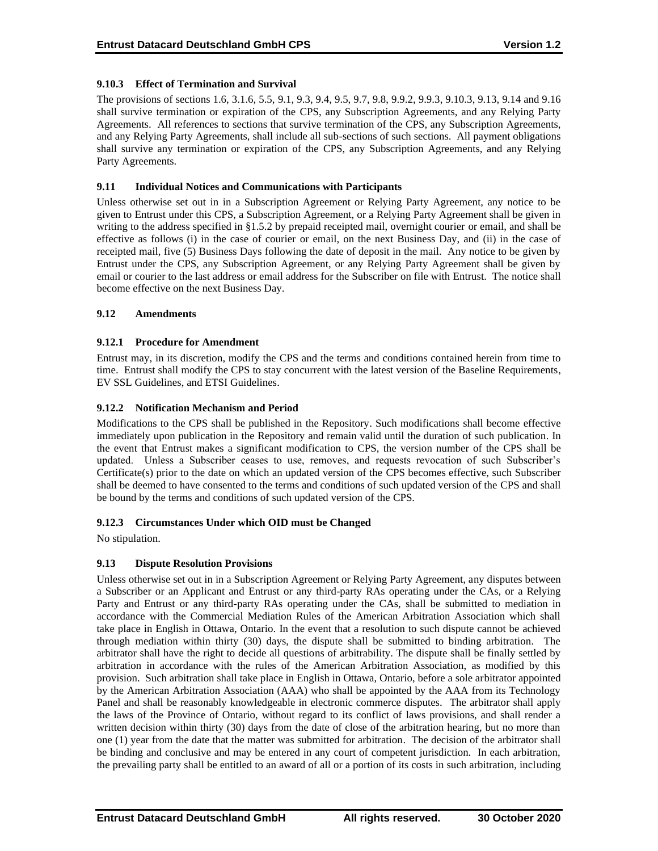## **9.10.3 Effect of Termination and Survival**

The provisions of sections 1.6, 3.1.6, 5.5, 9.1, 9.3, 9.4, 9.5, 9.7, 9.8, 9.9.2, 9.9.3, 9.10.3, 9.13, 9.14 and 9.16 shall survive termination or expiration of the CPS, any Subscription Agreements, and any Relying Party Agreements. All references to sections that survive termination of the CPS, any Subscription Agreements, and any Relying Party Agreements, shall include all sub-sections of such sections. All payment obligations shall survive any termination or expiration of the CPS, any Subscription Agreements, and any Relying Party Agreements.

### **9.11 Individual Notices and Communications with Participants**

Unless otherwise set out in in a Subscription Agreement or Relying Party Agreement, any notice to be given to Entrust under this CPS, a Subscription Agreement, or a Relying Party Agreement shall be given in writing to the address specified in §1.5.2 by prepaid receipted mail, overnight courier or email, and shall be effective as follows (i) in the case of courier or email, on the next Business Day, and (ii) in the case of receipted mail, five (5) Business Days following the date of deposit in the mail. Any notice to be given by Entrust under the CPS, any Subscription Agreement, or any Relying Party Agreement shall be given by email or courier to the last address or email address for the Subscriber on file with Entrust. The notice shall become effective on the next Business Day.

#### **9.12 Amendments**

## **9.12.1 Procedure for Amendment**

Entrust may, in its discretion, modify the CPS and the terms and conditions contained herein from time to time. Entrust shall modify the CPS to stay concurrent with the latest version of the Baseline Requirements, EV SSL Guidelines, and ETSI Guidelines.

## **9.12.2 Notification Mechanism and Period**

Modifications to the CPS shall be published in the Repository. Such modifications shall become effective immediately upon publication in the Repository and remain valid until the duration of such publication. In the event that Entrust makes a significant modification to CPS, the version number of the CPS shall be updated. Unless a Subscriber ceases to use, removes, and requests revocation of such Subscriber's Certificate(s) prior to the date on which an updated version of the CPS becomes effective, such Subscriber shall be deemed to have consented to the terms and conditions of such updated version of the CPS and shall be bound by the terms and conditions of such updated version of the CPS.

# **9.12.3 Circumstances Under which OID must be Changed**

No stipulation.

# **9.13 Dispute Resolution Provisions**

Unless otherwise set out in in a Subscription Agreement or Relying Party Agreement, any disputes between a Subscriber or an Applicant and Entrust or any third-party RAs operating under the CAs, or a Relying Party and Entrust or any third-party RAs operating under the CAs, shall be submitted to mediation in accordance with the Commercial Mediation Rules of the American Arbitration Association which shall take place in English in Ottawa, Ontario. In the event that a resolution to such dispute cannot be achieved through mediation within thirty (30) days, the dispute shall be submitted to binding arbitration. The arbitrator shall have the right to decide all questions of arbitrability. The dispute shall be finally settled by arbitration in accordance with the rules of the American Arbitration Association, as modified by this provision. Such arbitration shall take place in English in Ottawa, Ontario, before a sole arbitrator appointed by the American Arbitration Association (AAA) who shall be appointed by the AAA from its Technology Panel and shall be reasonably knowledgeable in electronic commerce disputes. The arbitrator shall apply the laws of the Province of Ontario, without regard to its conflict of laws provisions, and shall render a written decision within thirty (30) days from the date of close of the arbitration hearing, but no more than one (1) year from the date that the matter was submitted for arbitration. The decision of the arbitrator shall be binding and conclusive and may be entered in any court of competent jurisdiction. In each arbitration, the prevailing party shall be entitled to an award of all or a portion of its costs in such arbitration, including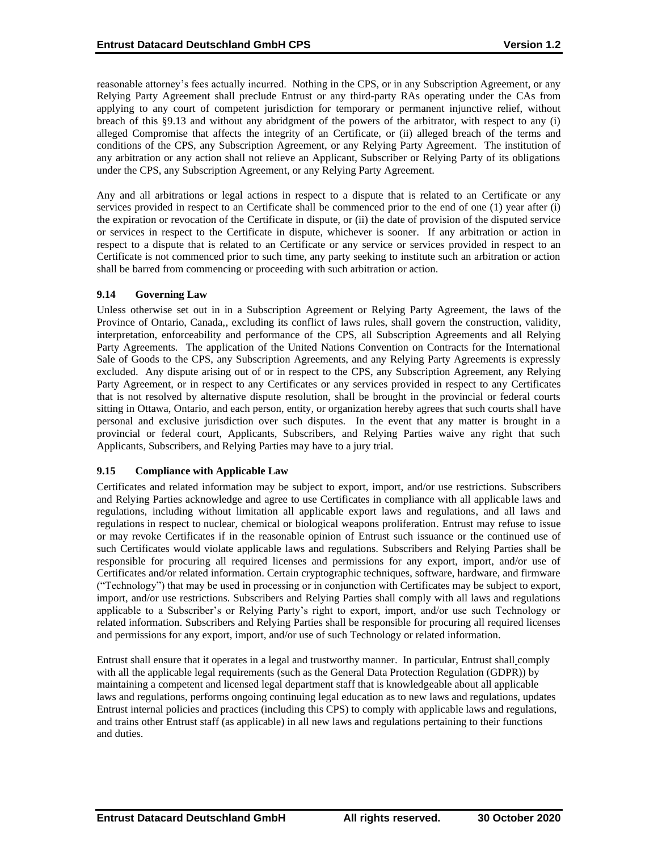reasonable attorney's fees actually incurred. Nothing in the CPS, or in any Subscription Agreement, or any Relying Party Agreement shall preclude Entrust or any third-party RAs operating under the CAs from applying to any court of competent jurisdiction for temporary or permanent injunctive relief, without breach of this §9.13 and without any abridgment of the powers of the arbitrator, with respect to any (i) alleged Compromise that affects the integrity of an Certificate, or (ii) alleged breach of the terms and conditions of the CPS, any Subscription Agreement, or any Relying Party Agreement. The institution of any arbitration or any action shall not relieve an Applicant, Subscriber or Relying Party of its obligations under the CPS, any Subscription Agreement, or any Relying Party Agreement.

Any and all arbitrations or legal actions in respect to a dispute that is related to an Certificate or any services provided in respect to an Certificate shall be commenced prior to the end of one (1) year after (i) the expiration or revocation of the Certificate in dispute, or (ii) the date of provision of the disputed service or services in respect to the Certificate in dispute, whichever is sooner. If any arbitration or action in respect to a dispute that is related to an Certificate or any service or services provided in respect to an Certificate is not commenced prior to such time, any party seeking to institute such an arbitration or action shall be barred from commencing or proceeding with such arbitration or action.

## **9.14 Governing Law**

Unless otherwise set out in in a Subscription Agreement or Relying Party Agreement, the laws of the Province of Ontario, Canada,, excluding its conflict of laws rules, shall govern the construction, validity, interpretation, enforceability and performance of the CPS, all Subscription Agreements and all Relying Party Agreements. The application of the United Nations Convention on Contracts for the International Sale of Goods to the CPS, any Subscription Agreements, and any Relying Party Agreements is expressly excluded. Any dispute arising out of or in respect to the CPS, any Subscription Agreement, any Relying Party Agreement, or in respect to any Certificates or any services provided in respect to any Certificates that is not resolved by alternative dispute resolution, shall be brought in the provincial or federal courts sitting in Ottawa, Ontario, and each person, entity, or organization hereby agrees that such courts shall have personal and exclusive jurisdiction over such disputes. In the event that any matter is brought in a provincial or federal court, Applicants, Subscribers, and Relying Parties waive any right that such Applicants, Subscribers, and Relying Parties may have to a jury trial.

#### **9.15 Compliance with Applicable Law**

Certificates and related information may be subject to export, import, and/or use restrictions. Subscribers and Relying Parties acknowledge and agree to use Certificates in compliance with all applicable laws and regulations, including without limitation all applicable export laws and regulations, and all laws and regulations in respect to nuclear, chemical or biological weapons proliferation. Entrust may refuse to issue or may revoke Certificates if in the reasonable opinion of Entrust such issuance or the continued use of such Certificates would violate applicable laws and regulations. Subscribers and Relying Parties shall be responsible for procuring all required licenses and permissions for any export, import, and/or use of Certificates and/or related information. Certain cryptographic techniques, software, hardware, and firmware ("Technology") that may be used in processing or in conjunction with Certificates may be subject to export, import, and/or use restrictions. Subscribers and Relying Parties shall comply with all laws and regulations applicable to a Subscriber's or Relying Party's right to export, import, and/or use such Technology or related information. Subscribers and Relying Parties shall be responsible for procuring all required licenses and permissions for any export, import, and/or use of such Technology or related information.

Entrust shall ensure that it operates in a legal and trustworthy manner. In particular, Entrust shall comply with all the applicable legal requirements (such as the General Data Protection Regulation (GDPR)) by maintaining a competent and licensed legal department staff that is knowledgeable about all applicable laws and regulations, performs ongoing continuing legal education as to new laws and regulations, updates Entrust internal policies and practices (including this CPS) to comply with applicable laws and regulations, and trains other Entrust staff (as applicable) in all new laws and regulations pertaining to their functions and duties.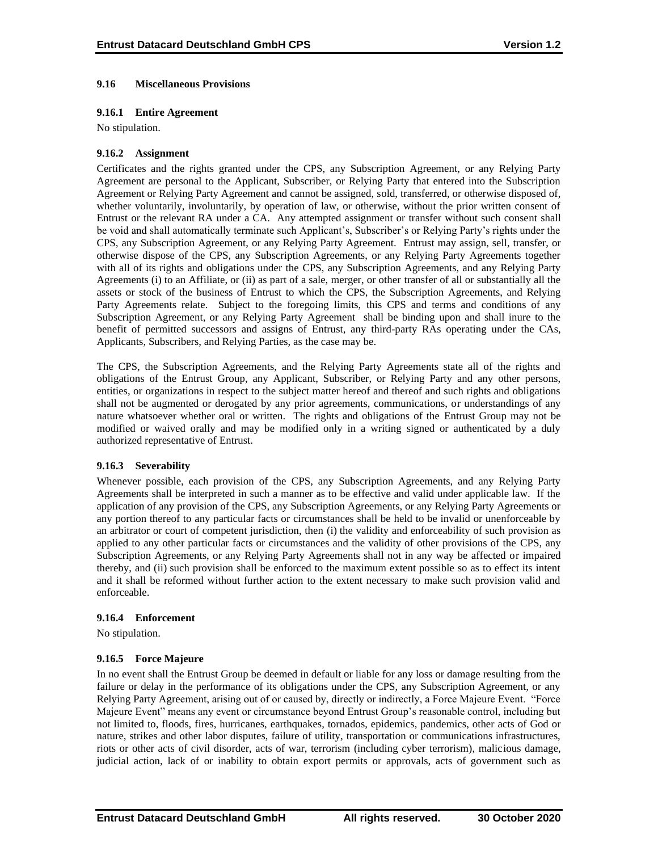### **9.16 Miscellaneous Provisions**

### **9.16.1 Entire Agreement**

No stipulation.

#### **9.16.2 Assignment**

Certificates and the rights granted under the CPS, any Subscription Agreement, or any Relying Party Agreement are personal to the Applicant, Subscriber, or Relying Party that entered into the Subscription Agreement or Relying Party Agreement and cannot be assigned, sold, transferred, or otherwise disposed of, whether voluntarily, involuntarily, by operation of law, or otherwise, without the prior written consent of Entrust or the relevant RA under a CA. Any attempted assignment or transfer without such consent shall be void and shall automatically terminate such Applicant's, Subscriber's or Relying Party's rights under the CPS, any Subscription Agreement, or any Relying Party Agreement. Entrust may assign, sell, transfer, or otherwise dispose of the CPS, any Subscription Agreements, or any Relying Party Agreements together with all of its rights and obligations under the CPS, any Subscription Agreements, and any Relying Party Agreements (i) to an Affiliate, or (ii) as part of a sale, merger, or other transfer of all or substantially all the assets or stock of the business of Entrust to which the CPS, the Subscription Agreements, and Relying Party Agreements relate. Subject to the foregoing limits, this CPS and terms and conditions of any Subscription Agreement, or any Relying Party Agreement shall be binding upon and shall inure to the benefit of permitted successors and assigns of Entrust, any third-party RAs operating under the CAs, Applicants, Subscribers, and Relying Parties, as the case may be.

The CPS, the Subscription Agreements, and the Relying Party Agreements state all of the rights and obligations of the Entrust Group, any Applicant, Subscriber, or Relying Party and any other persons, entities, or organizations in respect to the subject matter hereof and thereof and such rights and obligations shall not be augmented or derogated by any prior agreements, communications, or understandings of any nature whatsoever whether oral or written. The rights and obligations of the Entrust Group may not be modified or waived orally and may be modified only in a writing signed or authenticated by a duly authorized representative of Entrust.

#### **9.16.3 Severability**

Whenever possible, each provision of the CPS, any Subscription Agreements, and any Relying Party Agreements shall be interpreted in such a manner as to be effective and valid under applicable law. If the application of any provision of the CPS, any Subscription Agreements, or any Relying Party Agreements or any portion thereof to any particular facts or circumstances shall be held to be invalid or unenforceable by an arbitrator or court of competent jurisdiction, then (i) the validity and enforceability of such provision as applied to any other particular facts or circumstances and the validity of other provisions of the CPS, any Subscription Agreements, or any Relying Party Agreements shall not in any way be affected or impaired thereby, and (ii) such provision shall be enforced to the maximum extent possible so as to effect its intent and it shall be reformed without further action to the extent necessary to make such provision valid and enforceable.

#### **9.16.4 Enforcement**

No stipulation.

# **9.16.5 Force Majeure**

In no event shall the Entrust Group be deemed in default or liable for any loss or damage resulting from the failure or delay in the performance of its obligations under the CPS, any Subscription Agreement, or any Relying Party Agreement, arising out of or caused by, directly or indirectly, a Force Majeure Event. "Force Majeure Event" means any event or circumstance beyond Entrust Group's reasonable control, including but not limited to, floods, fires, hurricanes, earthquakes, tornados, epidemics, pandemics, other acts of God or nature, strikes and other labor disputes, failure of utility, transportation or communications infrastructures, riots or other acts of civil disorder, acts of war, terrorism (including cyber terrorism), malicious damage, judicial action, lack of or inability to obtain export permits or approvals, acts of government such as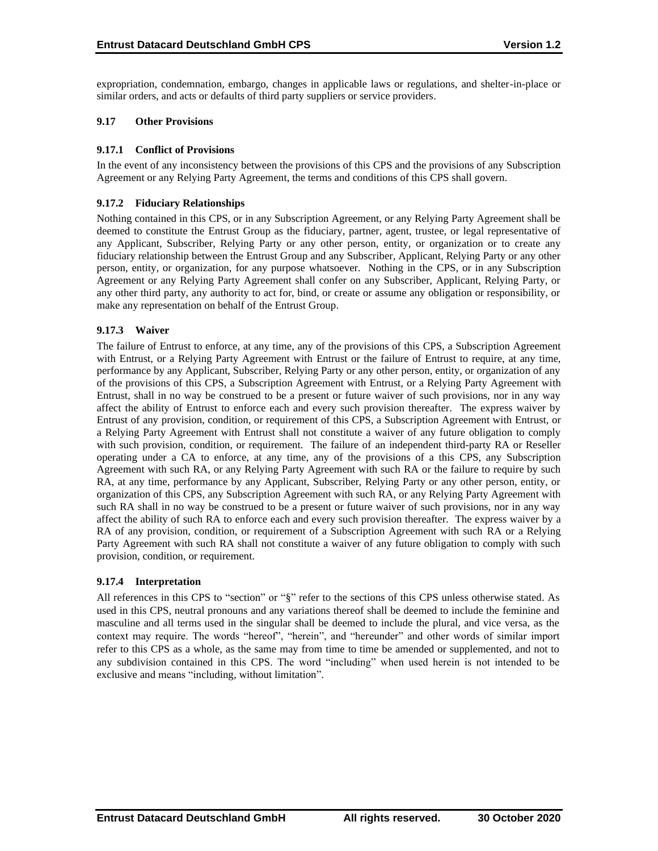expropriation, condemnation, embargo, changes in applicable laws or regulations, and shelter-in-place or similar orders, and acts or defaults of third party suppliers or service providers.

# **9.17 Other Provisions**

### **9.17.1 Conflict of Provisions**

In the event of any inconsistency between the provisions of this CPS and the provisions of any Subscription Agreement or any Relying Party Agreement, the terms and conditions of this CPS shall govern.

## **9.17.2 Fiduciary Relationships**

Nothing contained in this CPS, or in any Subscription Agreement, or any Relying Party Agreement shall be deemed to constitute the Entrust Group as the fiduciary, partner, agent, trustee, or legal representative of any Applicant, Subscriber, Relying Party or any other person, entity, or organization or to create any fiduciary relationship between the Entrust Group and any Subscriber, Applicant, Relying Party or any other person, entity, or organization, for any purpose whatsoever. Nothing in the CPS, or in any Subscription Agreement or any Relying Party Agreement shall confer on any Subscriber, Applicant, Relying Party, or any other third party, any authority to act for, bind, or create or assume any obligation or responsibility, or make any representation on behalf of the Entrust Group.

# **9.17.3 Waiver**

The failure of Entrust to enforce, at any time, any of the provisions of this CPS, a Subscription Agreement with Entrust, or a Relying Party Agreement with Entrust or the failure of Entrust to require, at any time, performance by any Applicant, Subscriber, Relying Party or any other person, entity, or organization of any of the provisions of this CPS, a Subscription Agreement with Entrust, or a Relying Party Agreement with Entrust, shall in no way be construed to be a present or future waiver of such provisions, nor in any way affect the ability of Entrust to enforce each and every such provision thereafter. The express waiver by Entrust of any provision, condition, or requirement of this CPS, a Subscription Agreement with Entrust, or a Relying Party Agreement with Entrust shall not constitute a waiver of any future obligation to comply with such provision, condition, or requirement. The failure of an independent third-party RA or Reseller operating under a CA to enforce, at any time, any of the provisions of a this CPS, any Subscription Agreement with such RA, or any Relying Party Agreement with such RA or the failure to require by such RA, at any time, performance by any Applicant, Subscriber, Relying Party or any other person, entity, or organization of this CPS, any Subscription Agreement with such RA, or any Relying Party Agreement with such RA shall in no way be construed to be a present or future waiver of such provisions, nor in any way affect the ability of such RA to enforce each and every such provision thereafter. The express waiver by a RA of any provision, condition, or requirement of a Subscription Agreement with such RA or a Relying Party Agreement with such RA shall not constitute a waiver of any future obligation to comply with such provision, condition, or requirement.

#### **9.17.4 Interpretation**

All references in this CPS to "section" or "§" refer to the sections of this CPS unless otherwise stated. As used in this CPS, neutral pronouns and any variations thereof shall be deemed to include the feminine and masculine and all terms used in the singular shall be deemed to include the plural, and vice versa, as the context may require. The words "hereof", "herein", and "hereunder" and other words of similar import refer to this CPS as a whole, as the same may from time to time be amended or supplemented, and not to any subdivision contained in this CPS. The word "including" when used herein is not intended to be exclusive and means "including, without limitation".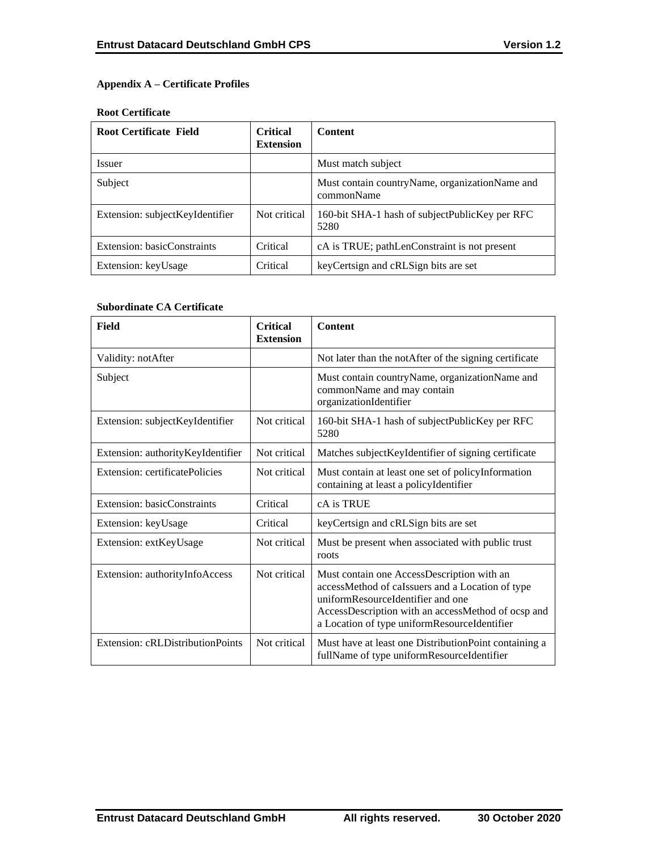# **Appendix A – Certificate Profiles**

### **Root Certificate**

| <b>Root Certificate Field</b>   | <b>Critical</b><br><b>Extension</b> | <b>Content</b>                                                 |
|---------------------------------|-------------------------------------|----------------------------------------------------------------|
| <i>Issuer</i>                   |                                     | Must match subject                                             |
| Subject                         |                                     | Must contain country Name, organization Name and<br>commonName |
| Extension: subjectKeyIdentifier | Not critical                        | 160-bit SHA-1 hash of subjectPublicKey per RFC<br>5280         |
| Extension: basicConstraints     | Critical                            | cA is TRUE; pathLenConstraint is not present                   |
| Extension: keyUsage             | Critical                            | key Certsign and cRLSign bits are set                          |

## **Subordinate CA Certificate**

| Field                             | <b>Critical</b><br><b>Extension</b> | <b>Content</b>                                                                                                                                                                                                                            |
|-----------------------------------|-------------------------------------|-------------------------------------------------------------------------------------------------------------------------------------------------------------------------------------------------------------------------------------------|
| Validity: notAfter                |                                     | Not later than the notAfter of the signing certificate                                                                                                                                                                                    |
| Subject                           |                                     | Must contain countryName, organizationName and<br>commonName and may contain<br>organizationIdentifier                                                                                                                                    |
| Extension: subjectKeyIdentifier   | Not critical                        | 160-bit SHA-1 hash of subjectPublicKey per RFC<br>5280                                                                                                                                                                                    |
| Extension: authorityKeyIdentifier | Not critical                        | Matches subject KeyIdentifier of signing certificate                                                                                                                                                                                      |
| Extension: certificatePolicies    | Not critical                        | Must contain at least one set of policyInformation<br>containing at least a policyIdentifier                                                                                                                                              |
| Extension: basicConstraints       | Critical                            | cA is TRUE                                                                                                                                                                                                                                |
| Extension: keyUsage               | Critical                            | keyCertsign and cRLSign bits are set                                                                                                                                                                                                      |
| Extension: extKeyUsage            | Not critical                        | Must be present when associated with public trust<br>roots                                                                                                                                                                                |
| Extension: authorityInfoAccess    | Not critical                        | Must contain one AccessDescription with an<br>accessMethod of caIssuers and a Location of type<br>uniformResourceIdentifier and one<br>AccessDescription with an accessMethod of ocsp and<br>a Location of type uniformResourceIdentifier |
| Extension: cRLDistributionPoints  | Not critical                        | Must have at least one DistributionPoint containing a<br>fullName of type uniformResourceIdentifier                                                                                                                                       |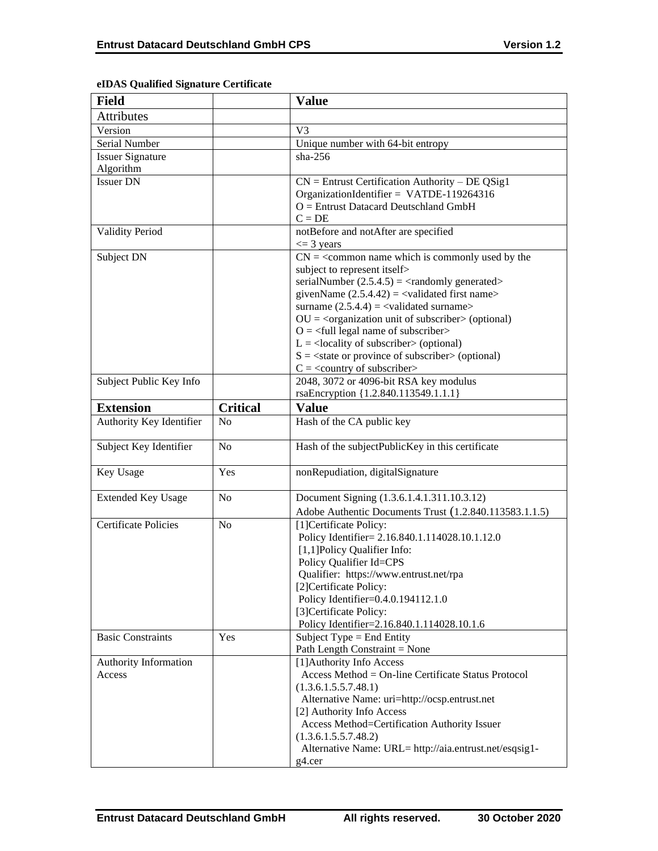| <b>Field</b>                |                 | <b>Value</b>                                                                                                 |
|-----------------------------|-----------------|--------------------------------------------------------------------------------------------------------------|
| <b>Attributes</b>           |                 |                                                                                                              |
| Version                     |                 | V <sub>3</sub>                                                                                               |
| Serial Number               |                 | Unique number with 64-bit entropy                                                                            |
| <b>Issuer Signature</b>     |                 | sha- $256$                                                                                                   |
| Algorithm                   |                 |                                                                                                              |
| <b>Issuer DN</b>            |                 | $CN =$ Entrust Certification Authority - DE QSig1                                                            |
|                             |                 | OrganizationIdentifier = VATDE-119264316                                                                     |
|                             |                 | $O =$ Entrust Datacard Deutschland GmbH                                                                      |
|                             |                 | $C = DE$                                                                                                     |
| <b>Validity Period</b>      |                 | notBefore and notAfter are specified                                                                         |
|                             |                 | $\leq$ 3 years                                                                                               |
| Subject DN                  |                 | $CN =$ < common name which is commonly used by the                                                           |
|                             |                 | subject to represent itself>                                                                                 |
|                             |                 | serialNumber $(2.5.4.5) = \langle$ randomly generated>                                                       |
|                             |                 | givenName $(2.5.4.42) = \langle$ validated first name><br>surname $(2.5.4.4) = \text{{{-}zaldated surname}}$ |
|                             |                 | $OU = coganization unit of subscripts (optional)$                                                            |
|                             |                 | $O = \frac{1}{2}$ legal name of subscriber                                                                   |
|                             |                 | $L =$ <locality of="" subscriber=""> (optional)</locality>                                                   |
|                             |                 | $S = \text{state}$ or province of subscriber > (optional)                                                    |
|                             |                 | $C = \langle$ country of subscriber>                                                                         |
| Subject Public Key Info     |                 | 2048, 3072 or 4096-bit RSA key modulus                                                                       |
|                             |                 | rsaEncryption {1.2.840.113549.1.1.1}                                                                         |
| <b>Extension</b>            | <b>Critical</b> | <b>Value</b>                                                                                                 |
| Authority Key Identifier    | N <sub>0</sub>  | Hash of the CA public key                                                                                    |
| Subject Key Identifier      | N <sub>o</sub>  | Hash of the subjectPublicKey in this certificate                                                             |
| Key Usage                   | Yes             | nonRepudiation, digitalSignature                                                                             |
| <b>Extended Key Usage</b>   | N <sub>o</sub>  | Document Signing (1.3.6.1.4.1.311.10.3.12)                                                                   |
|                             |                 | Adobe Authentic Documents Trust (1.2.840.113583.1.1.5)                                                       |
| <b>Certificate Policies</b> | No              | [1]Certificate Policy:                                                                                       |
|                             |                 | Policy Identifier= 2.16.840.1.114028.10.1.12.0                                                               |
|                             |                 | [1,1] Policy Qualifier Info:                                                                                 |
|                             |                 | Policy Qualifier Id=CPS                                                                                      |
|                             |                 | Qualifier: https://www.entrust.net/rpa                                                                       |
|                             |                 | [2] Certificate Policy:                                                                                      |
|                             |                 | Policy Identifier=0.4.0.194112.1.0                                                                           |
|                             |                 | [3]Certificate Policy:                                                                                       |
| <b>Basic Constraints</b>    | Yes             | Policy Identifier=2.16.840.1.114028.10.1.6<br>Subject Type = End Entity                                      |
|                             |                 | Path Length Constraint = None                                                                                |
| Authority Information       |                 | [1] Authority Info Access                                                                                    |
| Access                      |                 | Access Method = On-line Certificate Status Protocol                                                          |
|                             |                 | (1.3.6.1.5.5.7.48.1)                                                                                         |
|                             |                 | Alternative Name: uri=http://ocsp.entrust.net                                                                |
|                             |                 | [2] Authority Info Access                                                                                    |
|                             |                 | Access Method=Certification Authority Issuer                                                                 |
|                             |                 | (1.3.6.1.5.5.7.48.2)                                                                                         |
|                             |                 | Alternative Name: URL= http://aia.entrust.net/esqsig1-                                                       |
|                             |                 | g4.cer                                                                                                       |

# **eIDAS Qualified Signature Certificate**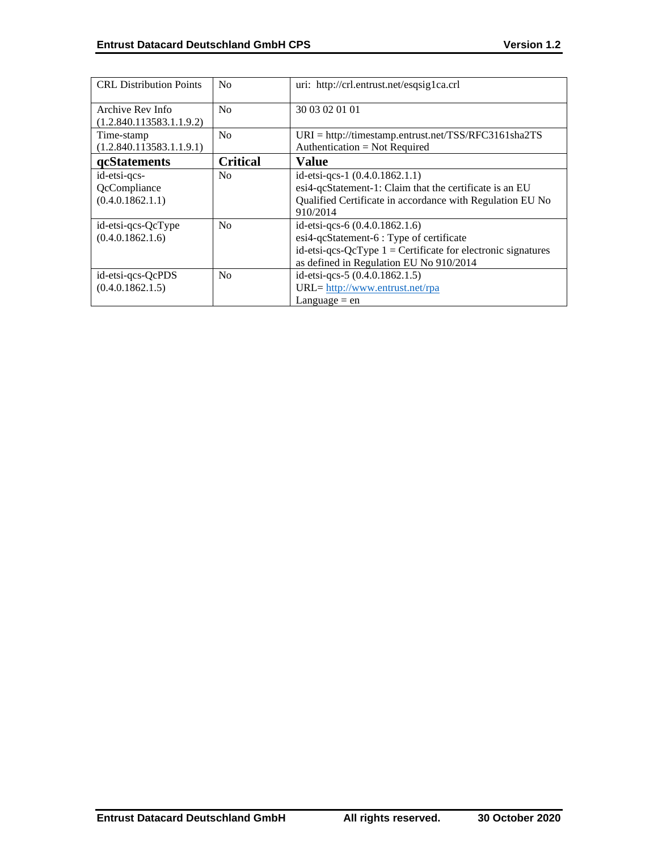| <b>CRL</b> Distribution Points | N <sub>0</sub>  | uri: http://crl.entrust.net/esqsig1ca.crl                      |
|--------------------------------|-----------------|----------------------------------------------------------------|
| Archive Rev Info               | No              | 30 03 02 01 01                                                 |
| (1.2.840.113583.1.1.9.2)       |                 |                                                                |
| Time-stamp                     | N <sub>0</sub>  | $URI = \frac{http://timestamp.entrust.net/TSS/RFC3161sha2TS}{$ |
| (1.2.840.113583.1.1.9.1)       |                 | Authentication = Not Required                                  |
| qcStatements                   | <b>Critical</b> | <b>Value</b>                                                   |
| id-etsi-qcs-                   | N <sub>0</sub>  | id-etsi-qcs-1 (0.4.0.1862.1.1)                                 |
| QcCompliance                   |                 | esi4-qcStatement-1: Claim that the certificate is an EU        |
| (0.4.0.1862.1.1)               |                 | Qualified Certificate in accordance with Regulation EU No      |
|                                |                 | 910/2014                                                       |
| id-etsi-qcs-QcType             | N <sub>0</sub>  | id-etsi-qcs-6 $(0.4.0.1862.1.6)$                               |
| (0.4.0.1862.1.6)               |                 | esi4-qcStatement-6 : Type of certificate                       |
|                                |                 | id-etsi-qcs-QcType $1 =$ Certificate for electronic signatures |
|                                |                 | as defined in Regulation EU No 910/2014                        |
| id-etsi-qcs-QcPDS              | No              | id-etsi-qcs-5 (0.4.0.1862.1.5)                                 |
| (0.4.0.1862.1.5)               |                 | URL= http://www.entrust.net/rpa                                |
|                                |                 | Language $=$ en                                                |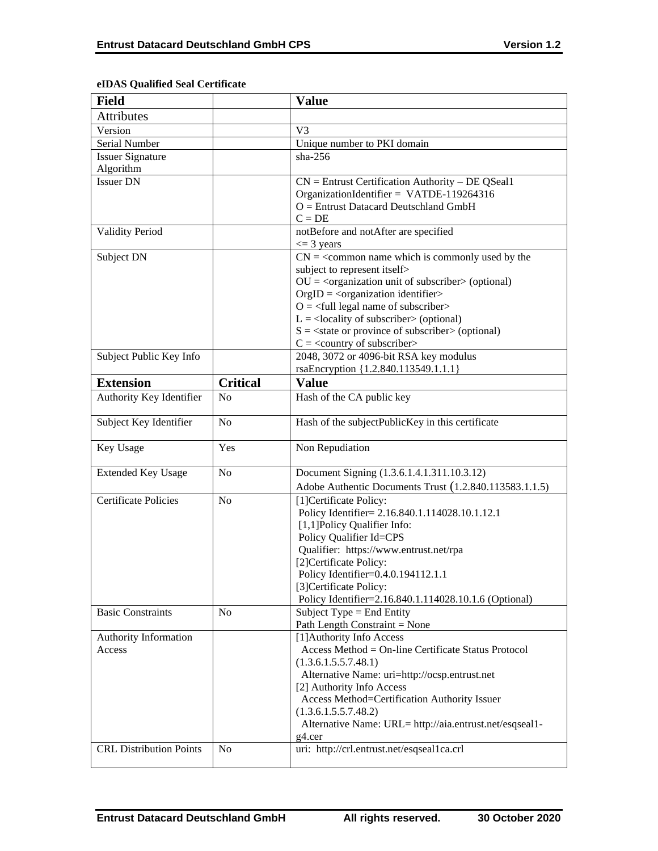| <b>Field</b>                   |                 | <b>Value</b>                                                                             |
|--------------------------------|-----------------|------------------------------------------------------------------------------------------|
| <b>Attributes</b>              |                 |                                                                                          |
| Version                        |                 | V <sub>3</sub>                                                                           |
| Serial Number                  |                 | Unique number to PKI domain                                                              |
| <b>Issuer Signature</b>        |                 | $sha-256$                                                                                |
| Algorithm                      |                 |                                                                                          |
| <b>Issuer DN</b>               |                 | $CN =$ Entrust Certification Authority – DE QSeal1                                       |
|                                |                 | OrganizationIdentifier = VATDE-119264316                                                 |
|                                |                 | $O =$ Entrust Datacard Deutschland GmbH                                                  |
|                                |                 | $C = DE$                                                                                 |
| <b>Validity Period</b>         |                 | notBefore and notAfter are specified                                                     |
|                                |                 | $\leq$ 3 years                                                                           |
| Subject DN                     |                 | $CN =$ < common name which is commonly used by the                                       |
|                                |                 | subject to represent itself>                                                             |
|                                |                 | $OU = coganization unit of subscripts (optional)$<br>$OrgID = corganization identifier>$ |
|                                |                 | $Q = \text{full legal name of subscriber}$                                               |
|                                |                 | $L =$ <locality of="" subscriber=""> (optional)</locality>                               |
|                                |                 | $S = \text{state or province of subscriber} > \text{(optional)}$                         |
|                                |                 | $C = \langle$ country of subscriber>                                                     |
| Subject Public Key Info        |                 | 2048, 3072 or 4096-bit RSA key modulus                                                   |
|                                |                 | rsaEncryption {1.2.840.113549.1.1.1}                                                     |
| <b>Extension</b>               | <b>Critical</b> | <b>Value</b>                                                                             |
| Authority Key Identifier       | No              | Hash of the CA public key                                                                |
|                                |                 |                                                                                          |
| Subject Key Identifier         | N <sub>o</sub>  | Hash of the subjectPublicKey in this certificate                                         |
| Key Usage                      | Yes             | Non Repudiation                                                                          |
| <b>Extended Key Usage</b>      | No              | Document Signing (1.3.6.1.4.1.311.10.3.12)                                               |
|                                |                 | Adobe Authentic Documents Trust (1.2.840.113583.1.1.5)                                   |
| <b>Certificate Policies</b>    | N <sub>o</sub>  | [1] Certificate Policy:                                                                  |
|                                |                 | Policy Identifier= 2.16.840.1.114028.10.1.12.1                                           |
|                                |                 | [1,1] Policy Qualifier Info:                                                             |
|                                |                 | Policy Qualifier Id=CPS                                                                  |
|                                |                 | Qualifier: https://www.entrust.net/rpa                                                   |
|                                |                 | [2] Certificate Policy:                                                                  |
|                                |                 | Policy Identifier=0.4.0.194112.1.1                                                       |
|                                |                 | [3] Certificate Policy:                                                                  |
|                                |                 | Policy Identifier=2.16.840.1.114028.10.1.6 (Optional)                                    |
| <b>Basic Constraints</b>       | N <sub>o</sub>  | Subject Type = End Entity                                                                |
|                                |                 | Path Length Constraint = None                                                            |
| Authority Information          |                 | [1] Authority Info Access<br>Access Method = On-line Certificate Status Protocol         |
| Access                         |                 | (1.3.6.1.5.5.7.48.1)                                                                     |
|                                |                 | Alternative Name: uri=http://ocsp.entrust.net                                            |
|                                |                 | [2] Authority Info Access                                                                |
|                                |                 | Access Method=Certification Authority Issuer                                             |
|                                |                 | (1.3.6.1.5.5.7.48.2)                                                                     |
|                                |                 | Alternative Name: URL= http://aia.entrust.net/esqseal1-                                  |
|                                |                 | g4.cer                                                                                   |
| <b>CRL Distribution Points</b> | N <sub>o</sub>  | uri: http://crl.entrust.net/esqseal1ca.crl                                               |
|                                |                 |                                                                                          |

# **eIDAS Qualified Seal Certificate**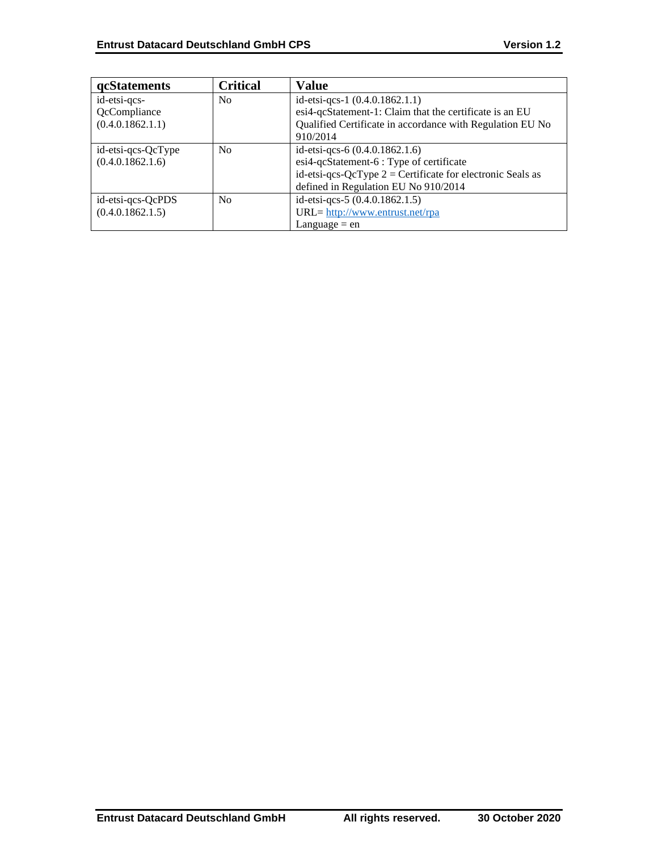| <b>qcStatements</b> | <b>Critical</b> | <b>Value</b>                                                 |
|---------------------|-----------------|--------------------------------------------------------------|
| id-etsi-qcs-        | N <sub>0</sub>  | id-etsi-qcs-1 (0.4.0.1862.1.1)                               |
| QcCompliance        |                 | esi4-qcStatement-1: Claim that the certificate is an EU      |
| (0.4.0.1862.1.1)    |                 | Qualified Certificate in accordance with Regulation EU No    |
|                     |                 | 910/2014                                                     |
| id-etsi-qcs-QcType  | N <sub>0</sub>  | id-etsi-qcs-6 $(0.4.0.1862.1.6)$                             |
| (0.4.0.1862.1.6)    |                 | esi4-qcStatement-6 : Type of certificate                     |
|                     |                 | id-etsi-qcs-QcType $2$ = Certificate for electronic Seals as |
|                     |                 | defined in Regulation EU No 910/2014                         |
| id-etsi-qcs-QcPDS   | No              | id-etsi-qcs-5 (0.4.0.1862.1.5)                               |
| (0.4.0.1862.1.5)    |                 | URL= http://www.entrust.net/rpa                              |
|                     |                 | Language $=$ en                                              |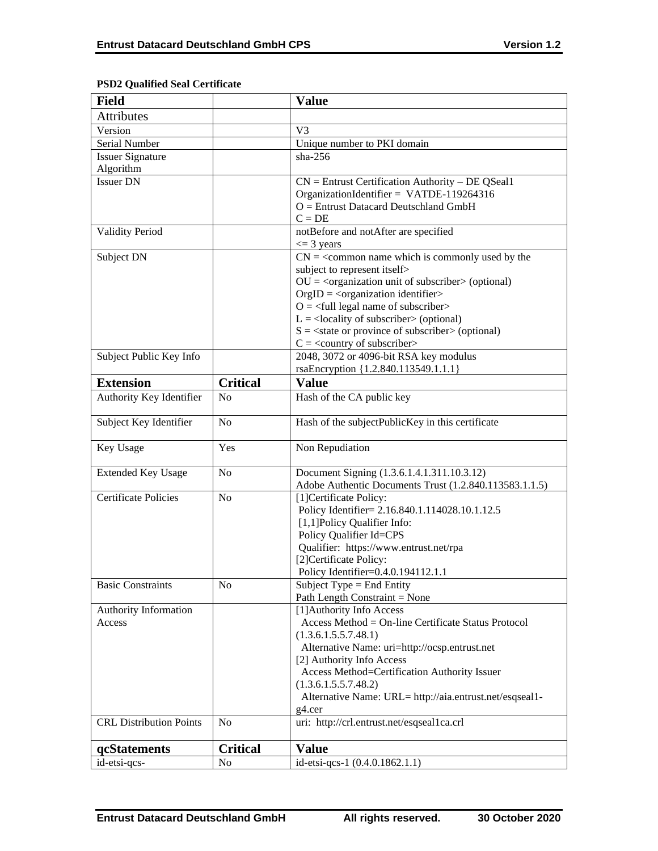## **Field Value Attributes** Version V3 Serial Number  $\vert$  Unique number to PKI domain Issuer Signature Algorithm sha-256 Issuer DN CN = Entrust Certification Authority – DE QSeal1 OrganizationIdentifier = VATDE-119264316 O = Entrust Datacard Deutschland GmbH  $C = DE$ Validity Period notBefore and notAfter are specified  $\leq$  3 years Subject DN  $\vert$  CN = <common name which is commonly used by the subject to represent itself>  $OU = <sub>cor</sub>$  comparization unit of subscriber  $>$  (optional)  $OrgID = <$ organization identifier $>$  $O = \left\langle \text{full legal name of subscriber} \right\rangle$  $L =$  <locality of subscriber > (optional)  $S = \text{state or province of subscriber} > \text{(optional)}$  $C = \langle$  country of subscriber $>$ Subject Public Key Info 2048, 3072 or 4096-bit RSA key modulus rsaEncryption {1.2.840.113549.1.1.1} **Extension Critical Value** Authority Key Identifier No Hash of the CA public key Subject Key Identifier  $\begin{array}{|l|l|}\n\hline\n\end{array}$  No  $\begin{array}{|l|l|}\n\hline\n\end{array}$  Hash of the subjectPublicKey in this certificate Key Usage Yes Non Repudiation Extended Key Usage  $\vert$  No  $\vert$  Document Signing  $(1.3.6.1.4.1.311.10.3.12)$ Adobe Authentic Documents Trust (1.2.840.113583.1.1.5) Certificate Policies No [1]Certificate Policy: Policy Identifier= 2.16.840.1.114028.10.1.12.5 [1,1]Policy Qualifier Info: Policy Qualifier Id=CPS Qualifier: https://www.entrust.net/rpa [2]Certificate Policy: Policy Identifier=0.4.0.194112.1.1 Basic Constraints  $\log N_0$   $\log N_0$  Subject Type = End Entity Path Length Constraint = None Authority Information Access [1]Authority Info Access Access Method = On-line Certificate Status Protocol (1.3.6.1.5.5.7.48.1) Alternative Name: uri=http://ocsp.entrust.net [2] Authority Info Access Access Method=Certification Authority Issuer (1.3.6.1.5.5.7.48.2) Alternative Name: URL= http://aia.entrust.net/esqseal1 g4.cer CRL Distribution Points No uri: http://crl.entrust.net/esqseal1ca.crl **qcStatements Critical Value** id-etsi-qcs- No id-etsi-qcs-1 (0.4.0.1862.1.1)

## **PSD2 Qualified Seal Certificate**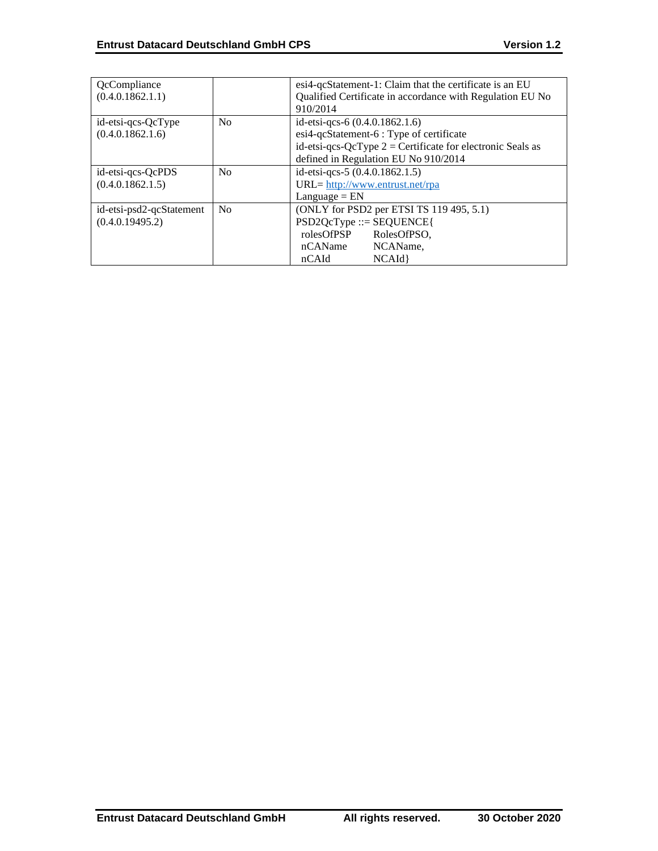| QcCompliance             |                | esi4-qcStatement-1: Claim that the certificate is an EU      |
|--------------------------|----------------|--------------------------------------------------------------|
| (0.4.0.1862.1.1)         |                | Qualified Certificate in accordance with Regulation EU No    |
|                          |                | 910/2014                                                     |
| id-etsi-qcs-QcType       | N <sub>0</sub> | id-etsi-qcs-6 (0.4.0.1862.1.6)                               |
| (0.4.0.1862.1.6)         |                | esi4-qcStatement-6 : Type of certificate                     |
|                          |                | id-etsi-qcs-QcType $2$ = Certificate for electronic Seals as |
|                          |                | defined in Regulation EU No 910/2014                         |
| id-etsi-qcs-QcPDS        | No             | id-etsi-qcs-5 (0.4.0.1862.1.5)                               |
| (0.4.0.1862.1.5)         |                | $URL = \frac{http://www.entrust.net/rpa}{}$                  |
|                          |                | $L$ anguage = $EN$                                           |
| id-etsi-psd2-qcStatement | N <sub>0</sub> | (ONLY for PSD2 per ETSI TS 119 495, 5.1)                     |
| (0.4.0.19495.2)          |                | $PSD2QcType ::= SEQUENCE$                                    |
|                          |                | rolesOfPSP<br>RolesOfPSO.                                    |
|                          |                | NCAName,<br>nCAName                                          |
|                          |                | NCAId<br>nCAId                                               |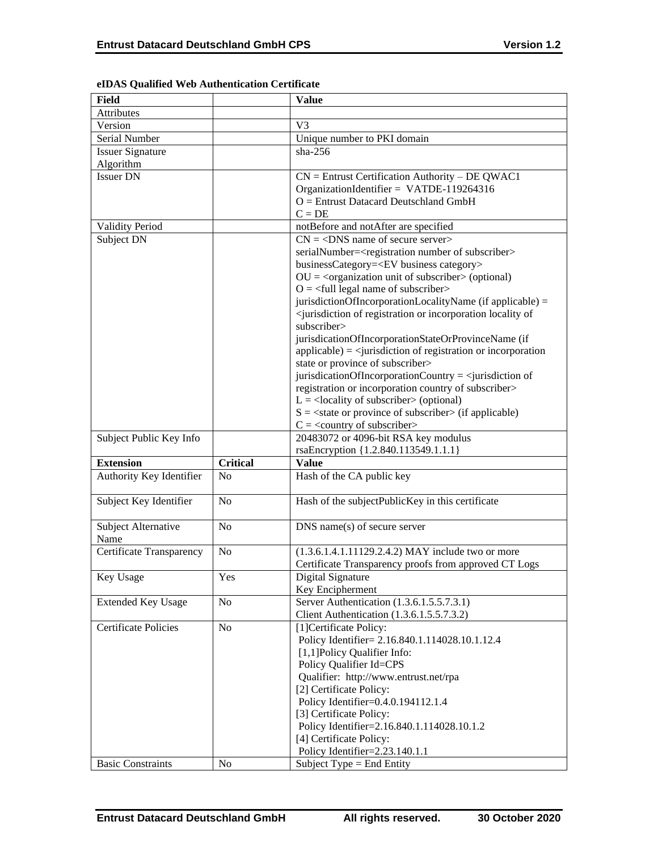| <b>Field</b>                    |                 | <b>Value</b>                                                                                        |
|---------------------------------|-----------------|-----------------------------------------------------------------------------------------------------|
| <b>Attributes</b>               |                 |                                                                                                     |
| Version                         |                 | V <sub>3</sub>                                                                                      |
| Serial Number                   |                 | Unique number to PKI domain                                                                         |
| <b>Issuer Signature</b>         |                 | $sha-256$                                                                                           |
| Algorithm                       |                 |                                                                                                     |
| <b>Issuer DN</b>                |                 | $CN =$ Entrust Certification Authority – DE QWAC1                                                   |
|                                 |                 | OrganizationIdentifier = VATDE-119264316                                                            |
|                                 |                 | $O =$ Entrust Datacard Deutschland GmbH                                                             |
|                                 |                 | $C = DE$                                                                                            |
|                                 |                 |                                                                                                     |
| <b>Validity Period</b>          |                 | notBefore and notAfter are specified                                                                |
| Subject DN                      |                 | $CN = <$ DNS name of secure server>                                                                 |
|                                 |                 | serialNumber= <registration number="" of="" subscriber=""></registration>                           |
|                                 |                 | businessCategory= <ev business="" category=""></ev>                                                 |
|                                 |                 | $OU = corganization unit of subscripter > (optional)$                                               |
|                                 |                 | $O = \left\langle \text{full legal name of subscripter} \right\rangle$                              |
|                                 |                 | jurisdictionOfIncorporationLocalityName (if applicable) =                                           |
|                                 |                 | <jurisdiction incorporation="" locality="" of="" of<="" or="" registration="" td=""></jurisdiction> |
|                                 |                 | subscriber>                                                                                         |
|                                 |                 | jurisdicationOfIncorporationStateOrProvinceName (if                                                 |
|                                 |                 | $applicable) = \langle$ jurisdiction of registration or incorporation                               |
|                                 |                 | state or province of subscriber>                                                                    |
|                                 |                 | jurisdicationOfIncorporationCountry = $\langle$ jurisdiction of                                     |
|                                 |                 | registration or incorporation country of subscriber>                                                |
|                                 |                 | $L =$ <locality of="" subscriber=""> (optional)</locality>                                          |
|                                 |                 | $S = \text{state}$ or province of subscriber $\text{in}$ (if applicable)                            |
|                                 |                 | $C = \langle$ country of subscriber>                                                                |
| Subject Public Key Info         |                 | 20483072 or 4096-bit RSA key modulus                                                                |
|                                 |                 | rsaEncryption {1.2.840.113549.1.1.1}                                                                |
| <b>Extension</b>                | <b>Critical</b> | <b>Value</b>                                                                                        |
| Authority Key Identifier        | No              | Hash of the CA public key                                                                           |
|                                 |                 |                                                                                                     |
|                                 |                 |                                                                                                     |
| Subject Key Identifier          | N <sub>o</sub>  | Hash of the subjectPublicKey in this certificate                                                    |
|                                 |                 |                                                                                                     |
| Subject Alternative             | No              | DNS name(s) of secure server                                                                        |
| Name                            |                 |                                                                                                     |
| <b>Certificate Transparency</b> | No              | (1.3.6.1.4.1.11129.2.4.2) MAY include two or more                                                   |
|                                 |                 | Certificate Transparency proofs from approved CT Logs                                               |
| Key Usage                       | Yes             | Digital Signature                                                                                   |
|                                 |                 | Key Encipherment                                                                                    |
|                                 | No              |                                                                                                     |
| <b>Extended Key Usage</b>       |                 | Server Authentication (1.3.6.1.5.5.7.3.1)                                                           |
|                                 |                 | Client Authentication (1.3.6.1.5.5.7.3.2)                                                           |
| Certificate Policies            | No              | [1] Certificate Policy:                                                                             |
|                                 |                 | Policy Identifier= 2.16.840.1.114028.10.1.12.4                                                      |
|                                 |                 | [1,1] Policy Qualifier Info:                                                                        |
|                                 |                 | Policy Qualifier Id=CPS                                                                             |
|                                 |                 | Qualifier: http://www.entrust.net/rpa                                                               |
|                                 |                 | [2] Certificate Policy:                                                                             |
|                                 |                 | Policy Identifier=0.4.0.194112.1.4                                                                  |
|                                 |                 | [3] Certificate Policy:                                                                             |
|                                 |                 | Policy Identifier=2.16.840.1.114028.10.1.2                                                          |
|                                 |                 | [4] Certificate Policy:                                                                             |
| <b>Basic Constraints</b>        | No              | Policy Identifier=2.23.140.1.1<br>Subject Type = End Entity                                         |

# **eIDAS Qualified Web Authentication Certificate**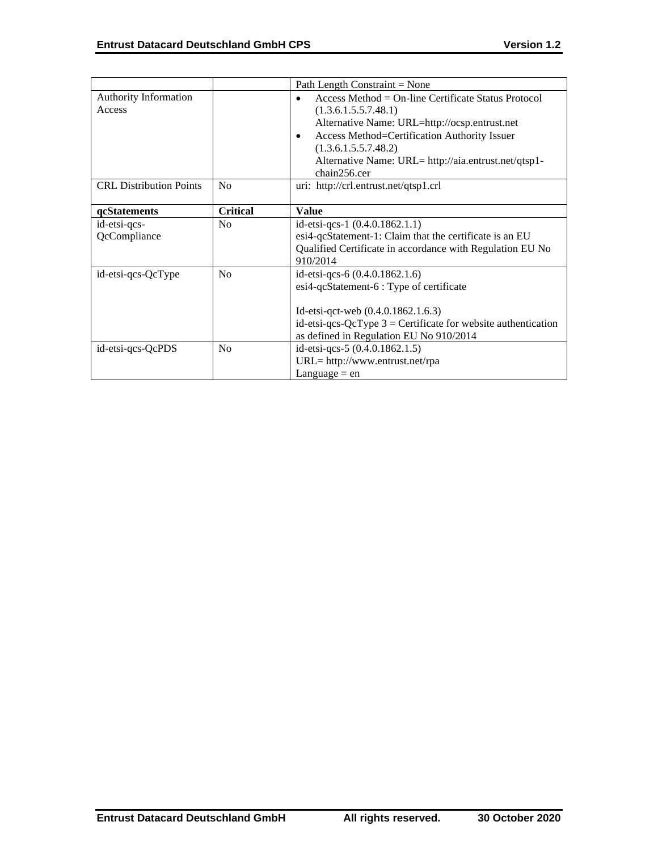|                                 |                 | Path Length Constraint = None                                                                                                                                                                                                                                                                          |
|---------------------------------|-----------------|--------------------------------------------------------------------------------------------------------------------------------------------------------------------------------------------------------------------------------------------------------------------------------------------------------|
| Authority Information<br>Access |                 | Access Method = On-line Certificate Status Protocol<br>$\bullet$<br>(1.3.6.1.5.5.7.48.1)<br>Alternative Name: URL=http://ocsp.entrust.net<br>Access Method=Certification Authority Issuer<br>$\bullet$<br>(1.3.6.1.5.5.7.48.2)<br>Alternative Name: URL= http://aia.entrust.net/qtsp1-<br>chain256.cer |
| <b>CRL</b> Distribution Points  | <b>No</b>       | uri: http://crl.entrust.net/qtsp1.crl                                                                                                                                                                                                                                                                  |
| qcStatements                    | <b>Critical</b> | <b>Value</b>                                                                                                                                                                                                                                                                                           |
| id-etsi-qcs-<br>QcCompliance    | N <sub>0</sub>  | id-etsi-qcs-1 $(0.4.0.1862.1.1)$<br>esi4-qcStatement-1: Claim that the certificate is an EU<br>Qualified Certificate in accordance with Regulation EU No<br>910/2014                                                                                                                                   |
| id-etsi-qcs-QcType              | No              | id-etsi-qcs-6 $(0.4.0.1862.1.6)$<br>esi4-qcStatement-6 : Type of certificate<br>Id-etsi-qct-web $(0.4.0.1862.1.6.3)$<br>id-etsi-qcs-QcType $3$ = Certificate for website authentication<br>as defined in Regulation EU No 910/2014                                                                     |
| id-etsi-qcs-QcPDS               | N <sub>0</sub>  | id-etsi-qcs-5 (0.4.0.1862.1.5)<br>URL= http://www.entrust.net/rpa<br>Language $=$ en                                                                                                                                                                                                                   |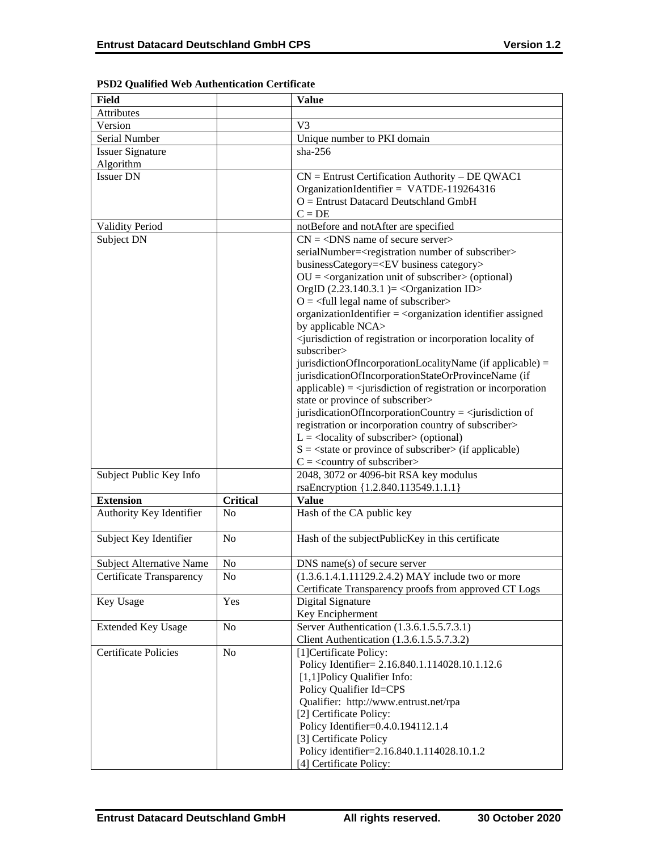| <b>Field</b>                    |                 | <b>Value</b>                                                                                        |
|---------------------------------|-----------------|-----------------------------------------------------------------------------------------------------|
| Attributes                      |                 |                                                                                                     |
| Version                         |                 | V <sub>3</sub>                                                                                      |
| Serial Number                   |                 | Unique number to PKI domain                                                                         |
| <b>Issuer Signature</b>         |                 | $sha-256$                                                                                           |
| Algorithm                       |                 |                                                                                                     |
| <b>Issuer DN</b>                |                 | $CN =$ Entrust Certification Authority – DE QWAC1                                                   |
|                                 |                 | OrganizationIdentifier = VATDE-119264316                                                            |
|                                 |                 | $O =$ Entrust Datacard Deutschland GmbH                                                             |
|                                 |                 | $C = DE$                                                                                            |
| <b>Validity Period</b>          |                 | notBefore and notAfter are specified                                                                |
| Subject DN                      |                 | $CN = <$ DNS name of secure server>                                                                 |
|                                 |                 | serialNumber= <registration number="" of="" subscriber=""></registration>                           |
|                                 |                 | businessCategory= <ev business="" category=""></ev>                                                 |
|                                 |                 | $OU = corganization unit of subscripter > (optional)$                                               |
|                                 |                 | OrgID $(2.23.140.3.1)$ = < Organization ID>                                                         |
|                                 |                 | $O = \frac{1}{2}$ legal name of subscriber                                                          |
|                                 |                 | organizationIdentifier = <organization assigned<="" identifier="" td=""></organization>             |
|                                 |                 | by applicable NCA>                                                                                  |
|                                 |                 | <jurisdiction incorporation="" locality="" of="" of<="" or="" registration="" td=""></jurisdiction> |
|                                 |                 | subscriber>                                                                                         |
|                                 |                 | jurisdictionOfIncorporationLocalityName (if applicable) =                                           |
|                                 |                 | jurisdicationOfIncorporationStateOrProvinceName (if                                                 |
|                                 |                 | $applicable) = \langle$ invisible $\langle$ intervalse of registration or incorporation             |
|                                 |                 | state or province of subscriber>                                                                    |
|                                 |                 | jurisdicationOfIncorporationCountry = $\le$ jurisdiction of                                         |
|                                 |                 | registration or incorporation country of subscriber>                                                |
|                                 |                 | $L =$ <locality of="" subscriber=""> (optional)</locality>                                          |
|                                 |                 | $S = \text{state}$ or province of subscriber (if applicable)                                        |
|                                 |                 | $C = \langle$ country of subscriber>                                                                |
| Subject Public Key Info         |                 | 2048, 3072 or 4096-bit RSA key modulus                                                              |
|                                 |                 | rsaEncryption {1.2.840.113549.1.1.1}                                                                |
| <b>Extension</b>                | <b>Critical</b> | <b>Value</b>                                                                                        |
| Authority Key Identifier        | N <sub>0</sub>  | Hash of the CA public key                                                                           |
|                                 |                 |                                                                                                     |
| Subject Key Identifier          | N <sub>0</sub>  | Hash of the subjectPublicKey in this certificate                                                    |
|                                 |                 |                                                                                                     |
| <b>Subject Alternative Name</b> | No              | $DNS$ name(s) of secure server                                                                      |
| <b>Certificate Transparency</b> | No              | (1.3.6.1.4.1.11129.2.4.2) MAY include two or more                                                   |
|                                 |                 | Certificate Transparency proofs from approved CT Logs                                               |
| Key Usage                       | Yes             | Digital Signature                                                                                   |
|                                 |                 | Key Encipherment                                                                                    |
| <b>Extended Key Usage</b>       | N <sub>o</sub>  | Server Authentication (1.3.6.1.5.5.7.3.1)                                                           |
|                                 |                 | Client Authentication (1.3.6.1.5.5.7.3.2)                                                           |
| <b>Certificate Policies</b>     | N <sub>0</sub>  | [1]Certificate Policy:                                                                              |
|                                 |                 | Policy Identifier= 2.16.840.1.114028.10.1.12.6                                                      |
|                                 |                 | [1,1] Policy Qualifier Info:                                                                        |
|                                 |                 | Policy Qualifier Id=CPS                                                                             |
|                                 |                 | Qualifier: http://www.entrust.net/rpa                                                               |
|                                 |                 | [2] Certificate Policy:                                                                             |
|                                 |                 | Policy Identifier=0.4.0.194112.1.4                                                                  |
|                                 |                 | [3] Certificate Policy                                                                              |
|                                 |                 | Policy identifier=2.16.840.1.114028.10.1.2                                                          |
|                                 |                 | [4] Certificate Policy:                                                                             |

# **PSD2 Qualified Web Authentication Certificate**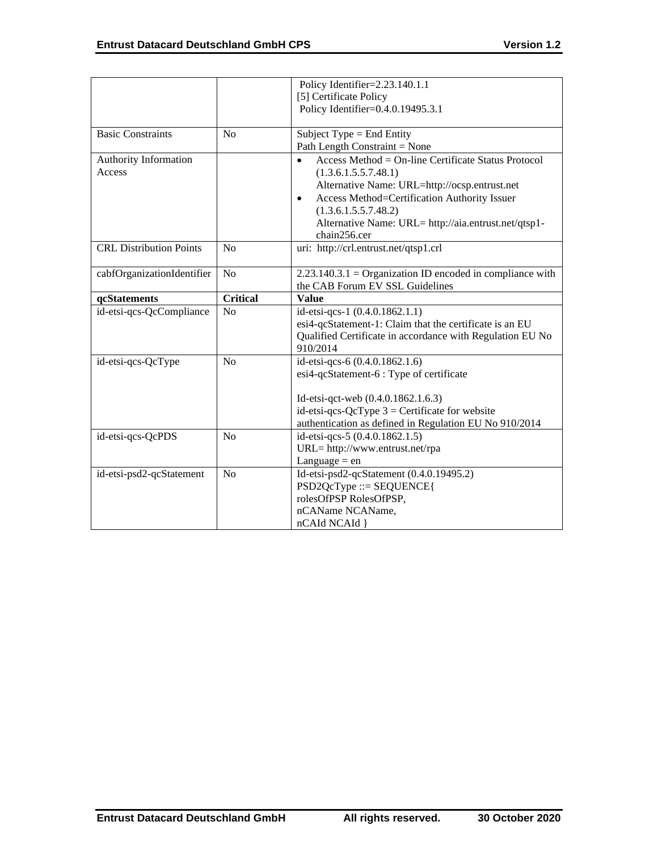|                                |                 | Policy Identifier=2.23.140.1.1                                   |
|--------------------------------|-----------------|------------------------------------------------------------------|
|                                |                 | [5] Certificate Policy                                           |
|                                |                 | Policy Identifier=0.4.0.19495.3.1                                |
|                                |                 |                                                                  |
| <b>Basic Constraints</b>       | N <sub>0</sub>  | Subject Type $=$ End Entity                                      |
|                                |                 | Path Length Constraint = None                                    |
| Authority Information          |                 | Access Method = On-line Certificate Status Protocol<br>$\bullet$ |
| Access                         |                 | (1.3.6.1.5.5.7.48.1)                                             |
|                                |                 | Alternative Name: URL=http://ocsp.entrust.net                    |
|                                |                 | Access Method=Certification Authority Issuer<br>$\bullet$        |
|                                |                 | (1.3.6.1.5.5.7.48.2)                                             |
|                                |                 | Alternative Name: URL= http://aia.entrust.net/qtsp1-             |
|                                |                 | chain256.cer                                                     |
| <b>CRL Distribution Points</b> | N <sub>o</sub>  | uri: http://crl.entrust.net/qtsp1.crl                            |
|                                |                 |                                                                  |
| cabfOrganizationIdentifier     | N <sub>o</sub>  | $2.23.140.3.1 =$ Organization ID encoded in compliance with      |
|                                |                 | the CAB Forum EV SSL Guidelines                                  |
| qcStatements                   | <b>Critical</b> | <b>Value</b>                                                     |
| id-etsi-qcs-QcCompliance       | No              | id-etsi-qcs-1 (0.4.0.1862.1.1)                                   |
|                                |                 | esi4-qcStatement-1: Claim that the certificate is an EU          |
|                                |                 | Qualified Certificate in accordance with Regulation EU No        |
|                                |                 | 910/2014                                                         |
| id-etsi-qcs-QcType             | N <sub>o</sub>  | id-etsi-qcs-6 (0.4.0.1862.1.6)                                   |
|                                |                 | esi4-qcStatement-6 : Type of certificate                         |
|                                |                 |                                                                  |
|                                |                 | Id-etsi-qct-web (0.4.0.1862.1.6.3)                               |
|                                |                 | id-etsi-qcs-QcType $3$ = Certificate for website                 |
|                                |                 | authentication as defined in Regulation EU No 910/2014           |
| id-etsi-qcs-QcPDS              | N <sub>0</sub>  | id-etsi-qcs-5 (0.4.0.1862.1.5)                                   |
|                                |                 | URL= http://www.entrust.net/rpa                                  |
|                                |                 | Language $=$ en                                                  |
| id-etsi-psd2-qcStatement       | No              | Id-etsi-psd2-qcStatement (0.4.0.19495.2)                         |
|                                |                 | PSD2QcType ::= SEQUENCE{                                         |
|                                |                 | rolesOfPSP RolesOfPSP,                                           |
|                                |                 | nCAName NCAName,                                                 |
|                                |                 | nCAId NCAId }                                                    |